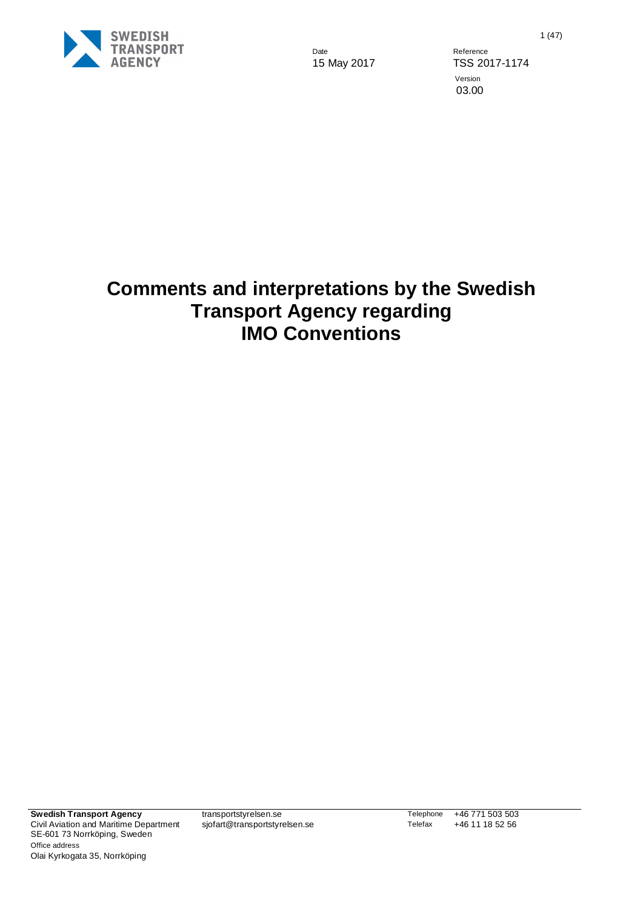

15 May 2017 TSS 2017-1174 Version 03.00

## **Comments and interpretations by the Swedish Transport Agency regarding IMO Conventions**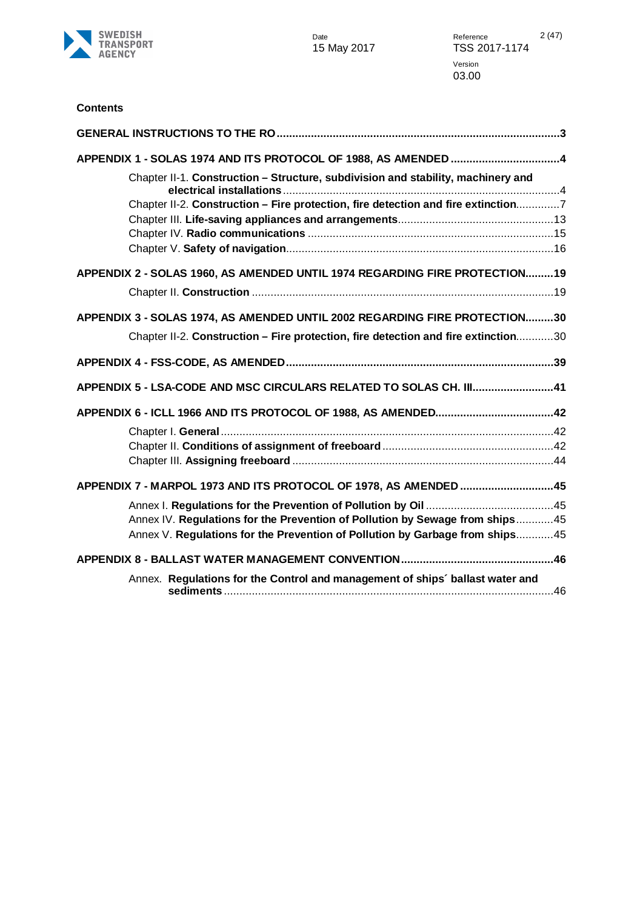

#### **Contents**

| APPENDIX 1 - SOLAS 1974 AND ITS PROTOCOL OF 1988, AS AMENDED 4                     |  |
|------------------------------------------------------------------------------------|--|
| Chapter II-1. Construction - Structure, subdivision and stability, machinery and   |  |
| Chapter II-2. Construction - Fire protection, fire detection and fire extinction7  |  |
|                                                                                    |  |
|                                                                                    |  |
| APPENDIX 2 - SOLAS 1960, AS AMENDED UNTIL 1974 REGARDING FIRE PROTECTION19         |  |
|                                                                                    |  |
| APPENDIX 3 - SOLAS 1974, AS AMENDED UNTIL 2002 REGARDING FIRE PROTECTION30         |  |
| Chapter II-2. Construction - Fire protection, fire detection and fire extinction30 |  |
|                                                                                    |  |
| APPENDIX 5 - LSA-CODE AND MSC CIRCULARS RELATED TO SOLAS CH. III41                 |  |
|                                                                                    |  |
|                                                                                    |  |
|                                                                                    |  |
|                                                                                    |  |
| APPENDIX 7 - MARPOL 1973 AND ITS PROTOCOL OF 1978, AS AMENDED 45                   |  |
|                                                                                    |  |
| Annex IV. Regulations for the Prevention of Pollution by Sewage from ships45       |  |
| Annex V. Regulations for the Prevention of Pollution by Garbage from ships45       |  |
|                                                                                    |  |
| Annex. Regulations for the Control and management of ships' ballast water and      |  |
|                                                                                    |  |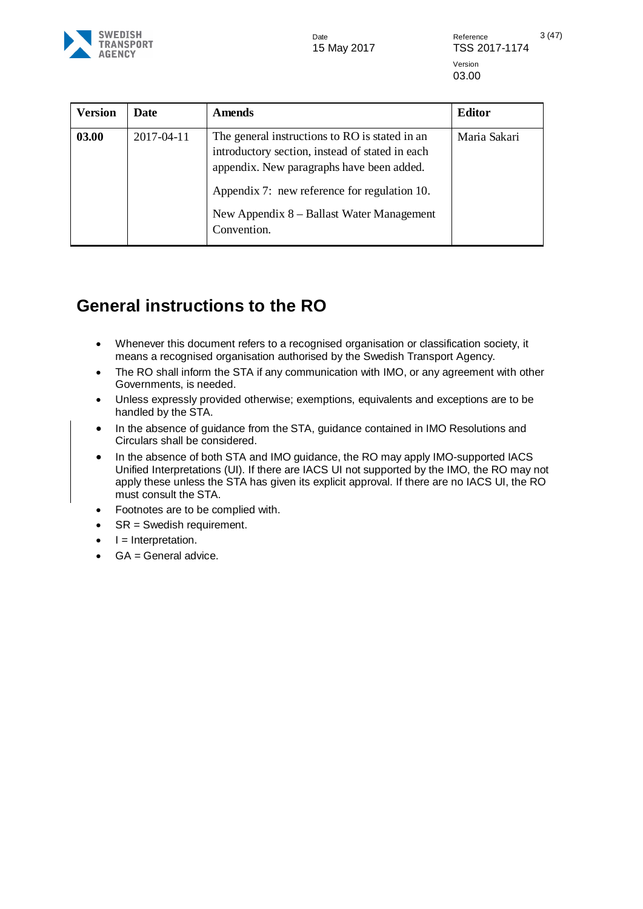15 May 2017 TSS 2017-1174

Date **Date** Reference 3 (47) Version 03.00

| <b>Version</b><br>Date | <b>Amends</b>                                                                                                                                                                                                                                              | Editor       |
|------------------------|------------------------------------------------------------------------------------------------------------------------------------------------------------------------------------------------------------------------------------------------------------|--------------|
| 03.00<br>2017-04-11    | The general instructions to RO is stated in an<br>introductory section, instead of stated in each<br>appendix. New paragraphs have been added.<br>Appendix 7: new reference for regulation 10.<br>New Appendix 8 – Ballast Water Management<br>Convention. | Maria Sakari |

### <span id="page-2-0"></span>**General instructions to the RO**

- Whenever this document refers to a recognised organisation or classification society, it means a recognised organisation authorised by the Swedish Transport Agency.
- The RO shall inform the STA if any communication with IMO, or any agreement with other Governments, is needed.
- Unless expressly provided otherwise; exemptions, equivalents and exceptions are to be handled by the STA.
- In the absence of guidance from the STA, guidance contained in IMO Resolutions and Circulars shall be considered.
- In the absence of both STA and IMO quidance, the RO may apply IMO-supported IACS Unified Interpretations (UI). If there are IACS UI not supported by the IMO, the RO may not apply these unless the STA has given its explicit approval. If there are no IACS UI, the RO must consult the STA.
- Footnotes are to be complied with.
- SR = Swedish requirement.
- $\bullet$   $I =$  Interpretation.
- $GA = General$  advice.

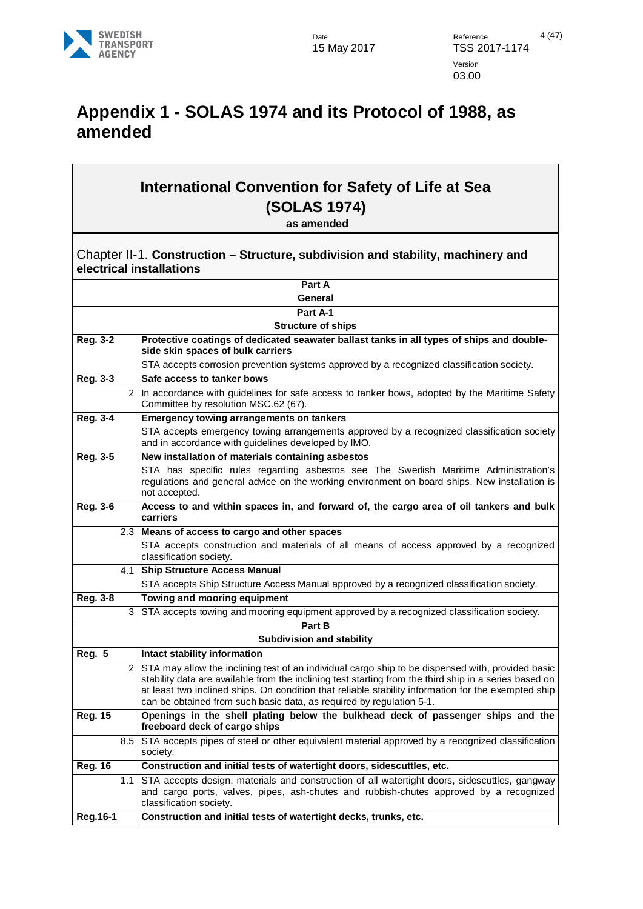

## <span id="page-3-0"></span>**Appendix 1 - SOLAS 1974 and its Protocol of 1988, as amended**

## **International Convention for Safety of Life at Sea (SOLAS 1974)**

**as amended**

<span id="page-3-1"></span>Chapter II-1. **Construction – Structure, subdivision and stability, machinery and electrical installations**

|                 |                | Part A                                                                                                                                                                                                        |
|-----------------|----------------|---------------------------------------------------------------------------------------------------------------------------------------------------------------------------------------------------------------|
| General         |                |                                                                                                                                                                                                               |
|                 |                | Part A-1                                                                                                                                                                                                      |
|                 |                | <b>Structure of ships</b>                                                                                                                                                                                     |
| <b>Reg. 3-2</b> |                | Protective coatings of dedicated seawater ballast tanks in all types of ships and double-                                                                                                                     |
|                 |                | side skin spaces of bulk carriers                                                                                                                                                                             |
|                 |                | STA accepts corrosion prevention systems approved by a recognized classification society.                                                                                                                     |
| Reg. 3-3        |                | Safe access to tanker bows                                                                                                                                                                                    |
|                 | $\overline{2}$ | In accordance with guidelines for safe access to tanker bows, adopted by the Maritime Safety<br>Committee by resolution MSC.62 (67).                                                                          |
| <b>Reg. 3-4</b> |                | <b>Emergency towing arrangements on tankers</b>                                                                                                                                                               |
|                 |                | STA accepts emergency towing arrangements approved by a recognized classification society<br>and in accordance with guidelines developed by IMO.                                                              |
| Reg. 3-5        |                | New installation of materials containing asbestos                                                                                                                                                             |
|                 |                | STA has specific rules regarding asbestos see The Swedish Maritime Administration's<br>regulations and general advice on the working environment on board ships. New installation is<br>not accepted.         |
| <b>Reg. 3-6</b> |                | Access to and within spaces in, and forward of, the cargo area of oil tankers and bulk<br>carriers                                                                                                            |
|                 | 2.3            | Means of access to cargo and other spaces                                                                                                                                                                     |
|                 |                | STA accepts construction and materials of all means of access approved by a recognized<br>classification society.                                                                                             |
|                 | 4.1            | <b>Ship Structure Access Manual</b>                                                                                                                                                                           |
|                 |                | STA accepts Ship Structure Access Manual approved by a recognized classification society.                                                                                                                     |
| <b>Reg. 3-8</b> |                | Towing and mooring equipment                                                                                                                                                                                  |
|                 | 3              | STA accepts towing and mooring equipment approved by a recognized classification society.                                                                                                                     |
|                 |                | Part B                                                                                                                                                                                                        |
|                 |                | <b>Subdivision and stability</b>                                                                                                                                                                              |
| <b>Reg. 5</b>   |                | Intact stability information                                                                                                                                                                                  |
|                 | $\overline{c}$ | STA may allow the inclining test of an individual cargo ship to be dispensed with, provided basic                                                                                                             |
|                 |                | stability data are available from the inclining test starting from the third ship in a series based on<br>at least two inclined ships. On condition that reliable stability information for the exempted ship |
|                 |                | can be obtained from such basic data, as required by regulation 5-1.                                                                                                                                          |
| <b>Reg. 15</b>  |                | Openings in the shell plating below the bulkhead deck of passenger ships and the<br>freeboard deck of cargo ships                                                                                             |
|                 | 8.5            | STA accepts pipes of steel or other equivalent material approved by a recognized classification<br>society.                                                                                                   |
| <b>Reg. 16</b>  |                | Construction and initial tests of watertight doors, sidescuttles, etc.                                                                                                                                        |
|                 | 1.1            | STA accepts design, materials and construction of all watertight doors, sidescuttles, gangway                                                                                                                 |
|                 |                | and cargo ports, valves, pipes, ash-chutes and rubbish-chutes approved by a recognized<br>classification society.                                                                                             |
| <b>Reg.16-1</b> |                | Construction and initial tests of watertight decks, trunks, etc.                                                                                                                                              |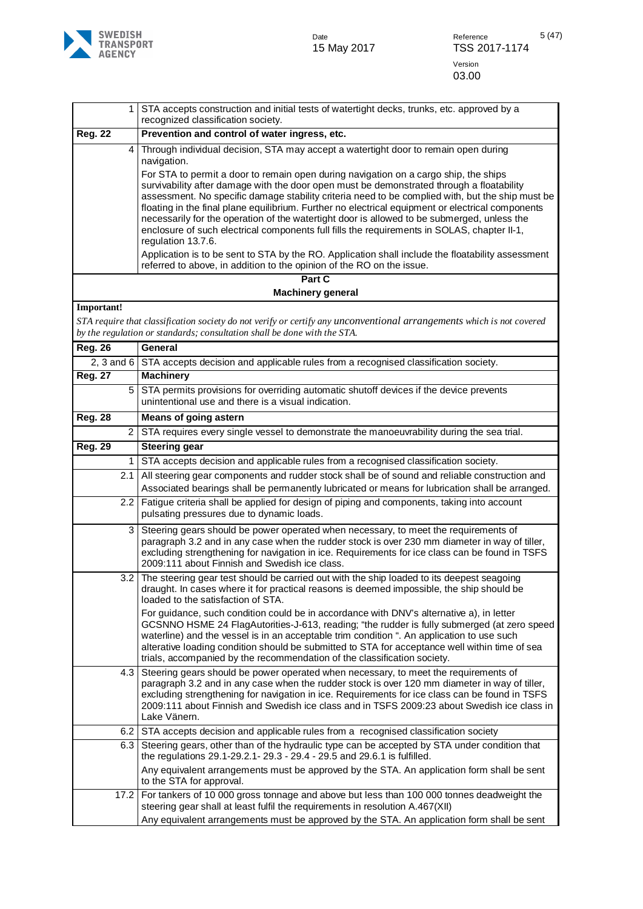

| $\mathbf{1}$   | STA accepts construction and initial tests of watertight decks, trunks, etc. approved by a<br>recognized classification society.                                                                                                                                                                                                                                                                                                                                                                    |
|----------------|-----------------------------------------------------------------------------------------------------------------------------------------------------------------------------------------------------------------------------------------------------------------------------------------------------------------------------------------------------------------------------------------------------------------------------------------------------------------------------------------------------|
| <b>Reg. 22</b> | Prevention and control of water ingress, etc.                                                                                                                                                                                                                                                                                                                                                                                                                                                       |
| 4              | Through individual decision, STA may accept a watertight door to remain open during<br>navigation.<br>For STA to permit a door to remain open during navigation on a cargo ship, the ships<br>survivability after damage with the door open must be demonstrated through a floatability<br>assessment. No specific damage stability criteria need to be complied with, but the ship must be                                                                                                         |
|                | floating in the final plane equilibrium. Further no electrical equipment or electrical components<br>necessarily for the operation of the watertight door is allowed to be submerged, unless the<br>enclosure of such electrical components full fills the requirements in SOLAS, chapter II-1,<br>regulation 13.7.6.<br>Application is to be sent to STA by the RO. Application shall include the floatability assessment<br>referred to above, in addition to the opinion of the RO on the issue. |
|                | Part C                                                                                                                                                                                                                                                                                                                                                                                                                                                                                              |
|                | <b>Machinery general</b>                                                                                                                                                                                                                                                                                                                                                                                                                                                                            |
| Important!     |                                                                                                                                                                                                                                                                                                                                                                                                                                                                                                     |
|                | STA require that classification society do not verify or certify any unconventional arrangements which is not covered                                                                                                                                                                                                                                                                                                                                                                               |
|                | by the regulation or standards; consultation shall be done with the STA.                                                                                                                                                                                                                                                                                                                                                                                                                            |
| <b>Reg. 26</b> | General                                                                                                                                                                                                                                                                                                                                                                                                                                                                                             |
| 2, 3 and $6$   | STA accepts decision and applicable rules from a recognised classification society.                                                                                                                                                                                                                                                                                                                                                                                                                 |
| <b>Reg. 27</b> | <b>Machinery</b>                                                                                                                                                                                                                                                                                                                                                                                                                                                                                    |
| 5              | STA permits provisions for overriding automatic shutoff devices if the device prevents<br>unintentional use and there is a visual indication.                                                                                                                                                                                                                                                                                                                                                       |
| <b>Reg. 28</b> | <b>Means of going astern</b>                                                                                                                                                                                                                                                                                                                                                                                                                                                                        |
| $\overline{2}$ | STA requires every single vessel to demonstrate the manoeuvrability during the sea trial.                                                                                                                                                                                                                                                                                                                                                                                                           |
| <b>Reg. 29</b> | <b>Steering gear</b>                                                                                                                                                                                                                                                                                                                                                                                                                                                                                |
| 1              | STA accepts decision and applicable rules from a recognised classification society.                                                                                                                                                                                                                                                                                                                                                                                                                 |
| 2.1            | All steering gear components and rudder stock shall be of sound and reliable construction and                                                                                                                                                                                                                                                                                                                                                                                                       |
|                | Associated bearings shall be permanently lubricated or means for lubrication shall be arranged.                                                                                                                                                                                                                                                                                                                                                                                                     |
| $2.2^{\circ}$  | Fatigue criteria shall be applied for design of piping and components, taking into account<br>pulsating pressures due to dynamic loads.                                                                                                                                                                                                                                                                                                                                                             |
| 3              | Steering gears should be power operated when necessary, to meet the requirements of<br>paragraph 3.2 and in any case when the rudder stock is over 230 mm diameter in way of tiller,<br>excluding strengthening for navigation in ice. Requirements for ice class can be found in TSFS<br>2009:111 about Finnish and Swedish ice class.                                                                                                                                                             |
|                | 3.2 The steering gear test should be carried out with the ship loaded to its deepest seagoing<br>draught. In cases where it for practical reasons is deemed impossible, the ship should be<br>loaded to the satisfaction of STA.                                                                                                                                                                                                                                                                    |
|                | For guidance, such condition could be in accordance with DNV's alternative a), in letter<br>GCSNNO HSME 24 FlagAutorities-J-613, reading; "the rudder is fully submerged (at zero speed<br>waterline) and the vessel is in an acceptable trim condition ". An application to use such<br>alterative loading condition should be submitted to STA for acceptance well within time of sea<br>trials, accompanied by the recommendation of the classification society.                                 |
| 4.3            | Steering gears should be power operated when necessary, to meet the requirements of<br>paragraph 3.2 and in any case when the rudder stock is over 120 mm diameter in way of tiller,<br>excluding strengthening for navigation in ice. Requirements for ice class can be found in TSFS<br>2009:111 about Finnish and Swedish ice class and in TSFS 2009:23 about Swedish ice class in<br>Lake Vänern.                                                                                               |
| 6.2            | STA accepts decision and applicable rules from a recognised classification society                                                                                                                                                                                                                                                                                                                                                                                                                  |
| 6.3            | Steering gears, other than of the hydraulic type can be accepted by STA under condition that<br>the regulations 29.1-29.2.1-29.3 - 29.4 - 29.5 and 29.6.1 is fulfilled.<br>Any equivalent arrangements must be approved by the STA. An application form shall be sent                                                                                                                                                                                                                               |
|                | to the STA for approval.                                                                                                                                                                                                                                                                                                                                                                                                                                                                            |
| 17.2           | For tankers of 10 000 gross tonnage and above but less than 100 000 tonnes deadweight the<br>steering gear shall at least fulfil the requirements in resolution A.467(XII)                                                                                                                                                                                                                                                                                                                          |
|                | Any equivalent arrangements must be approved by the STA. An application form shall be sent                                                                                                                                                                                                                                                                                                                                                                                                          |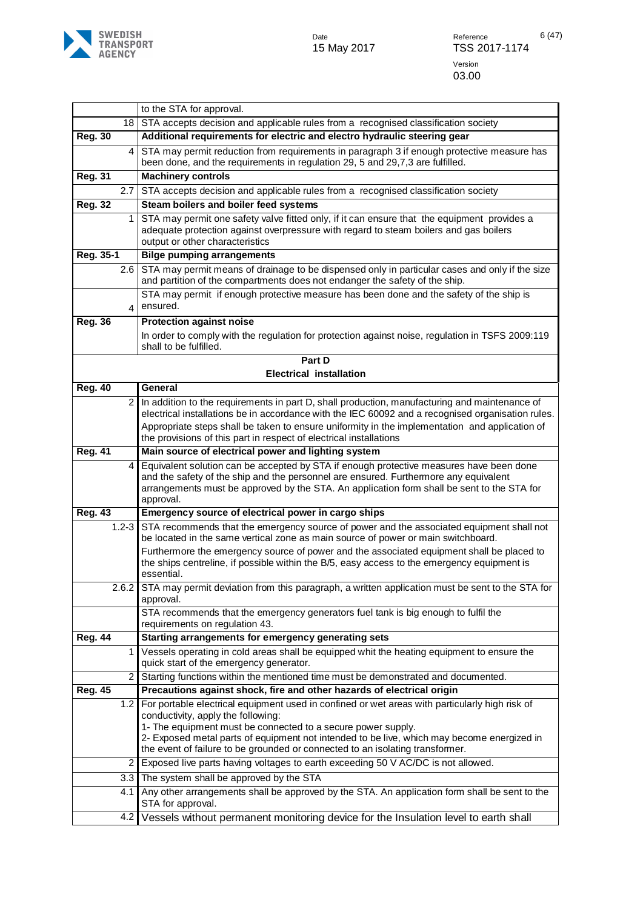

|                |                | to the STA for approval.                                                                                                                                                                                                                                                                                                                                                            |
|----------------|----------------|-------------------------------------------------------------------------------------------------------------------------------------------------------------------------------------------------------------------------------------------------------------------------------------------------------------------------------------------------------------------------------------|
|                | 18             | STA accepts decision and applicable rules from a recognised classification society                                                                                                                                                                                                                                                                                                  |
| <b>Reg. 30</b> |                | Additional requirements for electric and electro hydraulic steering gear                                                                                                                                                                                                                                                                                                            |
|                | 4              | STA may permit reduction from requirements in paragraph 3 if enough protective measure has<br>been done, and the requirements in regulation 29, 5 and 29,7,3 are fulfilled.                                                                                                                                                                                                         |
| <b>Reg. 31</b> |                | <b>Machinery controls</b>                                                                                                                                                                                                                                                                                                                                                           |
|                |                | 2.7 STA accepts decision and applicable rules from a recognised classification society                                                                                                                                                                                                                                                                                              |
| <b>Reg. 32</b> |                | Steam boilers and boiler feed systems                                                                                                                                                                                                                                                                                                                                               |
|                | 1              | STA may permit one safety valve fitted only, if it can ensure that the equipment provides a<br>adequate protection against overpressure with regard to steam boilers and gas boilers<br>output or other characteristics                                                                                                                                                             |
| Reg. 35-1      |                | <b>Bilge pumping arrangements</b>                                                                                                                                                                                                                                                                                                                                                   |
|                | 2.6            | STA may permit means of drainage to be dispensed only in particular cases and only if the size<br>and partition of the compartments does not endanger the safety of the ship.                                                                                                                                                                                                       |
|                | 4              | STA may permit if enough protective measure has been done and the safety of the ship is<br>ensured.                                                                                                                                                                                                                                                                                 |
| <b>Reg. 36</b> |                | <b>Protection against noise</b>                                                                                                                                                                                                                                                                                                                                                     |
|                |                | In order to comply with the regulation for protection against noise, regulation in TSFS 2009:119<br>shall to be fulfilled.                                                                                                                                                                                                                                                          |
|                |                | Part D                                                                                                                                                                                                                                                                                                                                                                              |
|                |                | <b>Electrical installation</b>                                                                                                                                                                                                                                                                                                                                                      |
| <b>Reg. 40</b> |                | General                                                                                                                                                                                                                                                                                                                                                                             |
|                | $\overline{2}$ | In addition to the requirements in part D, shall production, manufacturing and maintenance of<br>electrical installations be in accordance with the IEC 60092 and a recognised organisation rules.<br>Appropriate steps shall be taken to ensure uniformity in the implementation and application of<br>the provisions of this part in respect of electrical installations          |
| <b>Reg. 41</b> |                | Main source of electrical power and lighting system                                                                                                                                                                                                                                                                                                                                 |
|                | 4              | Equivalent solution can be accepted by STA if enough protective measures have been done<br>and the safety of the ship and the personnel are ensured. Furthermore any equivalent<br>arrangements must be approved by the STA. An application form shall be sent to the STA for<br>approval.                                                                                          |
| <b>Reg. 43</b> |                | Emergency source of electrical power in cargo ships                                                                                                                                                                                                                                                                                                                                 |
|                | $1.2 - 3$      | STA recommends that the emergency source of power and the associated equipment shall not<br>be located in the same vertical zone as main source of power or main switchboard.                                                                                                                                                                                                       |
|                |                | Furthermore the emergency source of power and the associated equipment shall be placed to<br>the ships centreline, if possible within the B/5, easy access to the emergency equipment is<br>essential.                                                                                                                                                                              |
|                | 2.6.2          | STA may permit deviation from this paragraph, a written application must be sent to the STA for<br>approval.                                                                                                                                                                                                                                                                        |
|                |                | STA recommends that the emergency generators fuel tank is big enough to fulfil the<br>requirements on regulation 43.                                                                                                                                                                                                                                                                |
| <b>Reg. 44</b> |                | Starting arrangements for emergency generating sets                                                                                                                                                                                                                                                                                                                                 |
|                | 1              | Vessels operating in cold areas shall be equipped whit the heating equipment to ensure the<br>quick start of the emergency generator.                                                                                                                                                                                                                                               |
|                | 2              | Starting functions within the mentioned time must be demonstrated and documented.                                                                                                                                                                                                                                                                                                   |
| <b>Reg. 45</b> |                | Precautions against shock, fire and other hazards of electrical origin                                                                                                                                                                                                                                                                                                              |
|                | 1.2            | For portable electrical equipment used in confined or wet areas with particularly high risk of<br>conductivity, apply the following:<br>1- The equipment must be connected to a secure power supply.<br>2- Exposed metal parts of equipment not intended to be live, which may become energized in<br>the event of failure to be grounded or connected to an isolating transformer. |
|                | 2              | Exposed live parts having voltages to earth exceeding 50 V AC/DC is not allowed.                                                                                                                                                                                                                                                                                                    |
|                | 3.3            | The system shall be approved by the STA                                                                                                                                                                                                                                                                                                                                             |
|                | 4.1            | Any other arrangements shall be approved by the STA. An application form shall be sent to the<br>STA for approval.                                                                                                                                                                                                                                                                  |
|                | 4.2            | Vessels without permanent monitoring device for the Insulation level to earth shall                                                                                                                                                                                                                                                                                                 |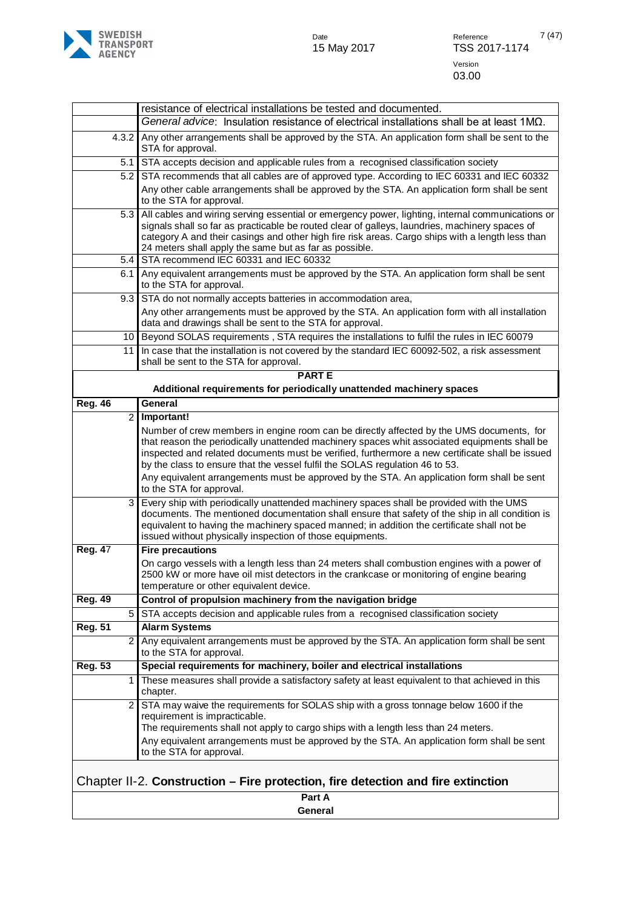

|                                                                                  | resistance of electrical installations be tested and documented.                                                                                                                                                                                                                                                                                                            |  |
|----------------------------------------------------------------------------------|-----------------------------------------------------------------------------------------------------------------------------------------------------------------------------------------------------------------------------------------------------------------------------------------------------------------------------------------------------------------------------|--|
|                                                                                  | General advice: Insulation resistance of electrical installations shall be at least $1M\Omega$ .                                                                                                                                                                                                                                                                            |  |
| 4.3.2                                                                            | Any other arrangements shall be approved by the STA. An application form shall be sent to the<br>STA for approval.                                                                                                                                                                                                                                                          |  |
| 5.1                                                                              | STA accepts decision and applicable rules from a recognised classification society                                                                                                                                                                                                                                                                                          |  |
| 5.2                                                                              | STA recommends that all cables are of approved type. According to IEC 60331 and IEC 60332<br>Any other cable arrangements shall be approved by the STA. An application form shall be sent<br>to the STA for approval.                                                                                                                                                       |  |
| 5.3                                                                              | All cables and wiring serving essential or emergency power, lighting, internal communications or<br>signals shall so far as practicable be routed clear of galleys, laundries, machinery spaces of<br>category A and their casings and other high fire risk areas. Cargo ships with a length less than<br>24 meters shall apply the same but as far as possible.            |  |
| 5.4                                                                              | STA recommend IEC 60331 and IEC 60332                                                                                                                                                                                                                                                                                                                                       |  |
| 6.1                                                                              | Any equivalent arrangements must be approved by the STA. An application form shall be sent<br>to the STA for approval.                                                                                                                                                                                                                                                      |  |
| 9.3                                                                              | STA do not normally accepts batteries in accommodation area,                                                                                                                                                                                                                                                                                                                |  |
|                                                                                  | Any other arrangements must be approved by the STA. An application form with all installation<br>data and drawings shall be sent to the STA for approval.                                                                                                                                                                                                                   |  |
| 10                                                                               | Beyond SOLAS requirements, STA requires the installations to fulfil the rules in IEC 60079                                                                                                                                                                                                                                                                                  |  |
| 11                                                                               | In case that the installation is not covered by the standard IEC 60092-502, a risk assessment<br>shall be sent to the STA for approval.                                                                                                                                                                                                                                     |  |
|                                                                                  | <b>PARTE</b>                                                                                                                                                                                                                                                                                                                                                                |  |
|                                                                                  | Additional requirements for periodically unattended machinery spaces                                                                                                                                                                                                                                                                                                        |  |
| <b>Reg. 46</b>                                                                   | General                                                                                                                                                                                                                                                                                                                                                                     |  |
| $\overline{c}$                                                                   | Important!                                                                                                                                                                                                                                                                                                                                                                  |  |
|                                                                                  | Number of crew members in engine room can be directly affected by the UMS documents, for<br>that reason the periodically unattended machinery spaces whit associated equipments shall be<br>inspected and related documents must be verified, furthermore a new certificate shall be issued<br>by the class to ensure that the vessel fulfil the SOLAS regulation 46 to 53. |  |
|                                                                                  | Any equivalent arrangements must be approved by the STA. An application form shall be sent<br>to the STA for approval.                                                                                                                                                                                                                                                      |  |
| 3                                                                                | Every ship with periodically unattended machinery spaces shall be provided with the UMS<br>documents. The mentioned documentation shall ensure that safety of the ship in all condition is<br>equivalent to having the machinery spaced manned; in addition the certificate shall not be<br>issued without physically inspection of those equipments.                       |  |
| <b>Reg. 47</b>                                                                   | <b>Fire precautions</b>                                                                                                                                                                                                                                                                                                                                                     |  |
|                                                                                  | On cargo vessels with a length less than 24 meters shall combustion engines with a power of<br>2500 kW or more have oil mist detectors in the crankcase or monitoring of engine bearing<br>temperature or other equivalent device.                                                                                                                                          |  |
| <b>Reg. 49</b>                                                                   | Control of propulsion machinery from the navigation bridge                                                                                                                                                                                                                                                                                                                  |  |
| 5                                                                                | STA accepts decision and applicable rules from a recognised classification society                                                                                                                                                                                                                                                                                          |  |
| <b>Reg. 51</b>                                                                   | <b>Alarm Systems</b>                                                                                                                                                                                                                                                                                                                                                        |  |
| $\overline{2}$                                                                   | Any equivalent arrangements must be approved by the STA. An application form shall be sent<br>to the STA for approval.                                                                                                                                                                                                                                                      |  |
| <b>Reg. 53</b>                                                                   | Special requirements for machinery, boiler and electrical installations                                                                                                                                                                                                                                                                                                     |  |
| 1                                                                                | These measures shall provide a satisfactory safety at least equivalent to that achieved in this<br>chapter.                                                                                                                                                                                                                                                                 |  |
| $\overline{2}$                                                                   | STA may waive the requirements for SOLAS ship with a gross tonnage below 1600 if the<br>requirement is impracticable.<br>The requirements shall not apply to cargo ships with a length less than 24 meters.                                                                                                                                                                 |  |
|                                                                                  | Any equivalent arrangements must be approved by the STA. An application form shall be sent<br>to the STA for approval.                                                                                                                                                                                                                                                      |  |
| Chapter II-2. Construction – Fire protection, fire detection and fire extinction |                                                                                                                                                                                                                                                                                                                                                                             |  |
|                                                                                  | Part A                                                                                                                                                                                                                                                                                                                                                                      |  |

<span id="page-6-0"></span>**General**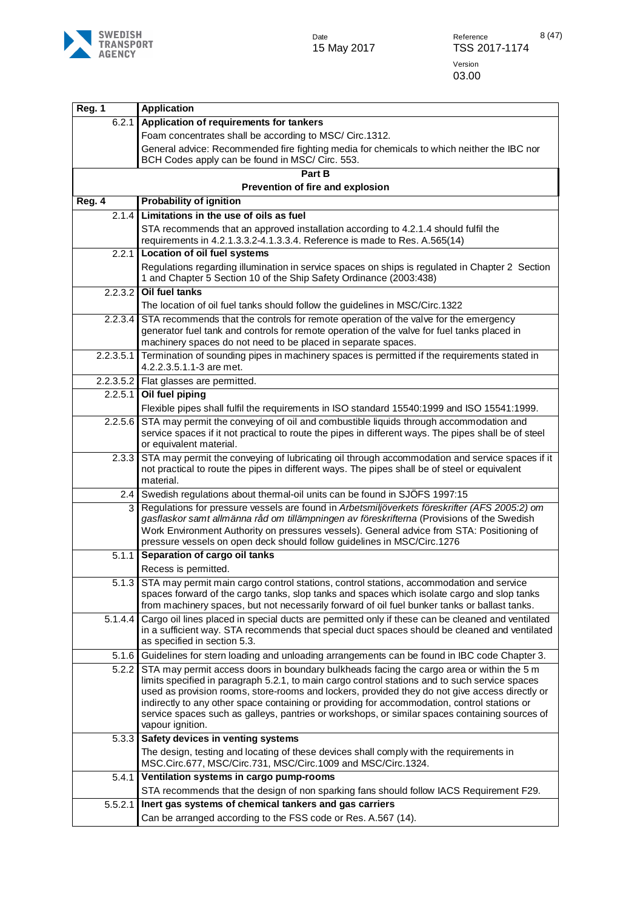

| <b>Reg. 1</b> | <b>Application</b>                                                                                                                                                                                                                                                                                                                                                                                                                                                                                                  |
|---------------|---------------------------------------------------------------------------------------------------------------------------------------------------------------------------------------------------------------------------------------------------------------------------------------------------------------------------------------------------------------------------------------------------------------------------------------------------------------------------------------------------------------------|
| 6.2.1         | Application of requirements for tankers                                                                                                                                                                                                                                                                                                                                                                                                                                                                             |
|               | Foam concentrates shall be according to MSC/ Circ.1312.                                                                                                                                                                                                                                                                                                                                                                                                                                                             |
|               | General advice: Recommended fire fighting media for chemicals to which neither the IBC nor<br>BCH Codes apply can be found in MSC/ Circ. 553.                                                                                                                                                                                                                                                                                                                                                                       |
|               | Part B<br>Prevention of fire and explosion                                                                                                                                                                                                                                                                                                                                                                                                                                                                          |
| Reg. 4        | <b>Probability of ignition</b>                                                                                                                                                                                                                                                                                                                                                                                                                                                                                      |
| 2.1.4         | Limitations in the use of oils as fuel                                                                                                                                                                                                                                                                                                                                                                                                                                                                              |
|               | STA recommends that an approved installation according to 4.2.1.4 should fulfil the<br>requirements in 4.2.1.3.3.2-4.1.3.3.4. Reference is made to Res. A.565(14)                                                                                                                                                                                                                                                                                                                                                   |
| 2.2.1         | <b>Location of oil fuel systems</b>                                                                                                                                                                                                                                                                                                                                                                                                                                                                                 |
|               | Regulations regarding illumination in service spaces on ships is regulated in Chapter 2 Section<br>1 and Chapter 5 Section 10 of the Ship Safety Ordinance (2003:438)                                                                                                                                                                                                                                                                                                                                               |
| 2.2.3.2       | Oil fuel tanks                                                                                                                                                                                                                                                                                                                                                                                                                                                                                                      |
|               | The location of oil fuel tanks should follow the guidelines in MSC/Circ.1322                                                                                                                                                                                                                                                                                                                                                                                                                                        |
| 2.2.3.4       | STA recommends that the controls for remote operation of the valve for the emergency<br>generator fuel tank and controls for remote operation of the valve for fuel tanks placed in<br>machinery spaces do not need to be placed in separate spaces.                                                                                                                                                                                                                                                                |
| 2.2.3.5.1     | Termination of sounding pipes in machinery spaces is permitted if the requirements stated in<br>4.2.2.3.5.1.1-3 are met.                                                                                                                                                                                                                                                                                                                                                                                            |
|               | 2.2.3.5.2 Flat glasses are permitted.                                                                                                                                                                                                                                                                                                                                                                                                                                                                               |
| 2.2.5.1       | Oil fuel piping                                                                                                                                                                                                                                                                                                                                                                                                                                                                                                     |
|               | Flexible pipes shall fulfil the requirements in ISO standard 15540:1999 and ISO 15541:1999.                                                                                                                                                                                                                                                                                                                                                                                                                         |
| 2.2.5.6       | STA may permit the conveying of oil and combustible liquids through accommodation and<br>service spaces if it not practical to route the pipes in different ways. The pipes shall be of steel<br>or equivalent material.                                                                                                                                                                                                                                                                                            |
| 2.3.3         | STA may permit the conveying of lubricating oil through accommodation and service spaces if it<br>not practical to route the pipes in different ways. The pipes shall be of steel or equivalent<br>material.                                                                                                                                                                                                                                                                                                        |
| 2.4           | Swedish regulations about thermal-oil units can be found in SJÖFS 1997:15                                                                                                                                                                                                                                                                                                                                                                                                                                           |
| 3             | Regulations for pressure vessels are found in Arbetsmiljöverkets föreskrifter (AFS 2005:2) om<br>gasflaskor samt allmänna råd om tillämpningen av föreskrifterna (Provisions of the Swedish<br>Work Environment Authority on pressures vessels). General advice from STA: Positioning of<br>pressure vessels on open deck should follow guidelines in MSC/Circ.1276                                                                                                                                                 |
| 5.1.1         | Separation of cargo oil tanks                                                                                                                                                                                                                                                                                                                                                                                                                                                                                       |
|               | Recess is permitted.                                                                                                                                                                                                                                                                                                                                                                                                                                                                                                |
| 5.1.3         | STA may permit main cargo control stations, control stations, accommodation and service<br>spaces forward of the cargo tanks, slop tanks and spaces which isolate cargo and slop tanks<br>from machinery spaces, but not necessarily forward of oil fuel bunker tanks or ballast tanks.                                                                                                                                                                                                                             |
| 5.1.4.4       | Cargo oil lines placed in special ducts are permitted only if these can be cleaned and ventilated<br>in a sufficient way. STA recommends that special duct spaces should be cleaned and ventilated<br>as specified in section 5.3.                                                                                                                                                                                                                                                                                  |
| 5.1.6         | Guidelines for stern loading and unloading arrangements can be found in IBC code Chapter 3.                                                                                                                                                                                                                                                                                                                                                                                                                         |
| 5.2.2         | STA may permit access doors in boundary bulkheads facing the cargo area or within the 5 m<br>limits specified in paragraph 5.2.1, to main cargo control stations and to such service spaces<br>used as provision rooms, store-rooms and lockers, provided they do not give access directly or<br>indirectly to any other space containing or providing for accommodation, control stations or<br>service spaces such as galleys, pantries or workshops, or similar spaces containing sources of<br>vapour ignition. |
| 5.3.3         | Safety devices in venting systems                                                                                                                                                                                                                                                                                                                                                                                                                                                                                   |
|               | The design, testing and locating of these devices shall comply with the requirements in<br>MSC.Circ.677, MSC/Circ.731, MSC/Circ.1009 and MSC/Circ.1324.                                                                                                                                                                                                                                                                                                                                                             |
| 5.4.1         | Ventilation systems in cargo pump-rooms                                                                                                                                                                                                                                                                                                                                                                                                                                                                             |
|               | STA recommends that the design of non sparking fans should follow IACS Requirement F29.                                                                                                                                                                                                                                                                                                                                                                                                                             |
| 5.5.2.1       | Inert gas systems of chemical tankers and gas carriers                                                                                                                                                                                                                                                                                                                                                                                                                                                              |
|               | Can be arranged according to the FSS code or Res. A.567 (14).                                                                                                                                                                                                                                                                                                                                                                                                                                                       |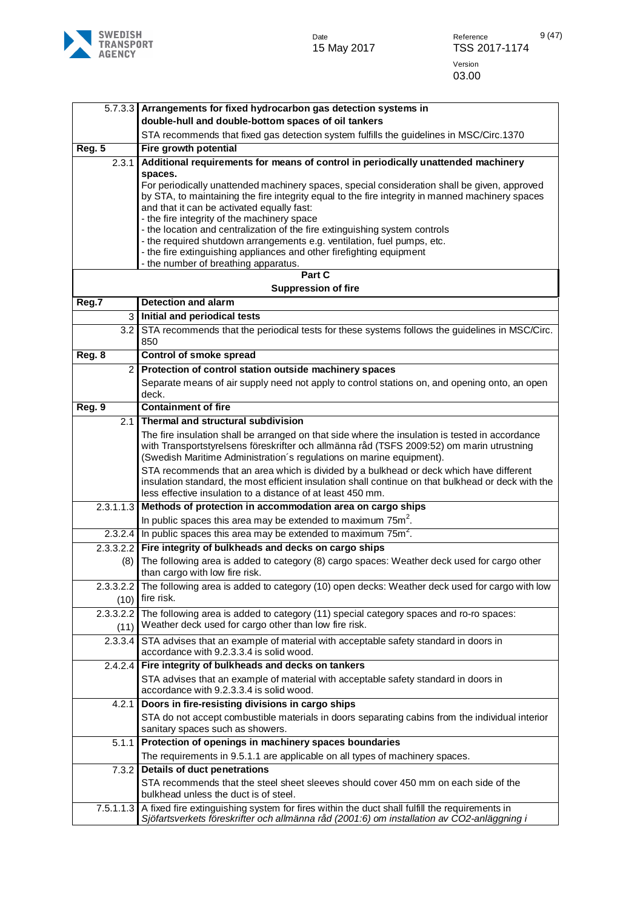

| 5.7.3.3        | Arrangements for fixed hydrocarbon gas detection systems in                                                                         |
|----------------|-------------------------------------------------------------------------------------------------------------------------------------|
|                | double-hull and double-bottom spaces of oil tankers                                                                                 |
|                | STA recommends that fixed gas detection system fulfills the guidelines in MSC/Circ.1370                                             |
| Reg. 5         | Fire growth potential                                                                                                               |
| 2.3.1          | Additional requirements for means of control in periodically unattended machinery                                                   |
|                | spaces.                                                                                                                             |
|                | For periodically unattended machinery spaces, special consideration shall be given, approved                                        |
|                | by STA, to maintaining the fire integrity equal to the fire integrity in manned machinery spaces                                    |
|                | and that it can be activated equally fast:                                                                                          |
|                | - the fire integrity of the machinery space<br>- the location and centralization of the fire extinguishing system controls          |
|                | - the required shutdown arrangements e.g. ventilation, fuel pumps, etc.                                                             |
|                | - the fire extinguishing appliances and other firefighting equipment                                                                |
|                | - the number of breathing apparatus.                                                                                                |
|                | Part C                                                                                                                              |
|                | <b>Suppression of fire</b>                                                                                                          |
| Reg.7          | <b>Detection and alarm</b>                                                                                                          |
| 3              | Initial and periodical tests                                                                                                        |
| 3.2            | STA recommends that the periodical tests for these systems follows the guidelines in MSC/Circ.                                      |
|                | 850                                                                                                                                 |
| Reg. 8         | Control of smoke spread                                                                                                             |
| $\overline{2}$ | Protection of control station outside machinery spaces                                                                              |
|                | Separate means of air supply need not apply to control stations on, and opening onto, an open                                       |
|                | deck.                                                                                                                               |
| Reg. 9         | <b>Containment of fire</b>                                                                                                          |
| 2.1            | Thermal and structural subdivision                                                                                                  |
|                | The fire insulation shall be arranged on that side where the insulation is tested in accordance                                     |
|                | with Transportstyrelsens föreskrifter och allmänna råd (TSFS 2009:52) om marin utrustning                                           |
|                | (Swedish Maritime Administration's regulations on marine equipment).                                                                |
|                | STA recommends that an area which is divided by a bulkhead or deck which have different                                             |
|                | insulation standard, the most efficient insulation shall continue on that bulkhead or deck with the                                 |
|                | less effective insulation to a distance of at least 450 mm.                                                                         |
| 2.3.1.1.3      | Methods of protection in accommodation area on cargo ships                                                                          |
|                | In public spaces this area may be extended to maximum $75m^2$ .                                                                     |
|                | 2.3.2.4 In public spaces this area may be extended to maximum $75m^2$ .                                                             |
| 2.3.3.2.2      | Fire integrity of bulkheads and decks on cargo ships                                                                                |
| (8)            | The following area is added to category (8) cargo spaces: Weather deck used for cargo other                                         |
|                | than cargo with low fire risk.                                                                                                      |
| 2.3.3.2.2      | The following area is added to category (10) open decks: Weather deck used for cargo with low                                       |
| (10)           | fire risk.                                                                                                                          |
| 2.3.3.2.2      | The following area is added to category (11) special category spaces and ro-ro spaces:                                              |
| (11)           | Weather deck used for cargo other than low fire risk.                                                                               |
| 2.3.3.4        | STA advises that an example of material with acceptable safety standard in doors in                                                 |
|                | accordance with 9.2.3.3.4 is solid wood.                                                                                            |
| 2.4.2.4        | Fire integrity of bulkheads and decks on tankers                                                                                    |
|                | STA advises that an example of material with acceptable safety standard in doors in                                                 |
|                | accordance with 9.2.3.3.4 is solid wood.                                                                                            |
| 4.2.1          | Doors in fire-resisting divisions in cargo ships                                                                                    |
|                | STA do not accept combustible materials in doors separating cabins from the individual interior<br>sanitary spaces such as showers. |
|                |                                                                                                                                     |
| 5.1.1          | Protection of openings in machinery spaces boundaries                                                                               |
|                | The requirements in 9.5.1.1 are applicable on all types of machinery spaces.                                                        |
| 7.3.2          | <b>Details of duct penetrations</b>                                                                                                 |
|                | STA recommends that the steel sheet sleeves should cover 450 mm on each side of the<br>bulkhead unless the duct is of steel.        |
| 7.5.1.1.3      | A fixed fire extinguishing system for fires within the duct shall fulfill the requirements in                                       |
|                | Sjöfartsverkets föreskrifter och allmänna råd (2001:6) om installation av CO2-anläggning i                                          |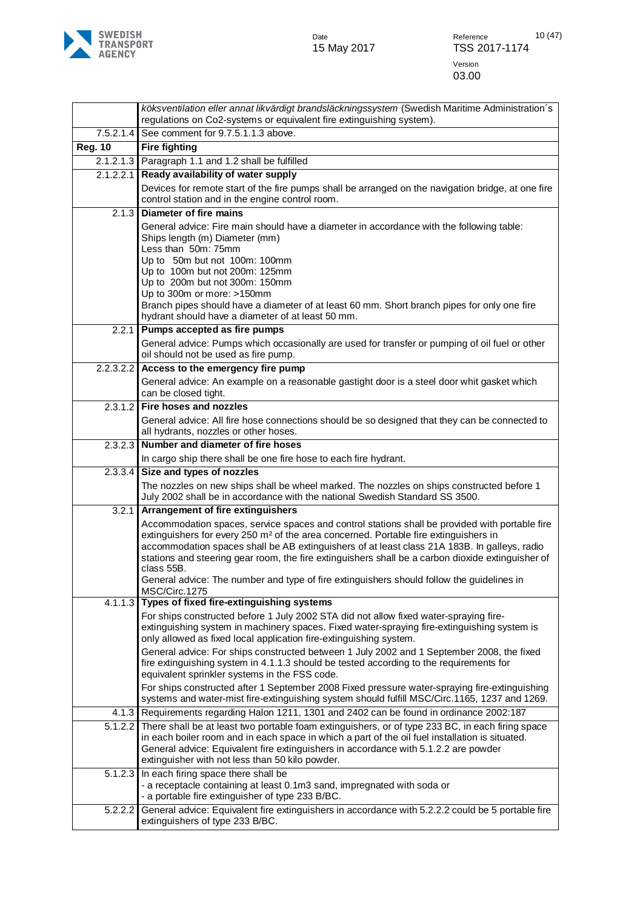

|                      | köksventilation eller annat likvärdigt brandsläckningssystem (Swedish Maritime Administration's<br>regulations on Co2-systems or equivalent fire extinguishing system).                                                                                                                                                                                                                                                                                                                                            |
|----------------------|--------------------------------------------------------------------------------------------------------------------------------------------------------------------------------------------------------------------------------------------------------------------------------------------------------------------------------------------------------------------------------------------------------------------------------------------------------------------------------------------------------------------|
| 7.5.2.1.4            | See comment for 9.7.5.1.1.3 above.                                                                                                                                                                                                                                                                                                                                                                                                                                                                                 |
| <b>Reg. 10</b>       | <b>Fire fighting</b>                                                                                                                                                                                                                                                                                                                                                                                                                                                                                               |
|                      | 2.1.2.1.3 Paragraph 1.1 and 1.2 shall be fulfilled                                                                                                                                                                                                                                                                                                                                                                                                                                                                 |
| 2.1.2.2.1            | Ready availability of water supply                                                                                                                                                                                                                                                                                                                                                                                                                                                                                 |
|                      | Devices for remote start of the fire pumps shall be arranged on the navigation bridge, at one fire                                                                                                                                                                                                                                                                                                                                                                                                                 |
|                      | control station and in the engine control room.                                                                                                                                                                                                                                                                                                                                                                                                                                                                    |
| 2.1.3                | <b>Diameter of fire mains</b>                                                                                                                                                                                                                                                                                                                                                                                                                                                                                      |
|                      | General advice: Fire main should have a diameter in accordance with the following table:<br>Ships length (m) Diameter (mm)<br>Less than 50m: 75mm<br>Up to 50m but not 100m: 100mm<br>Up to 100m but not 200m: 125mm                                                                                                                                                                                                                                                                                               |
|                      | Up to 200m but not 300m: 150mm                                                                                                                                                                                                                                                                                                                                                                                                                                                                                     |
|                      | Up to 300m or more: >150mm<br>Branch pipes should have a diameter of at least 60 mm. Short branch pipes for only one fire<br>hydrant should have a diameter of at least 50 mm.                                                                                                                                                                                                                                                                                                                                     |
| 2.2.1                | Pumps accepted as fire pumps                                                                                                                                                                                                                                                                                                                                                                                                                                                                                       |
|                      | General advice: Pumps which occasionally are used for transfer or pumping of oil fuel or other<br>oil should not be used as fire pump.                                                                                                                                                                                                                                                                                                                                                                             |
| 2.2.3.2.2            | Access to the emergency fire pump                                                                                                                                                                                                                                                                                                                                                                                                                                                                                  |
|                      | General advice: An example on a reasonable gastight door is a steel door whit gasket which<br>can be closed tight.                                                                                                                                                                                                                                                                                                                                                                                                 |
| 2.3.1.2              | Fire hoses and nozzles                                                                                                                                                                                                                                                                                                                                                                                                                                                                                             |
|                      | General advice: All fire hose connections should be so designed that they can be connected to<br>all hydrants, nozzles or other hoses.                                                                                                                                                                                                                                                                                                                                                                             |
| 2.3.2.3              | Number and diameter of fire hoses                                                                                                                                                                                                                                                                                                                                                                                                                                                                                  |
|                      | In cargo ship there shall be one fire hose to each fire hydrant.                                                                                                                                                                                                                                                                                                                                                                                                                                                   |
| 2.3.3.4              | Size and types of nozzles                                                                                                                                                                                                                                                                                                                                                                                                                                                                                          |
|                      | The nozzles on new ships shall be wheel marked. The nozzles on ships constructed before 1<br>July 2002 shall be in accordance with the national Swedish Standard SS 3500.                                                                                                                                                                                                                                                                                                                                          |
| 3.2.1                | Arrangement of fire extinguishers                                                                                                                                                                                                                                                                                                                                                                                                                                                                                  |
|                      | Accommodation spaces, service spaces and control stations shall be provided with portable fire<br>extinguishers for every 250 m <sup>2</sup> of the area concerned. Portable fire extinguishers in<br>accommodation spaces shall be AB extinguishers of at least class 21A 183B. In galleys, radio<br>stations and steering gear room, the fire extinguishers shall be a carbon dioxide extinguisher of<br>class 55B.<br>General advice: The number and type of fire extinguishers should follow the guidelines in |
| $4.1.1.\overline{3}$ | MSC/Circ.1275<br>Types of fixed fire-extinguishing systems                                                                                                                                                                                                                                                                                                                                                                                                                                                         |
|                      | For ships constructed before 1 July 2002 STA did not allow fixed water-spraying fire-<br>extinguishing system in machinery spaces. Fixed water-spraying fire-extinguishing system is<br>only allowed as fixed local application fire-extinguishing system.                                                                                                                                                                                                                                                         |
|                      | General advice: For ships constructed between 1 July 2002 and 1 September 2008, the fixed<br>fire extinguishing system in 4.1.1.3 should be tested according to the requirements for<br>equivalent sprinkler systems in the FSS code.                                                                                                                                                                                                                                                                              |
|                      | For ships constructed after 1 September 2008 Fixed pressure water-spraying fire-extinguishing<br>systems and water-mist fire-extinguishing system should fulfill MSC/Circ.1165, 1237 and 1269.                                                                                                                                                                                                                                                                                                                     |
| 4.1.3                | Requirements regarding Halon 1211, 1301 and 2402 can be found in ordinance 2002:187                                                                                                                                                                                                                                                                                                                                                                                                                                |
| 5.1.2.2              | There shall be at least two portable foam extinguishers, or of type 233 BC, in each firing space<br>in each boiler room and in each space in which a part of the oil fuel installation is situated.<br>General advice: Equivalent fire extinguishers in accordance with 5.1.2.2 are powder<br>extinguisher with not less than 50 kilo powder.                                                                                                                                                                      |
| 5.1.2.3              | In each firing space there shall be<br>- a receptacle containing at least 0.1m3 sand, impregnated with soda or<br>- a portable fire extinguisher of type 233 B/BC.                                                                                                                                                                                                                                                                                                                                                 |
| 5.2.2.2              | General advice: Equivalent fire extinguishers in accordance with 5.2.2.2 could be 5 portable fire<br>extinguishers of type 233 B/BC.                                                                                                                                                                                                                                                                                                                                                                               |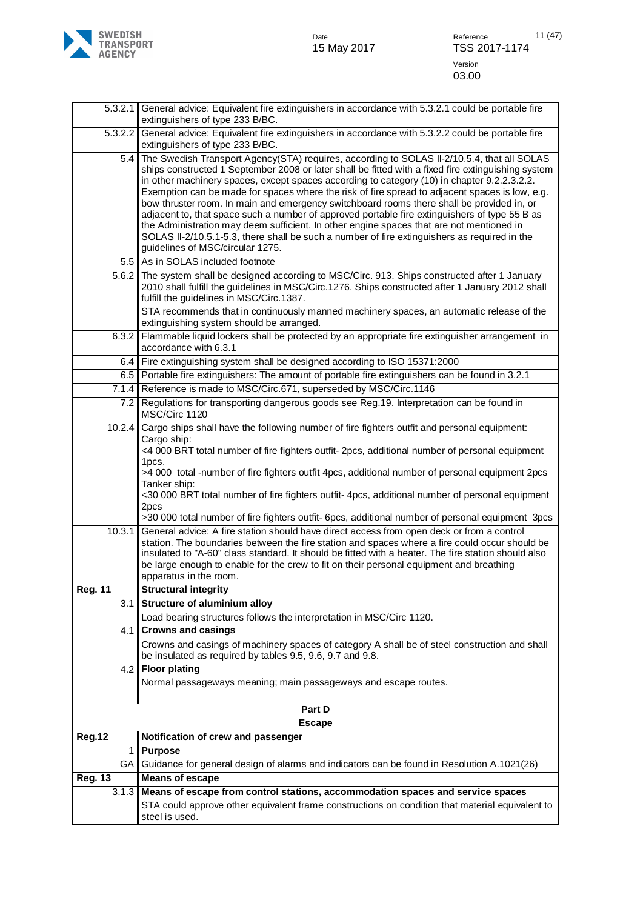

| 5.3.2.1                  | General advice: Equivalent fire extinguishers in accordance with 5.3.2.1 could be portable fire<br>extinguishers of type 233 B/BC.                                                                                                                                                                                                                                                                                                                                                                                                                                                                                                                                                                                                                                                                                              |
|--------------------------|---------------------------------------------------------------------------------------------------------------------------------------------------------------------------------------------------------------------------------------------------------------------------------------------------------------------------------------------------------------------------------------------------------------------------------------------------------------------------------------------------------------------------------------------------------------------------------------------------------------------------------------------------------------------------------------------------------------------------------------------------------------------------------------------------------------------------------|
| 5.3.2.2                  | General advice: Equivalent fire extinguishers in accordance with 5.3.2.2 could be portable fire<br>extinguishers of type 233 B/BC.                                                                                                                                                                                                                                                                                                                                                                                                                                                                                                                                                                                                                                                                                              |
| 5.4                      | The Swedish Transport Agency(STA) requires, according to SOLAS II-2/10.5.4, that all SOLAS<br>ships constructed 1 September 2008 or later shall be fitted with a fixed fire extinguishing system<br>in other machinery spaces, except spaces according to category (10) in chapter 9.2.2.3.2.2.<br>Exemption can be made for spaces where the risk of fire spread to adjacent spaces is low, e.g.<br>bow thruster room. In main and emergency switchboard rooms there shall be provided in, or<br>adjacent to, that space such a number of approved portable fire extinguishers of type 55 B as<br>the Administration may deem sufficient. In other engine spaces that are not mentioned in<br>SOLAS II-2/10.5.1-5.3, there shall be such a number of fire extinguishers as required in the<br>guidelines of MSC/circular 1275. |
| 5.5                      | As in SOLAS included footnote                                                                                                                                                                                                                                                                                                                                                                                                                                                                                                                                                                                                                                                                                                                                                                                                   |
| 5.6.2                    | The system shall be designed according to MSC/Circ. 913. Ships constructed after 1 January<br>2010 shall fulfill the guidelines in MSC/Circ.1276. Ships constructed after 1 January 2012 shall<br>fulfill the guidelines in MSC/Circ.1387.                                                                                                                                                                                                                                                                                                                                                                                                                                                                                                                                                                                      |
|                          | STA recommends that in continuously manned machinery spaces, an automatic release of the<br>extinguishing system should be arranged.                                                                                                                                                                                                                                                                                                                                                                                                                                                                                                                                                                                                                                                                                            |
| 6.3.2                    | Flammable liquid lockers shall be protected by an appropriate fire extinguisher arrangement in<br>accordance with 6.3.1                                                                                                                                                                                                                                                                                                                                                                                                                                                                                                                                                                                                                                                                                                         |
| 6.4                      | Fire extinguishing system shall be designed according to ISO 15371:2000                                                                                                                                                                                                                                                                                                                                                                                                                                                                                                                                                                                                                                                                                                                                                         |
| 6.5                      | Portable fire extinguishers: The amount of portable fire extinguishers can be found in 3.2.1                                                                                                                                                                                                                                                                                                                                                                                                                                                                                                                                                                                                                                                                                                                                    |
| 7.1.4                    | Reference is made to MSC/Circ.671, superseded by MSC/Circ.1146                                                                                                                                                                                                                                                                                                                                                                                                                                                                                                                                                                                                                                                                                                                                                                  |
| 7.2                      | Regulations for transporting dangerous goods see Reg.19. Interpretation can be found in<br>MSC/Circ 1120                                                                                                                                                                                                                                                                                                                                                                                                                                                                                                                                                                                                                                                                                                                        |
| 10.2.4                   | Cargo ships shall have the following number of fire fighters outfit and personal equipment:<br>Cargo ship:<br><4 000 BRT total number of fire fighters outfit- 2pcs, additional number of personal equipment<br>1pcs.                                                                                                                                                                                                                                                                                                                                                                                                                                                                                                                                                                                                           |
|                          | >4 000 total -number of fire fighters outfit 4pcs, additional number of personal equipment 2pcs<br>Tanker ship:                                                                                                                                                                                                                                                                                                                                                                                                                                                                                                                                                                                                                                                                                                                 |
|                          | <30 000 BRT total number of fire fighters outfit- 4pcs, additional number of personal equipment<br>2pcs<br>>30 000 total number of fire fighters outfit- 6pcs, additional number of personal equipment 3pcs                                                                                                                                                                                                                                                                                                                                                                                                                                                                                                                                                                                                                     |
| 10.3.1<br><b>Reg. 11</b> | General advice: A fire station should have direct access from open deck or from a control<br>station. The boundaries between the fire station and spaces where a fire could occur should be<br>insulated to "A-60" class standard. It should be fitted with a heater. The fire station should also<br>be large enough to enable for the crew to fit on their personal equipment and breathing<br>apparatus in the room.<br><b>Structural integrity</b>                                                                                                                                                                                                                                                                                                                                                                          |
| 3.1                      | <b>Structure of aluminium alloy</b>                                                                                                                                                                                                                                                                                                                                                                                                                                                                                                                                                                                                                                                                                                                                                                                             |
|                          | Load bearing structures follows the interpretation in MSC/Circ 1120.                                                                                                                                                                                                                                                                                                                                                                                                                                                                                                                                                                                                                                                                                                                                                            |
| 4.1                      | <b>Crowns and casings</b>                                                                                                                                                                                                                                                                                                                                                                                                                                                                                                                                                                                                                                                                                                                                                                                                       |
|                          | Crowns and casings of machinery spaces of category A shall be of steel construction and shall<br>be insulated as required by tables 9.5, 9.6, 9.7 and 9.8.                                                                                                                                                                                                                                                                                                                                                                                                                                                                                                                                                                                                                                                                      |
| 4.2 <sub>1</sub>         | <b>Floor plating</b>                                                                                                                                                                                                                                                                                                                                                                                                                                                                                                                                                                                                                                                                                                                                                                                                            |
|                          | Normal passageways meaning; main passageways and escape routes.                                                                                                                                                                                                                                                                                                                                                                                                                                                                                                                                                                                                                                                                                                                                                                 |
|                          | Part D                                                                                                                                                                                                                                                                                                                                                                                                                                                                                                                                                                                                                                                                                                                                                                                                                          |
|                          | <b>Escape</b>                                                                                                                                                                                                                                                                                                                                                                                                                                                                                                                                                                                                                                                                                                                                                                                                                   |
| <b>Reg.12</b>            | Notification of crew and passenger                                                                                                                                                                                                                                                                                                                                                                                                                                                                                                                                                                                                                                                                                                                                                                                              |
| 1                        | <b>Purpose</b>                                                                                                                                                                                                                                                                                                                                                                                                                                                                                                                                                                                                                                                                                                                                                                                                                  |
| GA                       | Guidance for general design of alarms and indicators can be found in Resolution A.1021(26)                                                                                                                                                                                                                                                                                                                                                                                                                                                                                                                                                                                                                                                                                                                                      |
| <b>Reg. 13</b>           | <b>Means of escape</b>                                                                                                                                                                                                                                                                                                                                                                                                                                                                                                                                                                                                                                                                                                                                                                                                          |
| 3.1.3                    | Means of escape from control stations, accommodation spaces and service spaces                                                                                                                                                                                                                                                                                                                                                                                                                                                                                                                                                                                                                                                                                                                                                  |
|                          | STA could approve other equivalent frame constructions on condition that material equivalent to<br>steel is used.                                                                                                                                                                                                                                                                                                                                                                                                                                                                                                                                                                                                                                                                                                               |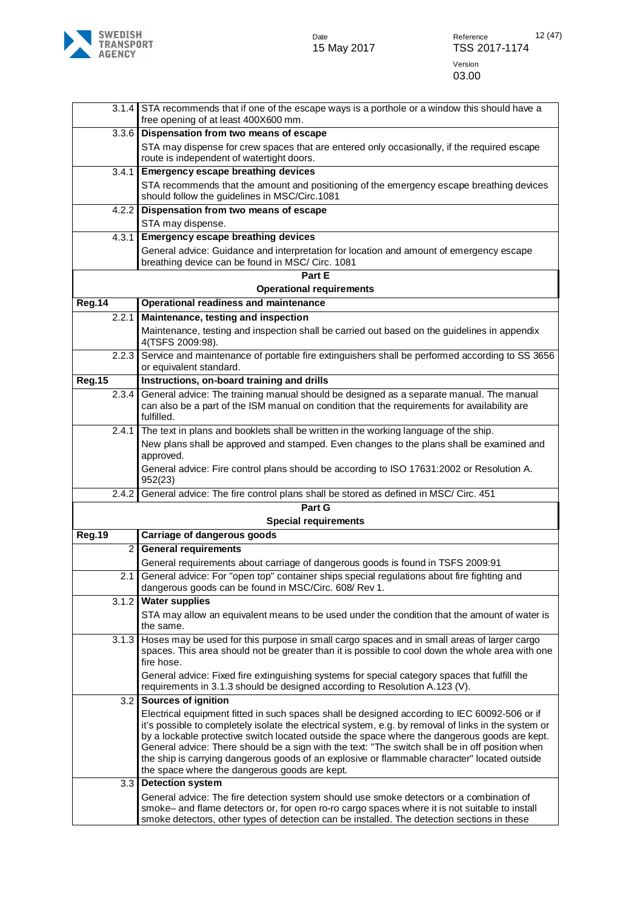

|                | 3.1.4 STA recommends that if one of the escape ways is a porthole or a window this should have a<br>free opening of at least 400X600 mm.                                                                                                                                                                                                                                                                                                                                                                  |
|----------------|-----------------------------------------------------------------------------------------------------------------------------------------------------------------------------------------------------------------------------------------------------------------------------------------------------------------------------------------------------------------------------------------------------------------------------------------------------------------------------------------------------------|
| 3.3.6          | Dispensation from two means of escape                                                                                                                                                                                                                                                                                                                                                                                                                                                                     |
|                | STA may dispense for crew spaces that are entered only occasionally, if the required escape<br>route is independent of watertight doors.                                                                                                                                                                                                                                                                                                                                                                  |
| 3.4.1          | <b>Emergency escape breathing devices</b>                                                                                                                                                                                                                                                                                                                                                                                                                                                                 |
|                | STA recommends that the amount and positioning of the emergency escape breathing devices<br>should follow the guidelines in MSC/Circ.1081                                                                                                                                                                                                                                                                                                                                                                 |
| 4.2.2          | Dispensation from two means of escape                                                                                                                                                                                                                                                                                                                                                                                                                                                                     |
|                | STA may dispense.                                                                                                                                                                                                                                                                                                                                                                                                                                                                                         |
| 4.3.1          | <b>Emergency escape breathing devices</b>                                                                                                                                                                                                                                                                                                                                                                                                                                                                 |
|                | General advice: Guidance and interpretation for location and amount of emergency escape<br>breathing device can be found in MSC/ Circ. 1081                                                                                                                                                                                                                                                                                                                                                               |
|                | Part E                                                                                                                                                                                                                                                                                                                                                                                                                                                                                                    |
|                | <b>Operational requirements</b>                                                                                                                                                                                                                                                                                                                                                                                                                                                                           |
| <b>Reg.14</b>  | Operational readiness and maintenance                                                                                                                                                                                                                                                                                                                                                                                                                                                                     |
| 2.2.1          | Maintenance, testing and inspection                                                                                                                                                                                                                                                                                                                                                                                                                                                                       |
|                | Maintenance, testing and inspection shall be carried out based on the guidelines in appendix<br>4(TSFS 2009:98).                                                                                                                                                                                                                                                                                                                                                                                          |
| 2.2.3          | Service and maintenance of portable fire extinguishers shall be performed according to SS 3656<br>or equivalent standard.                                                                                                                                                                                                                                                                                                                                                                                 |
| <b>Reg.15</b>  | Instructions, on-board training and drills                                                                                                                                                                                                                                                                                                                                                                                                                                                                |
| 2.3.4          | General advice: The training manual should be designed as a separate manual. The manual<br>can also be a part of the ISM manual on condition that the requirements for availability are<br>fulfilled.                                                                                                                                                                                                                                                                                                     |
| 2.4.1          | The text in plans and booklets shall be written in the working language of the ship.                                                                                                                                                                                                                                                                                                                                                                                                                      |
|                | New plans shall be approved and stamped. Even changes to the plans shall be examined and<br>approved.                                                                                                                                                                                                                                                                                                                                                                                                     |
|                | General advice: Fire control plans should be according to ISO 17631:2002 or Resolution A.<br>952(23)                                                                                                                                                                                                                                                                                                                                                                                                      |
| 2.4.2          | General advice: The fire control plans shall be stored as defined in MSC/ Circ. 451                                                                                                                                                                                                                                                                                                                                                                                                                       |
|                | Part G                                                                                                                                                                                                                                                                                                                                                                                                                                                                                                    |
|                | <b>Special requirements</b>                                                                                                                                                                                                                                                                                                                                                                                                                                                                               |
| <b>Reg.19</b>  | Carriage of dangerous goods                                                                                                                                                                                                                                                                                                                                                                                                                                                                               |
| $\overline{2}$ | <b>General requirements</b>                                                                                                                                                                                                                                                                                                                                                                                                                                                                               |
| 2.1            | General requirements about carriage of dangerous goods is found in TSFS 2009:91<br>General advice: For "open top" container ships special regulations about fire fighting and                                                                                                                                                                                                                                                                                                                             |
|                | dangerous goods can be found in MSC/Circ. 608/ Rev 1.                                                                                                                                                                                                                                                                                                                                                                                                                                                     |
| 3.1.2          | <b>Water supplies</b>                                                                                                                                                                                                                                                                                                                                                                                                                                                                                     |
|                | STA may allow an equivalent means to be used under the condition that the amount of water is<br>the same.                                                                                                                                                                                                                                                                                                                                                                                                 |
| 3.1.3          | Hoses may be used for this purpose in small cargo spaces and in small areas of larger cargo                                                                                                                                                                                                                                                                                                                                                                                                               |
|                | spaces. This area should not be greater than it is possible to cool down the whole area with one<br>fire hose.                                                                                                                                                                                                                                                                                                                                                                                            |
|                | General advice: Fixed fire extinguishing systems for special category spaces that fulfill the                                                                                                                                                                                                                                                                                                                                                                                                             |
|                | requirements in 3.1.3 should be designed according to Resolution A.123 (V).                                                                                                                                                                                                                                                                                                                                                                                                                               |
| 3.2            | <b>Sources of ignition</b>                                                                                                                                                                                                                                                                                                                                                                                                                                                                                |
|                | Electrical equipment fitted in such spaces shall be designed according to IEC 60092-506 or if<br>it's possible to completely isolate the electrical system, e.g. by removal of links in the system or<br>by a lockable protective switch located outside the space where the dangerous goods are kept.<br>General advice: There should be a sign with the text: "The switch shall be in off position when<br>the ship is carrying dangerous goods of an explosive or flammable character" located outside |
|                | the space where the dangerous goods are kept.                                                                                                                                                                                                                                                                                                                                                                                                                                                             |
| 3.3            | <b>Detection system</b>                                                                                                                                                                                                                                                                                                                                                                                                                                                                                   |
|                | General advice: The fire detection system should use smoke detectors or a combination of<br>smoke- and flame detectors or, for open ro-ro cargo spaces where it is not suitable to install<br>smoke detectors, other types of detection can be installed. The detection sections in these                                                                                                                                                                                                                 |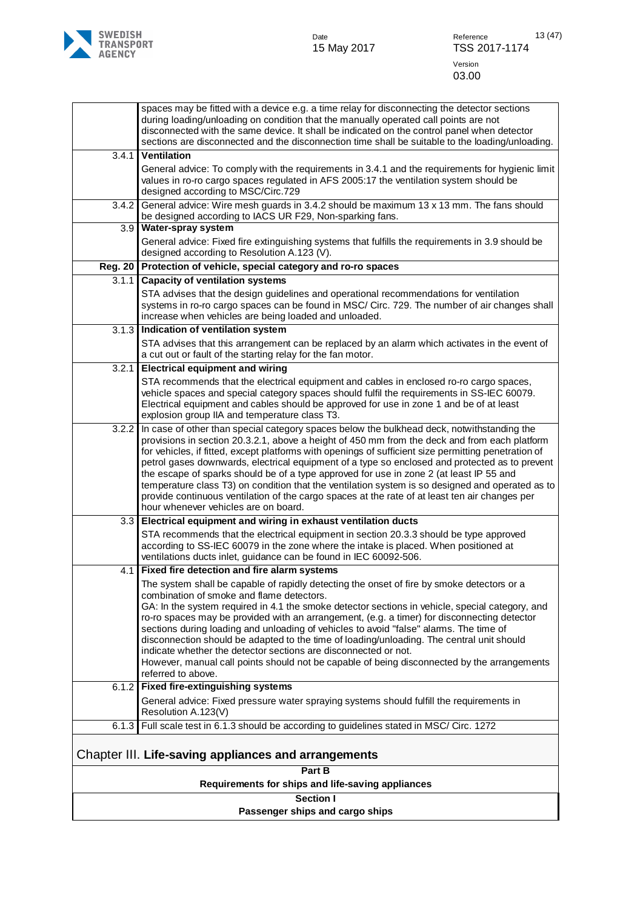

|                                                      | spaces may be fitted with a device e.g. a time relay for disconnecting the detector sections<br>during loading/unloading on condition that the manually operated call points are not<br>disconnected with the same device. It shall be indicated on the control panel when detector                                                                                                                                                                                                                                                                                                                                                                                                                                                            |  |
|------------------------------------------------------|------------------------------------------------------------------------------------------------------------------------------------------------------------------------------------------------------------------------------------------------------------------------------------------------------------------------------------------------------------------------------------------------------------------------------------------------------------------------------------------------------------------------------------------------------------------------------------------------------------------------------------------------------------------------------------------------------------------------------------------------|--|
|                                                      | sections are disconnected and the disconnection time shall be suitable to the loading/unloading.                                                                                                                                                                                                                                                                                                                                                                                                                                                                                                                                                                                                                                               |  |
| 3.4.1                                                | <b>Ventilation</b><br>General advice: To comply with the requirements in 3.4.1 and the requirements for hygienic limit<br>values in ro-ro cargo spaces regulated in AFS 2005:17 the ventilation system should be<br>designed according to MSC/Circ.729                                                                                                                                                                                                                                                                                                                                                                                                                                                                                         |  |
| 3.4.2                                                | General advice: Wire mesh guards in 3.4.2 should be maximum 13 x 13 mm. The fans should<br>be designed according to IACS UR F29, Non-sparking fans.                                                                                                                                                                                                                                                                                                                                                                                                                                                                                                                                                                                            |  |
| 3.9                                                  | Water-spray system                                                                                                                                                                                                                                                                                                                                                                                                                                                                                                                                                                                                                                                                                                                             |  |
|                                                      | General advice: Fixed fire extinguishing systems that fulfills the requirements in 3.9 should be<br>designed according to Resolution A.123 (V).                                                                                                                                                                                                                                                                                                                                                                                                                                                                                                                                                                                                |  |
| <b>Reg. 20</b>                                       | Protection of vehicle, special category and ro-ro spaces                                                                                                                                                                                                                                                                                                                                                                                                                                                                                                                                                                                                                                                                                       |  |
| 3.1.1                                                | <b>Capacity of ventilation systems</b>                                                                                                                                                                                                                                                                                                                                                                                                                                                                                                                                                                                                                                                                                                         |  |
|                                                      | STA advises that the design guidelines and operational recommendations for ventilation<br>systems in ro-ro cargo spaces can be found in MSC/ Circ. 729. The number of air changes shall<br>increase when vehicles are being loaded and unloaded.                                                                                                                                                                                                                                                                                                                                                                                                                                                                                               |  |
| 3.1.3                                                | Indication of ventilation system                                                                                                                                                                                                                                                                                                                                                                                                                                                                                                                                                                                                                                                                                                               |  |
|                                                      | STA advises that this arrangement can be replaced by an alarm which activates in the event of<br>a cut out or fault of the starting relay for the fan motor.                                                                                                                                                                                                                                                                                                                                                                                                                                                                                                                                                                                   |  |
| 3.2.1                                                | <b>Electrical equipment and wiring</b>                                                                                                                                                                                                                                                                                                                                                                                                                                                                                                                                                                                                                                                                                                         |  |
|                                                      | STA recommends that the electrical equipment and cables in enclosed ro-ro cargo spaces,<br>vehicle spaces and special category spaces should fulfil the requirements in SS-IEC 60079.<br>Electrical equipment and cables should be approved for use in zone 1 and be of at least<br>explosion group IIA and temperature class T3.                                                                                                                                                                                                                                                                                                                                                                                                              |  |
| 3.2.2                                                | In case of other than special category spaces below the bulkhead deck, notwithstanding the<br>provisions in section 20.3.2.1, above a height of 450 mm from the deck and from each platform<br>for vehicles, if fitted, except platforms with openings of sufficient size permitting penetration of<br>petrol gases downwards, electrical equipment of a type so enclosed and protected as to prevent<br>the escape of sparks should be of a type approved for use in zone 2 (at least IP 55 and<br>temperature class T3) on condition that the ventilation system is so designed and operated as to<br>provide continuous ventilation of the cargo spaces at the rate of at least ten air changes per<br>hour whenever vehicles are on board. |  |
| 3.3                                                  | Electrical equipment and wiring in exhaust ventilation ducts                                                                                                                                                                                                                                                                                                                                                                                                                                                                                                                                                                                                                                                                                   |  |
|                                                      | STA recommends that the electrical equipment in section 20.3.3 should be type approved<br>according to SS-IEC 60079 in the zone where the intake is placed. When positioned at<br>ventilations ducts inlet, guidance can be found in IEC 60092-506.                                                                                                                                                                                                                                                                                                                                                                                                                                                                                            |  |
| 4.1                                                  | Fixed fire detection and fire alarm systems                                                                                                                                                                                                                                                                                                                                                                                                                                                                                                                                                                                                                                                                                                    |  |
|                                                      | The system shall be capable of rapidly detecting the onset of fire by smoke detectors or a<br>combination of smoke and flame detectors.<br>GA: In the system required in 4.1 the smoke detector sections in vehicle, special category, and<br>ro-ro spaces may be provided with an arrangement, (e.g. a timer) for disconnecting detector<br>sections during loading and unloading of vehicles to avoid "false" alarms. The time of<br>disconnection should be adapted to the time of loading/unloading. The central unit should<br>indicate whether the detector sections are disconnected or not.<br>However, manual call points should not be capable of being disconnected by the arrangements<br>referred to above.                       |  |
| 6.1.2                                                | <b>Fixed fire-extinguishing systems</b>                                                                                                                                                                                                                                                                                                                                                                                                                                                                                                                                                                                                                                                                                                        |  |
|                                                      | General advice: Fixed pressure water spraying systems should fulfill the requirements in<br>Resolution A.123(V)                                                                                                                                                                                                                                                                                                                                                                                                                                                                                                                                                                                                                                |  |
| 6.1.3                                                | Full scale test in 6.1.3 should be according to guidelines stated in MSC/ Circ. 1272                                                                                                                                                                                                                                                                                                                                                                                                                                                                                                                                                                                                                                                           |  |
| Chapter III. Life-saving appliances and arrangements |                                                                                                                                                                                                                                                                                                                                                                                                                                                                                                                                                                                                                                                                                                                                                |  |
| Part B                                               |                                                                                                                                                                                                                                                                                                                                                                                                                                                                                                                                                                                                                                                                                                                                                |  |
| Requirements for ships and life-saving appliances    |                                                                                                                                                                                                                                                                                                                                                                                                                                                                                                                                                                                                                                                                                                                                                |  |

**Section I**

<span id="page-12-0"></span>**Passenger ships and cargo ships**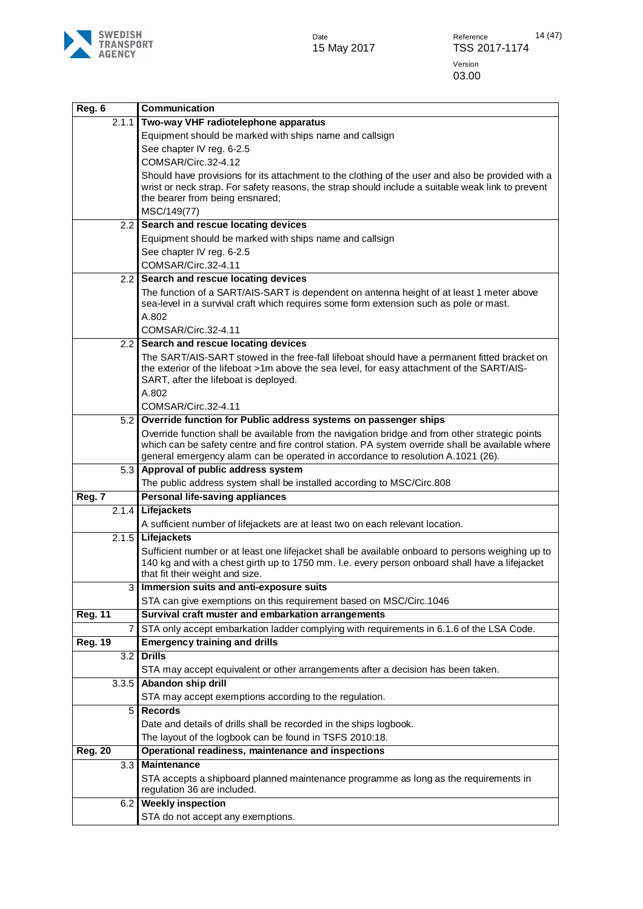

| Reg. 6         | <b>Communication</b>                                                                                                                                                                                |
|----------------|-----------------------------------------------------------------------------------------------------------------------------------------------------------------------------------------------------|
| 2.1.1          | Two-way VHF radiotelephone apparatus                                                                                                                                                                |
|                | Equipment should be marked with ships name and callsign                                                                                                                                             |
|                | See chapter IV reg. 6-2.5                                                                                                                                                                           |
|                | COMSAR/Circ.32-4.12                                                                                                                                                                                 |
|                | Should have provisions for its attachment to the clothing of the user and also be provided with a                                                                                                   |
|                | wrist or neck strap. For safety reasons, the strap should include a suitable weak link to prevent                                                                                                   |
|                | the bearer from being ensnared;                                                                                                                                                                     |
|                | MSC/149(77)<br>Search and rescue locating devices                                                                                                                                                   |
| 2.2            | Equipment should be marked with ships name and callsign                                                                                                                                             |
|                | See chapter IV reg. 6-2.5                                                                                                                                                                           |
|                | COMSAR/Circ.32-4.11                                                                                                                                                                                 |
| 2.2            | Search and rescue locating devices                                                                                                                                                                  |
|                | The function of a SART/AIS-SART is dependent on antenna height of at least 1 meter above                                                                                                            |
|                | sea-level in a survival craft which requires some form extension such as pole or mast.                                                                                                              |
|                | A.802                                                                                                                                                                                               |
|                | COMSAR/Circ.32-4.11                                                                                                                                                                                 |
| 2.2            | Search and rescue locating devices                                                                                                                                                                  |
|                | The SART/AIS-SART stowed in the free-fall lifeboat should have a permanent fitted bracket on                                                                                                        |
|                | the exterior of the lifeboat >1m above the sea level, for easy attachment of the SART/AIS-                                                                                                          |
|                | SART, after the lifeboat is deployed.                                                                                                                                                               |
|                | A.802                                                                                                                                                                                               |
|                | COMSAR/Circ.32-4.11                                                                                                                                                                                 |
| 5.2            | Override function for Public address systems on passenger ships                                                                                                                                     |
|                | Override function shall be available from the navigation bridge and from other strategic points<br>which can be safety centre and fire control station. PA system override shall be available where |
|                | general emergency alarm can be operated in accordance to resolution A.1021 (26).                                                                                                                    |
| 5.3            | Approval of public address system                                                                                                                                                                   |
|                | The public address system shall be installed according to MSC/Circ.808                                                                                                                              |
| Reg. 7         | <b>Personal life-saving appliances</b>                                                                                                                                                              |
| 2.1.4          | Lifejackets                                                                                                                                                                                         |
|                | A sufficient number of lifejackets are at least two on each relevant location.                                                                                                                      |
| 2.1.5          | Lifejackets                                                                                                                                                                                         |
|                | Sufficient number or at least one lifejacket shall be available onboard to persons weighing up to                                                                                                   |
|                | 140 kg and with a chest girth up to 1750 mm. I.e. every person onboard shall have a lifejacket<br>that fit their weight and size.                                                                   |
|                | Immersion suits and anti-exposure suits                                                                                                                                                             |
|                | STA can give exemptions on this requirement based on MSC/Circ.1046                                                                                                                                  |
| <b>Reg. 11</b> | Survival craft muster and embarkation arrangements                                                                                                                                                  |
| $\overline{7}$ | STA only accept embarkation ladder complying with requirements in 6.1.6 of the LSA Code.                                                                                                            |
| <b>Reg. 19</b> | <b>Emergency training and drills</b>                                                                                                                                                                |
| 3.2            | <b>Drills</b>                                                                                                                                                                                       |
|                | STA may accept equivalent or other arrangements after a decision has been taken.                                                                                                                    |
| 3.3.5          | Abandon ship drill                                                                                                                                                                                  |
|                | STA may accept exemptions according to the regulation.                                                                                                                                              |
| 5              | <b>Records</b>                                                                                                                                                                                      |
|                | Date and details of drills shall be recorded in the ships logbook.                                                                                                                                  |
|                | The layout of the logbook can be found in TSFS 2010:18.                                                                                                                                             |
| <b>Reg. 20</b> | Operational readiness, maintenance and inspections                                                                                                                                                  |
| 3.3            | <b>Maintenance</b>                                                                                                                                                                                  |
|                | STA accepts a shipboard planned maintenance programme as long as the requirements in                                                                                                                |
|                | regulation 36 are included.                                                                                                                                                                         |
| 6.2            | <b>Weekly inspection</b>                                                                                                                                                                            |
|                | STA do not accept any exemptions.                                                                                                                                                                   |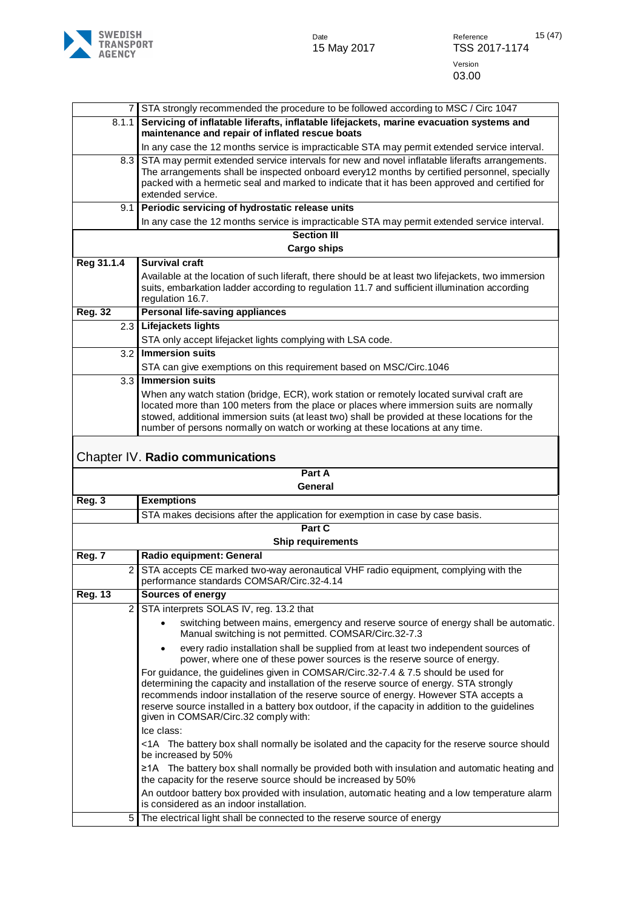

<span id="page-14-0"></span>

|                |                | STA strongly recommended the procedure to be followed according to MSC / Circ 1047                                                                                           |
|----------------|----------------|------------------------------------------------------------------------------------------------------------------------------------------------------------------------------|
|                | 8.1.1          | Servicing of inflatable liferafts, inflatable lifejackets, marine evacuation systems and<br>maintenance and repair of inflated rescue boats                                  |
|                |                | In any case the 12 months service is impracticable STA may permit extended service interval.                                                                                 |
|                | 8.3            | STA may permit extended service intervals for new and novel inflatable liferafts arrangements.                                                                               |
|                |                | The arrangements shall be inspected onboard every12 months by certified personnel, specially                                                                                 |
|                |                | packed with a hermetic seal and marked to indicate that it has been approved and certified for                                                                               |
|                |                | extended service.                                                                                                                                                            |
|                | 9.1            | Periodic servicing of hydrostatic release units                                                                                                                              |
|                |                | In any case the 12 months service is impracticable STA may permit extended service interval.                                                                                 |
|                |                | <b>Section III</b><br><b>Cargo ships</b>                                                                                                                                     |
| Reg 31.1.4     |                | <b>Survival craft</b>                                                                                                                                                        |
|                |                | Available at the location of such liferaft, there should be at least two lifejackets, two immersion                                                                          |
|                |                | suits, embarkation ladder according to regulation 11.7 and sufficient illumination according                                                                                 |
|                |                | regulation 16.7.                                                                                                                                                             |
| <b>Reg. 32</b> |                | Personal life-saving appliances                                                                                                                                              |
|                |                | 2.3 Lifejackets lights                                                                                                                                                       |
|                |                | STA only accept lifejacket lights complying with LSA code.                                                                                                                   |
|                | 3.2            | <b>Immersion suits</b>                                                                                                                                                       |
|                |                | STA can give exemptions on this requirement based on MSC/Circ.1046                                                                                                           |
|                | 3.3            | <b>Immersion suits</b>                                                                                                                                                       |
|                |                | When any watch station (bridge, ECR), work station or remotely located survival craft are                                                                                    |
|                |                | located more than 100 meters from the place or places where immersion suits are normally                                                                                     |
|                |                | stowed, additional immersion suits (at least two) shall be provided at these locations for the                                                                               |
|                |                | number of persons normally on watch or working at these locations at any time.                                                                                               |
|                |                | Chapter IV. Radio communications                                                                                                                                             |
|                |                | Part A                                                                                                                                                                       |
|                |                | General                                                                                                                                                                      |
| Reg. 3         |                | <b>Exemptions</b>                                                                                                                                                            |
|                |                | STA makes decisions after the application for exemption in case by case basis.                                                                                               |
|                |                | Part C                                                                                                                                                                       |
|                |                | <b>Ship requirements</b>                                                                                                                                                     |
| Reg. 7         |                | Radio equipment: General                                                                                                                                                     |
|                | $\overline{2}$ | STA accepts CE marked two-way aeronautical VHF radio equipment, complying with the                                                                                           |
|                |                | performance standards COMSAR/Circ.32-4.14                                                                                                                                    |
| <b>Reg. 13</b> |                | Sources of energy                                                                                                                                                            |
|                | $\overline{2}$ | STA interprets SOLAS IV, reg. 13.2 that                                                                                                                                      |
|                |                | switching between mains, emergency and reserve source of energy shall be automatic.<br>Manual switching is not permitted. COMSAR/Circ.32-7.3                                 |
|                |                | every radio installation shall be supplied from at least two independent sources of<br>$\bullet$<br>power, where one of these power sources is the reserve source of energy. |
|                |                | For guidance, the guidelines given in COMSAR/Circ.32-7.4 & 7.5 should be used for                                                                                            |
|                |                | determining the capacity and installation of the reserve source of energy. STA strongly                                                                                      |
|                |                | recommends indoor installation of the reserve source of energy. However STA accepts a                                                                                        |
|                |                | reserve source installed in a battery box outdoor, if the capacity in addition to the guidelines                                                                             |
|                |                | given in COMSAR/Circ.32 comply with:                                                                                                                                         |
|                |                | Ice class:                                                                                                                                                                   |
|                |                | <1A The battery box shall normally be isolated and the capacity for the reserve source should<br>be increased by 50%                                                         |
|                |                | ≥1A The battery box shall normally be provided both with insulation and automatic heating and<br>the capacity for the reserve source should be increased by 50%              |
|                |                | An outdoor battery box provided with insulation, automatic heating and a low temperature alarm                                                                               |
|                |                | is considered as an indoor installation.                                                                                                                                     |
|                | 5              | The electrical light shall be connected to the reserve source of energy                                                                                                      |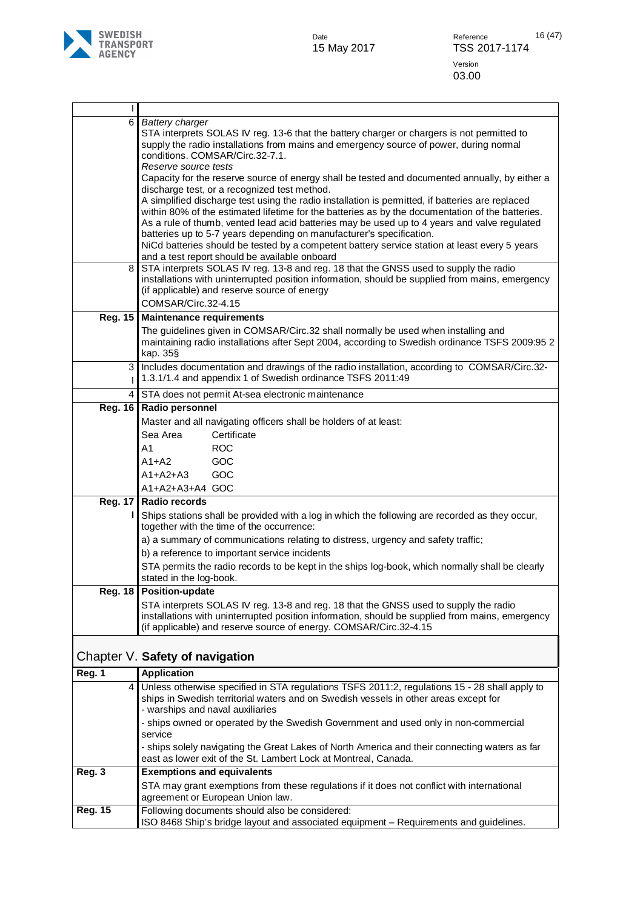

| 6              | <b>Battery charger</b>                                                                                                                                                                           |  |
|----------------|--------------------------------------------------------------------------------------------------------------------------------------------------------------------------------------------------|--|
|                | STA interprets SOLAS IV reg. 13-6 that the battery charger or chargers is not permitted to<br>supply the radio installations from mains and emergency source of power, during normal             |  |
|                | conditions. COMSAR/Circ.32-7.1.                                                                                                                                                                  |  |
|                | Reserve source tests                                                                                                                                                                             |  |
|                | Capacity for the reserve source of energy shall be tested and documented annually, by either a<br>discharge test, or a recognized test method.                                                   |  |
|                | A simplified discharge test using the radio installation is permitted, if batteries are replaced                                                                                                 |  |
|                | within 80% of the estimated lifetime for the batteries as by the documentation of the batteries.<br>As a rule of thumb, vented lead acid batteries may be used up to 4 years and valve regulated |  |
|                | batteries up to 5-7 years depending on manufacturer's specification.                                                                                                                             |  |
|                | NiCd batteries should be tested by a competent battery service station at least every 5 years                                                                                                    |  |
|                | and a test report should be available onboard                                                                                                                                                    |  |
| 8              | STA interprets SOLAS IV reg. 13-8 and reg. 18 that the GNSS used to supply the radio<br>installations with uninterrupted position information, should be supplied from mains, emergency          |  |
|                | (if applicable) and reserve source of energy                                                                                                                                                     |  |
|                | COMSAR/Circ.32-4.15                                                                                                                                                                              |  |
| Reg. 15        | <b>Maintenance requirements</b>                                                                                                                                                                  |  |
|                | The guidelines given in COMSAR/Circ.32 shall normally be used when installing and                                                                                                                |  |
|                | maintaining radio installations after Sept 2004, according to Swedish ordinance TSFS 2009:95 2<br>kap. 35§                                                                                       |  |
| 3              | Includes documentation and drawings of the radio installation, according to COMSAR/Circ.32-                                                                                                      |  |
|                | 1.3.1/1.4 and appendix 1 of Swedish ordinance TSFS 2011:49                                                                                                                                       |  |
| 4              | STA does not permit At-sea electronic maintenance                                                                                                                                                |  |
| <b>Reg. 16</b> | Radio personnel                                                                                                                                                                                  |  |
|                | Master and all navigating officers shall be holders of at least:                                                                                                                                 |  |
|                | Sea Area<br>Certificate                                                                                                                                                                          |  |
|                | A1<br><b>ROC</b>                                                                                                                                                                                 |  |
|                | GOC<br>A1+A2                                                                                                                                                                                     |  |
|                | GOC<br>$A1+A2+A3$                                                                                                                                                                                |  |
| <b>Reg. 17</b> | A1+A2+A3+A4 GOC<br>Radio records                                                                                                                                                                 |  |
|                | Ships stations shall be provided with a log in which the following are recorded as they occur,                                                                                                   |  |
|                | together with the time of the occurrence:                                                                                                                                                        |  |
|                | a) a summary of communications relating to distress, urgency and safety traffic;                                                                                                                 |  |
|                | b) a reference to important service incidents                                                                                                                                                    |  |
|                | STA permits the radio records to be kept in the ships log-book, which normally shall be clearly<br>stated in the log-book.                                                                       |  |
|                | Reg. 18 Position-update                                                                                                                                                                          |  |
|                | STA interprets SOLAS IV reg. 13-8 and reg. 18 that the GNSS used to supply the radio                                                                                                             |  |
|                | installations with uninterrupted position information, should be supplied from mains, emergency<br>(if applicable) and reserve source of energy. COMSAR/Circ.32-4.15                             |  |
|                |                                                                                                                                                                                                  |  |
|                | Chapter V. Safety of navigation                                                                                                                                                                  |  |
| Reg. 1         | <b>Application</b>                                                                                                                                                                               |  |
| 4              | Unless otherwise specified in STA regulations TSFS 2011:2, regulations 15 - 28 shall apply to<br>ships in Swedish territorial waters and on Swedish vessels in other areas except for            |  |

- ships owned or operated by the Swedish Government and used only in non-commercial

STA may grant exemptions from these regulations if it does not conflict with international

ISO 8468 Ship's bridge layout and associated equipment – Requirements and guidelines.

east as lower exit of the St. Lambert Lock at Montreal, Canada.

- ships solely navigating the Great Lakes of North America and their connecting waters as far

<span id="page-15-0"></span>- warships and naval auxiliaries

agreement or European Union law. **Reg. 15** Following documents should also be considered:

service

**Reg. 3 Exemptions and equivalents**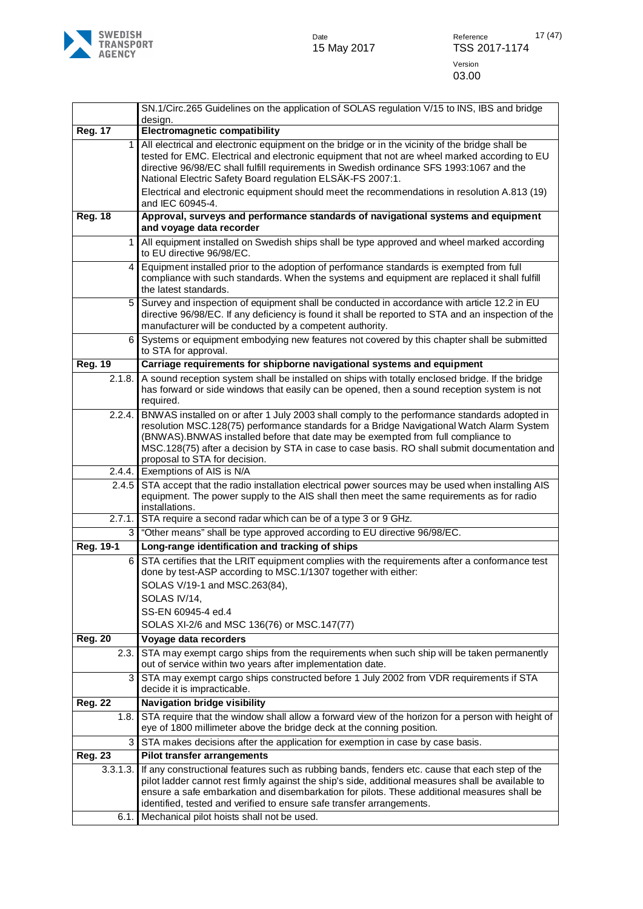

|                  | SN.1/Circ.265 Guidelines on the application of SOLAS regulation V/15 to INS, IBS and bridge                                                                                                                                                                                                                                                                                                                                                 |
|------------------|---------------------------------------------------------------------------------------------------------------------------------------------------------------------------------------------------------------------------------------------------------------------------------------------------------------------------------------------------------------------------------------------------------------------------------------------|
|                  | design.                                                                                                                                                                                                                                                                                                                                                                                                                                     |
| <b>Reg. 17</b>   | <b>Electromagnetic compatibility</b>                                                                                                                                                                                                                                                                                                                                                                                                        |
| $\mathbf{1}$     | All electrical and electronic equipment on the bridge or in the vicinity of the bridge shall be<br>tested for EMC. Electrical and electronic equipment that not are wheel marked according to EU<br>directive 96/98/EC shall fulfill requirements in Swedish ordinance SFS 1993:1067 and the<br>National Electric Safety Board regulation ELSÄK-FS 2007:1.                                                                                  |
|                  | Electrical and electronic equipment should meet the recommendations in resolution A.813 (19)<br>and IEC 60945-4.                                                                                                                                                                                                                                                                                                                            |
| <b>Reg. 18</b>   | Approval, surveys and performance standards of navigational systems and equipment<br>and voyage data recorder                                                                                                                                                                                                                                                                                                                               |
| $\mathbf{1}$     | All equipment installed on Swedish ships shall be type approved and wheel marked according<br>to EU directive 96/98/EC.                                                                                                                                                                                                                                                                                                                     |
| 4                | Equipment installed prior to the adoption of performance standards is exempted from full<br>compliance with such standards. When the systems and equipment are replaced it shall fulfill<br>the latest standards.                                                                                                                                                                                                                           |
| 5                | Survey and inspection of equipment shall be conducted in accordance with article 12.2 in EU<br>directive 96/98/EC. If any deficiency is found it shall be reported to STA and an inspection of the<br>manufacturer will be conducted by a competent authority.                                                                                                                                                                              |
| 6                | Systems or equipment embodying new features not covered by this chapter shall be submitted<br>to STA for approval.                                                                                                                                                                                                                                                                                                                          |
| <b>Reg. 19</b>   | Carriage requirements for shipborne navigational systems and equipment                                                                                                                                                                                                                                                                                                                                                                      |
| 2.1.8.           | A sound reception system shall be installed on ships with totally enclosed bridge. If the bridge<br>has forward or side windows that easily can be opened, then a sound reception system is not<br>required.                                                                                                                                                                                                                                |
| 2.2.4.<br>2.4.4. | BNWAS installed on or after 1 July 2003 shall comply to the performance standards adopted in<br>resolution MSC.128(75) performance standards for a Bridge Navigational Watch Alarm System<br>(BNWAS). BNWAS installed before that date may be exempted from full compliance to<br>MSC.128(75) after a decision by STA in case to case basis. RO shall submit documentation and<br>proposal to STA for decision.<br>Exemptions of AIS is N/A |
| 2.4.5            | STA accept that the radio installation electrical power sources may be used when installing AIS                                                                                                                                                                                                                                                                                                                                             |
|                  | equipment. The power supply to the AIS shall then meet the same requirements as for radio<br>installations.                                                                                                                                                                                                                                                                                                                                 |
| 2.7.1.           | STA require a second radar which can be of a type 3 or 9 GHz.                                                                                                                                                                                                                                                                                                                                                                               |
| $\overline{3}$   | "Other means" shall be type approved according to EU directive 96/98/EC.                                                                                                                                                                                                                                                                                                                                                                    |
| Reg. 19-1        | Long-range identification and tracking of ships                                                                                                                                                                                                                                                                                                                                                                                             |
| 6                | STA certifies that the LRIT equipment complies with the requirements after a conformance test<br>done by test-ASP according to MSC.1/1307 together with either:<br>SOLAS V/19-1 and MSC.263(84),                                                                                                                                                                                                                                            |
|                  | SOLAS IV/14,                                                                                                                                                                                                                                                                                                                                                                                                                                |
|                  | SS-EN 60945-4 ed.4                                                                                                                                                                                                                                                                                                                                                                                                                          |
|                  | SOLAS XI-2/6 and MSC 136(76) or MSC.147(77)                                                                                                                                                                                                                                                                                                                                                                                                 |
| <b>Reg. 20</b>   | Voyage data recorders                                                                                                                                                                                                                                                                                                                                                                                                                       |
| 2.3.             | STA may exempt cargo ships from the requirements when such ship will be taken permanently<br>out of service within two years after implementation date.                                                                                                                                                                                                                                                                                     |
| 3                | STA may exempt cargo ships constructed before 1 July 2002 from VDR requirements if STA<br>decide it is impracticable.                                                                                                                                                                                                                                                                                                                       |
| <b>Reg. 22</b>   | <b>Navigation bridge visibility</b>                                                                                                                                                                                                                                                                                                                                                                                                         |
| 1.8.             | STA require that the window shall allow a forward view of the horizon for a person with height of<br>eye of 1800 millimeter above the bridge deck at the conning position.                                                                                                                                                                                                                                                                  |
| 3                | STA makes decisions after the application for exemption in case by case basis.                                                                                                                                                                                                                                                                                                                                                              |
| <b>Reg. 23</b>   | <b>Pilot transfer arrangements</b>                                                                                                                                                                                                                                                                                                                                                                                                          |
| 3.3.1.3.         | If any constructional features such as rubbing bands, fenders etc. cause that each step of the<br>pilot ladder cannot rest firmly against the ship's side, additional measures shall be available to                                                                                                                                                                                                                                        |
|                  | ensure a safe embarkation and disembarkation for pilots. These additional measures shall be<br>identified, tested and verified to ensure safe transfer arrangements.                                                                                                                                                                                                                                                                        |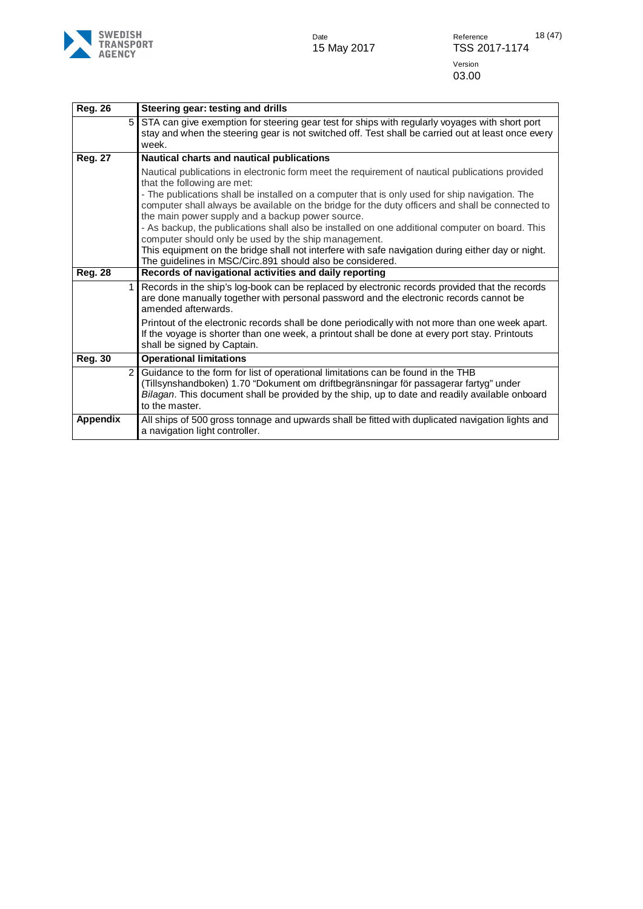

| <b>Reg. 26</b>  | Steering gear: testing and drills                                                                                                                                                                                                                                                                                                                                                                                                                                                                                                                                                                                                                                                                                     |
|-----------------|-----------------------------------------------------------------------------------------------------------------------------------------------------------------------------------------------------------------------------------------------------------------------------------------------------------------------------------------------------------------------------------------------------------------------------------------------------------------------------------------------------------------------------------------------------------------------------------------------------------------------------------------------------------------------------------------------------------------------|
| 5               | STA can give exemption for steering gear test for ships with regularly voyages with short port<br>stay and when the steering gear is not switched off. Test shall be carried out at least once every<br>week.                                                                                                                                                                                                                                                                                                                                                                                                                                                                                                         |
| <b>Reg. 27</b>  | Nautical charts and nautical publications                                                                                                                                                                                                                                                                                                                                                                                                                                                                                                                                                                                                                                                                             |
|                 | Nautical publications in electronic form meet the requirement of nautical publications provided<br>that the following are met:<br>- The publications shall be installed on a computer that is only used for ship navigation. The<br>computer shall always be available on the bridge for the duty officers and shall be connected to<br>the main power supply and a backup power source.<br>- As backup, the publications shall also be installed on one additional computer on board. This<br>computer should only be used by the ship management.<br>This equipment on the bridge shall not interfere with safe navigation during either day or night.<br>The guidelines in MSC/Circ.891 should also be considered. |
| <b>Reg. 28</b>  | Records of navigational activities and daily reporting                                                                                                                                                                                                                                                                                                                                                                                                                                                                                                                                                                                                                                                                |
|                 | Records in the ship's log-book can be replaced by electronic records provided that the records<br>are done manually together with personal password and the electronic records cannot be<br>amended afterwards.                                                                                                                                                                                                                                                                                                                                                                                                                                                                                                       |
|                 | Printout of the electronic records shall be done periodically with not more than one week apart.<br>If the voyage is shorter than one week, a printout shall be done at every port stay. Printouts<br>shall be signed by Captain.                                                                                                                                                                                                                                                                                                                                                                                                                                                                                     |
| <b>Reg. 30</b>  | <b>Operational limitations</b>                                                                                                                                                                                                                                                                                                                                                                                                                                                                                                                                                                                                                                                                                        |
| $\overline{2}$  | Guidance to the form for list of operational limitations can be found in the THB<br>(Tillsynshandboken) 1.70 "Dokument om driftbegränsningar för passagerar fartyg" under<br>Bilagan. This document shall be provided by the ship, up to date and readily available onboard<br>to the master.                                                                                                                                                                                                                                                                                                                                                                                                                         |
| <b>Appendix</b> | All ships of 500 gross tonnage and upwards shall be fitted with duplicated navigation lights and<br>a navigation light controller.                                                                                                                                                                                                                                                                                                                                                                                                                                                                                                                                                                                    |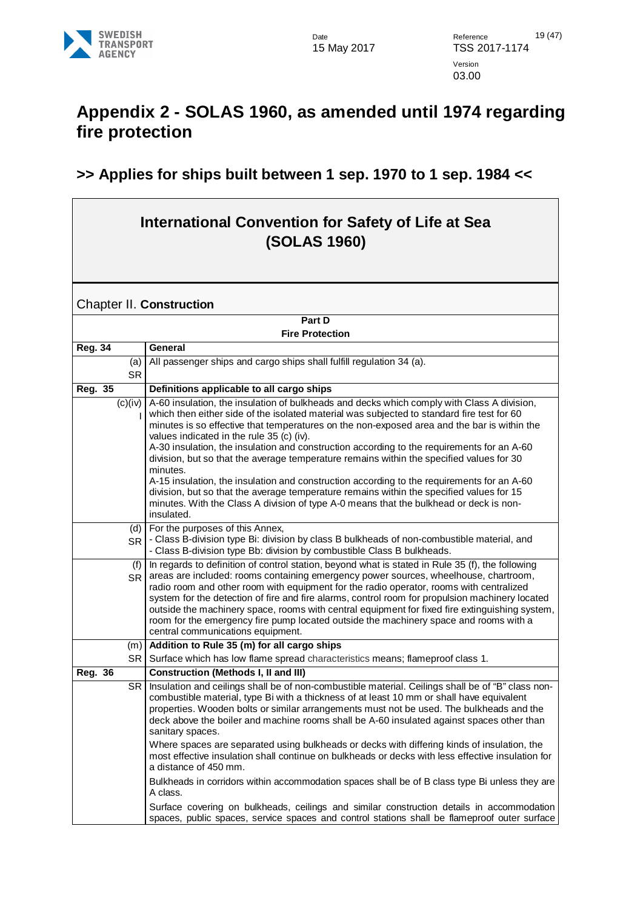

### <span id="page-18-0"></span>**Appendix 2 - SOLAS 1960, as amended until 1974 regarding fire protection**

#### **>> Applies for ships built between 1 sep. 1970 to 1 sep. 1984 <<**

#### **International Convention for Safety of Life at Sea (SOLAS 1960)**

<span id="page-18-1"></span>Chapter II. **Construction** 

| Part D           |                                                                                                                                                                                                                                                                                                                                                                                                                                                                                                                                                                                                                                          |  |  |
|------------------|------------------------------------------------------------------------------------------------------------------------------------------------------------------------------------------------------------------------------------------------------------------------------------------------------------------------------------------------------------------------------------------------------------------------------------------------------------------------------------------------------------------------------------------------------------------------------------------------------------------------------------------|--|--|
|                  | <b>Fire Protection</b>                                                                                                                                                                                                                                                                                                                                                                                                                                                                                                                                                                                                                   |  |  |
| <b>Reg. 34</b>   | General                                                                                                                                                                                                                                                                                                                                                                                                                                                                                                                                                                                                                                  |  |  |
| (a)              | All passenger ships and cargo ships shall fulfill regulation 34 (a).                                                                                                                                                                                                                                                                                                                                                                                                                                                                                                                                                                     |  |  |
| <b>SR</b>        |                                                                                                                                                                                                                                                                                                                                                                                                                                                                                                                                                                                                                                          |  |  |
| Reg. 35          | Definitions applicable to all cargo ships                                                                                                                                                                                                                                                                                                                                                                                                                                                                                                                                                                                                |  |  |
| (c)(iv)          | A-60 insulation, the insulation of bulkheads and decks which comply with Class A division,<br>which then either side of the isolated material was subjected to standard fire test for 60<br>minutes is so effective that temperatures on the non-exposed area and the bar is within the<br>values indicated in the rule 35 (c) (iv).<br>A-30 insulation, the insulation and construction according to the requirements for an A-60<br>division, but so that the average temperature remains within the specified values for 30<br>minutes.<br>A-15 insulation, the insulation and construction according to the requirements for an A-60 |  |  |
|                  | division, but so that the average temperature remains within the specified values for 15<br>minutes. With the Class A division of type A-0 means that the bulkhead or deck is non-<br>insulated.                                                                                                                                                                                                                                                                                                                                                                                                                                         |  |  |
| (d)<br><b>SR</b> | For the purposes of this Annex,<br>- Class B-division type Bi: division by class B bulkheads of non-combustible material, and<br>- Class B-division type Bb: division by combustible Class B bulkheads.                                                                                                                                                                                                                                                                                                                                                                                                                                  |  |  |
| (f)<br><b>SR</b> | In regards to definition of control station, beyond what is stated in Rule 35 (f), the following<br>areas are included: rooms containing emergency power sources, wheelhouse, chartroom,<br>radio room and other room with equipment for the radio operator, rooms with centralized<br>system for the detection of fire and fire alarms, control room for propulsion machinery located<br>outside the machinery space, rooms with central equipment for fixed fire extinguishing system,<br>room for the emergency fire pump located outside the machinery space and rooms with a<br>central communications equipment.                   |  |  |
| (m)              | Addition to Rule 35 (m) for all cargo ships                                                                                                                                                                                                                                                                                                                                                                                                                                                                                                                                                                                              |  |  |
| SR               | Surface which has low flame spread characteristics means; flameproof class 1.                                                                                                                                                                                                                                                                                                                                                                                                                                                                                                                                                            |  |  |
| <b>Reg. 36</b>   | <b>Construction (Methods I, II and III)</b>                                                                                                                                                                                                                                                                                                                                                                                                                                                                                                                                                                                              |  |  |
| SR.              | Insulation and ceilings shall be of non-combustible material. Ceilings shall be of "B" class non-<br>combustible material, type Bi with a thickness of at least 10 mm or shall have equivalent<br>properties. Wooden bolts or similar arrangements must not be used. The bulkheads and the<br>deck above the boiler and machine rooms shall be A-60 insulated against spaces other than<br>sanitary spaces.                                                                                                                                                                                                                              |  |  |
|                  | Where spaces are separated using bulkheads or decks with differing kinds of insulation, the<br>most effective insulation shall continue on bulkheads or decks with less effective insulation for<br>a distance of 450 mm.                                                                                                                                                                                                                                                                                                                                                                                                                |  |  |
|                  | Bulkheads in corridors within accommodation spaces shall be of B class type Bi unless they are<br>A class.                                                                                                                                                                                                                                                                                                                                                                                                                                                                                                                               |  |  |
|                  | Surface covering on bulkheads, ceilings and similar construction details in accommodation<br>spaces, public spaces, service spaces and control stations shall be flameproof outer surface                                                                                                                                                                                                                                                                                                                                                                                                                                                |  |  |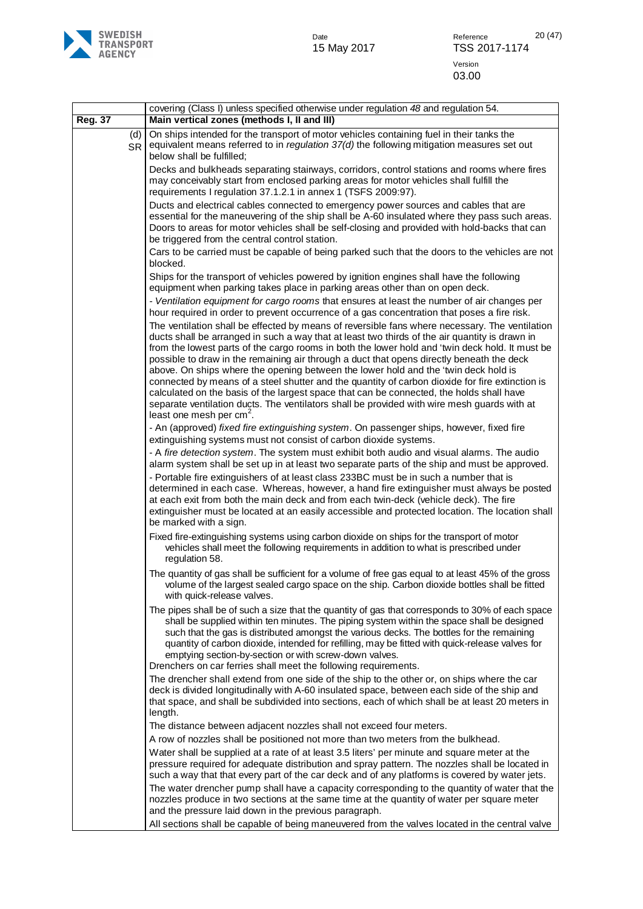

|                  | covering (Class I) unless specified otherwise under regulation 48 and regulation 54.                                                                                                                                                                                                                                                                                                                                                                                                                                                                                                                                                                                                                                                                                                                                |
|------------------|---------------------------------------------------------------------------------------------------------------------------------------------------------------------------------------------------------------------------------------------------------------------------------------------------------------------------------------------------------------------------------------------------------------------------------------------------------------------------------------------------------------------------------------------------------------------------------------------------------------------------------------------------------------------------------------------------------------------------------------------------------------------------------------------------------------------|
| <b>Reg. 37</b>   | Main vertical zones (methods I, II and III)                                                                                                                                                                                                                                                                                                                                                                                                                                                                                                                                                                                                                                                                                                                                                                         |
| (d)<br><b>SR</b> | On ships intended for the transport of motor vehicles containing fuel in their tanks the<br>equivalent means referred to in regulation $37(d)$ the following mitigation measures set out<br>below shall be fulfilled;                                                                                                                                                                                                                                                                                                                                                                                                                                                                                                                                                                                               |
|                  | Decks and bulkheads separating stairways, corridors, control stations and rooms where fires<br>may conceivably start from enclosed parking areas for motor vehicles shall fulfill the<br>requirements I regulation 37.1.2.1 in annex 1 (TSFS 2009:97).                                                                                                                                                                                                                                                                                                                                                                                                                                                                                                                                                              |
|                  | Ducts and electrical cables connected to emergency power sources and cables that are<br>essential for the maneuvering of the ship shall be A-60 insulated where they pass such areas.<br>Doors to areas for motor vehicles shall be self-closing and provided with hold-backs that can<br>be triggered from the central control station.                                                                                                                                                                                                                                                                                                                                                                                                                                                                            |
|                  | Cars to be carried must be capable of being parked such that the doors to the vehicles are not<br>blocked.                                                                                                                                                                                                                                                                                                                                                                                                                                                                                                                                                                                                                                                                                                          |
|                  | Ships for the transport of vehicles powered by ignition engines shall have the following<br>equipment when parking takes place in parking areas other than on open deck.<br>- Ventilation equipment for cargo rooms that ensures at least the number of air changes per                                                                                                                                                                                                                                                                                                                                                                                                                                                                                                                                             |
|                  | hour required in order to prevent occurrence of a gas concentration that poses a fire risk.                                                                                                                                                                                                                                                                                                                                                                                                                                                                                                                                                                                                                                                                                                                         |
|                  | The ventilation shall be effected by means of reversible fans where necessary. The ventilation<br>ducts shall be arranged in such a way that at least two thirds of the air quantity is drawn in<br>from the lowest parts of the cargo rooms in both the lower hold and 'twin deck hold. It must be<br>possible to draw in the remaining air through a duct that opens directly beneath the deck<br>above. On ships where the opening between the lower hold and the 'twin deck hold is<br>connected by means of a steel shutter and the quantity of carbon dioxide for fire extinction is<br>calculated on the basis of the largest space that can be connected, the holds shall have<br>separate ventilation ducts. The ventilators shall be provided with wire mesh guards with at<br>least one mesh per $cm2$ . |
|                  | - An (approved) fixed fire extinguishing system. On passenger ships, however, fixed fire<br>extinguishing systems must not consist of carbon dioxide systems.                                                                                                                                                                                                                                                                                                                                                                                                                                                                                                                                                                                                                                                       |
|                  | - A fire detection system. The system must exhibit both audio and visual alarms. The audio<br>alarm system shall be set up in at least two separate parts of the ship and must be approved.                                                                                                                                                                                                                                                                                                                                                                                                                                                                                                                                                                                                                         |
|                  | - Portable fire extinguishers of at least class 233BC must be in such a number that is<br>determined in each case. Whereas, however, a hand fire extinguisher must always be posted<br>at each exit from both the main deck and from each twin-deck (vehicle deck). The fire<br>extinguisher must be located at an easily accessible and protected location. The location shall<br>be marked with a sign.                                                                                                                                                                                                                                                                                                                                                                                                           |
|                  | Fixed fire-extinguishing systems using carbon dioxide on ships for the transport of motor<br>vehicles shall meet the following requirements in addition to what is prescribed under<br>regulation 58.                                                                                                                                                                                                                                                                                                                                                                                                                                                                                                                                                                                                               |
|                  | The quantity of gas shall be sufficient for a volume of free gas equal to at least 45% of the gross<br>volume of the largest sealed cargo space on the ship. Carbon dioxide bottles shall be fitted<br>with quick-release valves.                                                                                                                                                                                                                                                                                                                                                                                                                                                                                                                                                                                   |
|                  | The pipes shall be of such a size that the quantity of gas that corresponds to 30% of each space<br>shall be supplied within ten minutes. The piping system within the space shall be designed<br>such that the gas is distributed amongst the various decks. The bottles for the remaining<br>quantity of carbon dioxide, intended for refilling, may be fitted with quick-release valves for<br>emptying section-by-section or with screw-down valves.<br>Drenchers on car ferries shall meet the following requirements.                                                                                                                                                                                                                                                                                         |
|                  | The drencher shall extend from one side of the ship to the other or, on ships where the car<br>deck is divided longitudinally with A-60 insulated space, between each side of the ship and<br>that space, and shall be subdivided into sections, each of which shall be at least 20 meters in<br>length.                                                                                                                                                                                                                                                                                                                                                                                                                                                                                                            |
|                  | The distance between adjacent nozzles shall not exceed four meters.                                                                                                                                                                                                                                                                                                                                                                                                                                                                                                                                                                                                                                                                                                                                                 |
|                  | A row of nozzles shall be positioned not more than two meters from the bulkhead.                                                                                                                                                                                                                                                                                                                                                                                                                                                                                                                                                                                                                                                                                                                                    |
|                  | Water shall be supplied at a rate of at least 3.5 liters' per minute and square meter at the<br>pressure required for adequate distribution and spray pattern. The nozzles shall be located in<br>such a way that that every part of the car deck and of any platforms is covered by water jets.                                                                                                                                                                                                                                                                                                                                                                                                                                                                                                                    |
|                  | The water drencher pump shall have a capacity corresponding to the quantity of water that the<br>nozzles produce in two sections at the same time at the quantity of water per square meter<br>and the pressure laid down in the previous paragraph.                                                                                                                                                                                                                                                                                                                                                                                                                                                                                                                                                                |
|                  | All sections shall be capable of being maneuvered from the valves located in the central valve                                                                                                                                                                                                                                                                                                                                                                                                                                                                                                                                                                                                                                                                                                                      |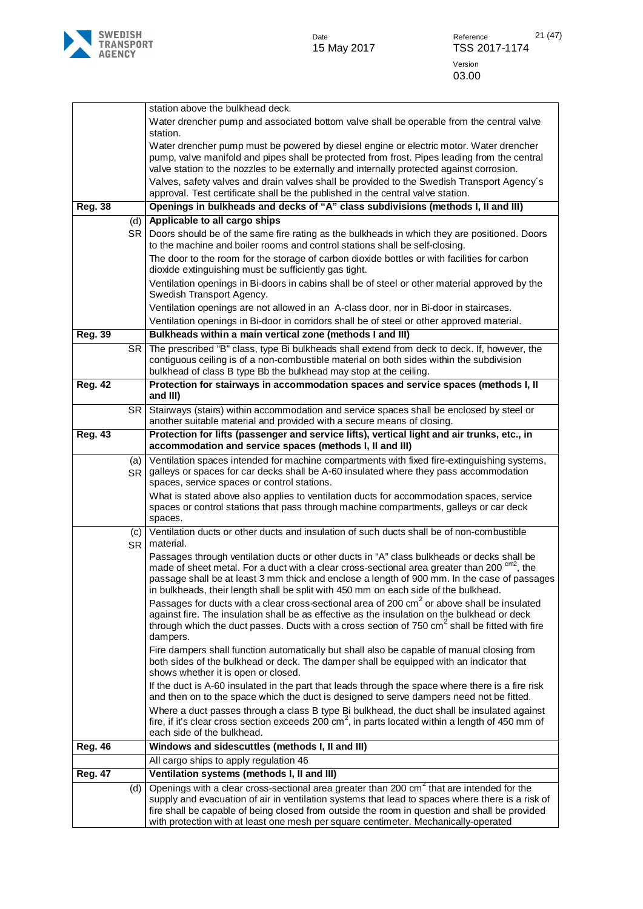

|                |                  | station above the bulkhead deck.                                                                                                                                                                                                                                                                                                                                                                                                                                     |
|----------------|------------------|----------------------------------------------------------------------------------------------------------------------------------------------------------------------------------------------------------------------------------------------------------------------------------------------------------------------------------------------------------------------------------------------------------------------------------------------------------------------|
|                |                  | Water drencher pump and associated bottom valve shall be operable from the central valve<br>station.                                                                                                                                                                                                                                                                                                                                                                 |
|                |                  | Water drencher pump must be powered by diesel engine or electric motor. Water drencher<br>pump, valve manifold and pipes shall be protected from frost. Pipes leading from the central<br>valve station to the nozzles to be externally and internally protected against corrosion.<br>Valves, safety valves and drain valves shall be provided to the Swedish Transport Agency's<br>approval. Test certificate shall be the published in the central valve station. |
| <b>Reg. 38</b> |                  | Openings in bulkheads and decks of "A" class subdivisions (methods I, II and III)                                                                                                                                                                                                                                                                                                                                                                                    |
|                | (d)              | Applicable to all cargo ships                                                                                                                                                                                                                                                                                                                                                                                                                                        |
|                | SR.              | Doors should be of the same fire rating as the bulkheads in which they are positioned. Doors                                                                                                                                                                                                                                                                                                                                                                         |
|                |                  | to the machine and boiler rooms and control stations shall be self-closing.                                                                                                                                                                                                                                                                                                                                                                                          |
|                |                  | The door to the room for the storage of carbon dioxide bottles or with facilities for carbon<br>dioxide extinguishing must be sufficiently gas tight.                                                                                                                                                                                                                                                                                                                |
|                |                  | Ventilation openings in Bi-doors in cabins shall be of steel or other material approved by the<br>Swedish Transport Agency.                                                                                                                                                                                                                                                                                                                                          |
|                |                  | Ventilation openings are not allowed in an A-class door, nor in Bi-door in staircases.                                                                                                                                                                                                                                                                                                                                                                               |
|                |                  | Ventilation openings in Bi-door in corridors shall be of steel or other approved material.                                                                                                                                                                                                                                                                                                                                                                           |
| <b>Reg. 39</b> |                  | Bulkheads within a main vertical zone (methods I and III)                                                                                                                                                                                                                                                                                                                                                                                                            |
|                | <b>SR</b>        | The prescribed "B" class, type Bi bulkheads shall extend from deck to deck. If, however, the<br>contiguous ceiling is of a non-combustible material on both sides within the subdivision<br>bulkhead of class B type Bb the bulkhead may stop at the ceiling.                                                                                                                                                                                                        |
| <b>Reg. 42</b> |                  | Protection for stairways in accommodation spaces and service spaces (methods I, II<br>and III)                                                                                                                                                                                                                                                                                                                                                                       |
|                | SR.              | Stairways (stairs) within accommodation and service spaces shall be enclosed by steel or                                                                                                                                                                                                                                                                                                                                                                             |
|                |                  | another suitable material and provided with a secure means of closing.                                                                                                                                                                                                                                                                                                                                                                                               |
| <b>Reg. 43</b> |                  | Protection for lifts (passenger and service lifts), vertical light and air trunks, etc., in<br>accommodation and service spaces (methods I, II and III)                                                                                                                                                                                                                                                                                                              |
|                | (a)<br><b>SR</b> | Ventilation spaces intended for machine compartments with fixed fire-extinguishing systems,<br>galleys or spaces for car decks shall be A-60 insulated where they pass accommodation<br>spaces, service spaces or control stations.                                                                                                                                                                                                                                  |
|                |                  | What is stated above also applies to ventilation ducts for accommodation spaces, service<br>spaces or control stations that pass through machine compartments, galleys or car deck<br>spaces.                                                                                                                                                                                                                                                                        |
|                | (c)<br><b>SR</b> | Ventilation ducts or other ducts and insulation of such ducts shall be of non-combustible<br>material.                                                                                                                                                                                                                                                                                                                                                               |
|                |                  | Passages through ventilation ducts or other ducts in "A" class bulkheads or decks shall be<br>made of sheet metal. For a duct with a clear cross-sectional area greater than 200 cm <sup>2</sup> , the<br>passage shall be at least 3 mm thick and enclose a length of 900 mm. In the case of passages<br>in bulkheads, their length shall be split with 450 mm on each side of the bulkhead.                                                                        |
|                |                  | Passages for ducts with a clear cross-sectional area of 200 cm <sup>2</sup> or above shall be insulated<br>against fire. The insulation shall be as effective as the insulation on the bulkhead or deck<br>through which the duct passes. Ducts with a cross section of 750 cm <sup>2</sup> shall be fitted with fire<br>dampers.                                                                                                                                    |
|                |                  | Fire dampers shall function automatically but shall also be capable of manual closing from<br>both sides of the bulkhead or deck. The damper shall be equipped with an indicator that<br>shows whether it is open or closed.                                                                                                                                                                                                                                         |
|                |                  | If the duct is A-60 insulated in the part that leads through the space where there is a fire risk<br>and then on to the space which the duct is designed to serve dampers need not be fitted.                                                                                                                                                                                                                                                                        |
|                |                  | Where a duct passes through a class B type Bi bulkhead, the duct shall be insulated against<br>fire, if it's clear cross section exceeds 200 cm <sup>2</sup> , in parts located within a length of 450 mm of<br>each side of the bulkhead.                                                                                                                                                                                                                           |
| <b>Reg. 46</b> |                  | Windows and sidescuttles (methods I, II and III)                                                                                                                                                                                                                                                                                                                                                                                                                     |
|                |                  | All cargo ships to apply regulation 46                                                                                                                                                                                                                                                                                                                                                                                                                               |
| <b>Reg. 47</b> |                  | Ventilation systems (methods I, II and III)                                                                                                                                                                                                                                                                                                                                                                                                                          |
|                | (d)              | Openings with a clear cross-sectional area greater than 200 cm <sup>2</sup> that are intended for the                                                                                                                                                                                                                                                                                                                                                                |
|                |                  | supply and evacuation of air in ventilation systems that lead to spaces where there is a risk of                                                                                                                                                                                                                                                                                                                                                                     |
|                |                  | fire shall be capable of being closed from outside the room in question and shall be provided<br>with protection with at least one mesh per square centimeter. Mechanically-operated                                                                                                                                                                                                                                                                                 |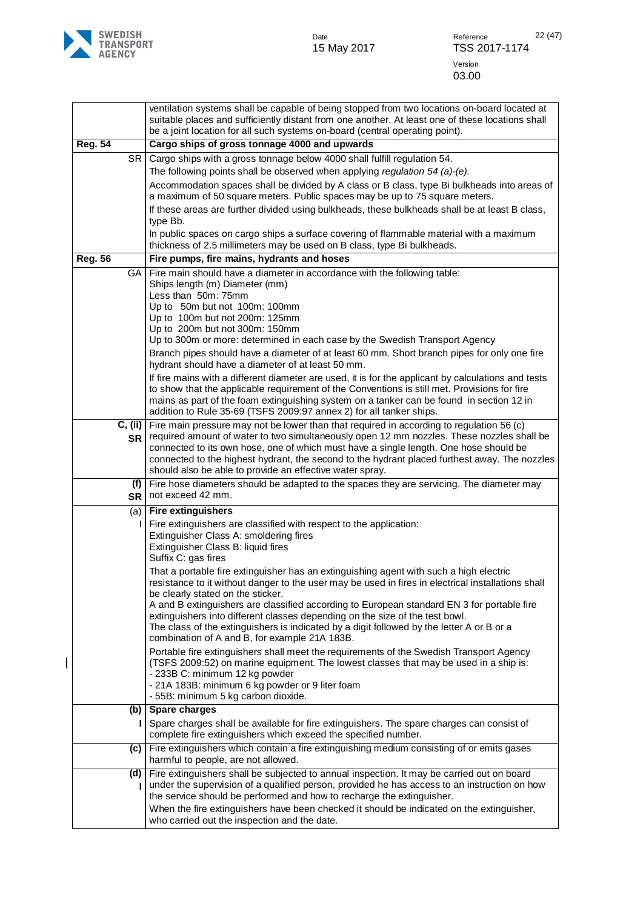

|                |                      | ventilation systems shall be capable of being stopped from two locations on-board located at<br>suitable places and sufficiently distant from one another. At least one of these locations shall<br>be a joint location for all such systems on-board (central operating point).                                                                                                                                                                                                                                                                                                             |
|----------------|----------------------|----------------------------------------------------------------------------------------------------------------------------------------------------------------------------------------------------------------------------------------------------------------------------------------------------------------------------------------------------------------------------------------------------------------------------------------------------------------------------------------------------------------------------------------------------------------------------------------------|
| <b>Reg. 54</b> |                      | Cargo ships of gross tonnage 4000 and upwards                                                                                                                                                                                                                                                                                                                                                                                                                                                                                                                                                |
|                | <b>SR</b>            | Cargo ships with a gross tonnage below 4000 shall fulfill regulation 54.                                                                                                                                                                                                                                                                                                                                                                                                                                                                                                                     |
|                |                      | The following points shall be observed when applying regulation 54 (a)-(e).                                                                                                                                                                                                                                                                                                                                                                                                                                                                                                                  |
|                |                      | Accommodation spaces shall be divided by A class or B class, type Bi bulkheads into areas of<br>a maximum of 50 square meters. Public spaces may be up to 75 square meters.<br>If these areas are further divided using bulkheads, these bulkheads shall be at least B class,<br>type Bb.                                                                                                                                                                                                                                                                                                    |
|                |                      | In public spaces on cargo ships a surface covering of flammable material with a maximum<br>thickness of 2.5 millimeters may be used on B class, type Bi bulkheads.                                                                                                                                                                                                                                                                                                                                                                                                                           |
| <b>Reg. 56</b> |                      | Fire pumps, fire mains, hydrants and hoses                                                                                                                                                                                                                                                                                                                                                                                                                                                                                                                                                   |
|                | GA.                  | Fire main should have a diameter in accordance with the following table:<br>Ships length (m) Diameter (mm)<br>Less than 50m: 75mm<br>Up to 50m but not 100m: 100mm<br>Up to 100m but not 200m: 125mm<br>Up to 200m but not 300m: 150mm<br>Up to 300m or more: determined in each case by the Swedish Transport Agency<br>Branch pipes should have a diameter of at least 60 mm. Short branch pipes for only one fire                                                                                                                                                                         |
|                |                      | hydrant should have a diameter of at least 50 mm.<br>If fire mains with a different diameter are used, it is for the applicant by calculations and tests<br>to show that the applicable requirement of the Conventions is still met. Provisions for fire<br>mains as part of the foam extinguishing system on a tanker can be found in section 12 in<br>addition to Rule 35-69 (TSFS 2009:97 annex 2) for all tanker ships.                                                                                                                                                                  |
|                | C, (ii)<br><b>SR</b> | Fire main pressure may not be lower than that required in according to regulation 56 (c)<br>required amount of water to two simultaneously open 12 mm nozzles. These nozzles shall be<br>connected to its own hose, one of which must have a single length. One hose should be<br>connected to the highest hydrant, the second to the hydrant placed furthest away. The nozzles<br>should also be able to provide an effective water spray.                                                                                                                                                  |
|                | (f)                  | Fire hose diameters should be adapted to the spaces they are servicing. The diameter may<br>SR   not exceed 42 mm.                                                                                                                                                                                                                                                                                                                                                                                                                                                                           |
|                | (a)                  | <b>Fire extinguishers</b>                                                                                                                                                                                                                                                                                                                                                                                                                                                                                                                                                                    |
|                |                      | Fire extinguishers are classified with respect to the application:<br>Extinguisher Class A: smoldering fires<br>Extinguisher Class B: liquid fires<br>Suffix C: gas fires<br>That a portable fire extinguisher has an extinguishing agent with such a high electric<br>resistance to it without danger to the user may be used in fires in electrical installations shall<br>be clearly stated on the sticker.<br>A and B extinguishers are classified according to European standard EN 3 for portable fire<br>extinguishers into different classes depending on the size of the test bowl. |
|                |                      | The class of the extinguishers is indicated by a digit followed by the letter A or B or a<br>combination of A and B, for example 21A 183B.                                                                                                                                                                                                                                                                                                                                                                                                                                                   |
|                |                      | Portable fire extinguishers shall meet the requirements of the Swedish Transport Agency<br>(TSFS 2009:52) on marine equipment. The lowest classes that may be used in a ship is:<br>- 233B C: minimum 12 kg powder<br>- 21A 183B: minimum 6 kg powder or 9 liter foam<br>- 55B: minimum 5 kg carbon dioxide.                                                                                                                                                                                                                                                                                 |
|                | (b)                  | Spare charges                                                                                                                                                                                                                                                                                                                                                                                                                                                                                                                                                                                |
|                |                      | Spare charges shall be available for fire extinguishers. The spare charges can consist of<br>complete fire extinguishers which exceed the specified number.                                                                                                                                                                                                                                                                                                                                                                                                                                  |
|                | (c)                  | Fire extinguishers which contain a fire extinguishing medium consisting of or emits gases<br>harmful to people, are not allowed.                                                                                                                                                                                                                                                                                                                                                                                                                                                             |
|                | (d)                  | Fire extinguishers shall be subjected to annual inspection. It may be carried out on board<br>under the supervision of a qualified person, provided he has access to an instruction on how<br>the service should be performed and how to recharge the extinguisher.                                                                                                                                                                                                                                                                                                                          |
|                |                      | When the fire extinguishers have been checked it should be indicated on the extinguisher,<br>who carried out the inspection and the date.                                                                                                                                                                                                                                                                                                                                                                                                                                                    |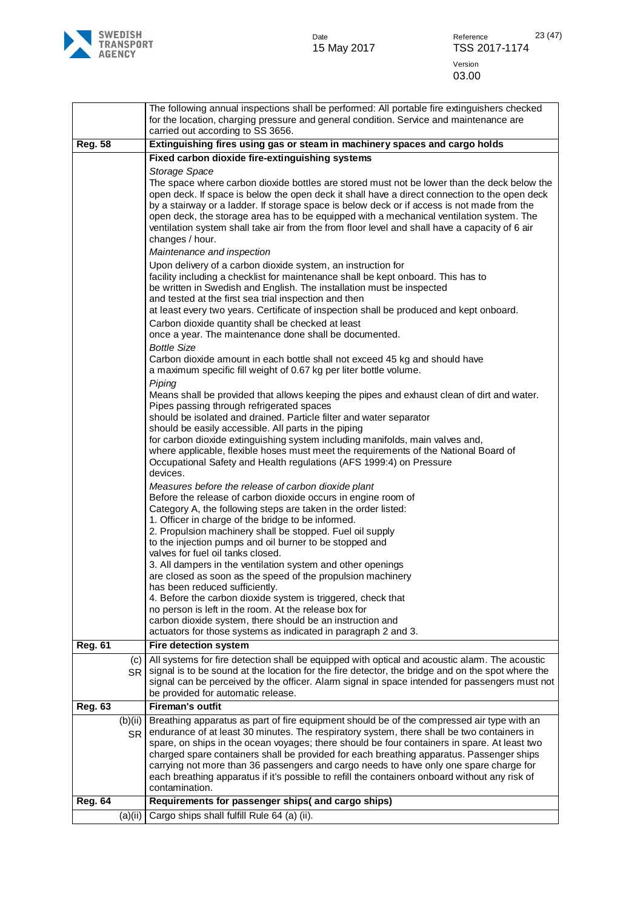

|                |                  | The following annual inspections shall be performed: All portable fire extinguishers checked<br>for the location, charging pressure and general condition. Service and maintenance are<br>carried out according to SS 3656.                                                                                                                                                                                                                                                                                  |
|----------------|------------------|--------------------------------------------------------------------------------------------------------------------------------------------------------------------------------------------------------------------------------------------------------------------------------------------------------------------------------------------------------------------------------------------------------------------------------------------------------------------------------------------------------------|
| <b>Reg. 58</b> |                  | Extinguishing fires using gas or steam in machinery spaces and cargo holds                                                                                                                                                                                                                                                                                                                                                                                                                                   |
|                |                  | Fixed carbon dioxide fire-extinguishing systems                                                                                                                                                                                                                                                                                                                                                                                                                                                              |
|                |                  | Storage Space                                                                                                                                                                                                                                                                                                                                                                                                                                                                                                |
|                |                  | The space where carbon dioxide bottles are stored must not be lower than the deck below the<br>open deck. If space is below the open deck it shall have a direct connection to the open deck<br>by a stairway or a ladder. If storage space is below deck or if access is not made from the<br>open deck, the storage area has to be equipped with a mechanical ventilation system. The<br>ventilation system shall take air from the from floor level and shall have a capacity of 6 air<br>changes / hour. |
|                |                  | Maintenance and inspection                                                                                                                                                                                                                                                                                                                                                                                                                                                                                   |
|                |                  | Upon delivery of a carbon dioxide system, an instruction for<br>facility including a checklist for maintenance shall be kept onboard. This has to<br>be written in Swedish and English. The installation must be inspected<br>and tested at the first sea trial inspection and then<br>at least every two years. Certificate of inspection shall be produced and kept onboard.                                                                                                                               |
|                |                  | Carbon dioxide quantity shall be checked at least<br>once a year. The maintenance done shall be documented.                                                                                                                                                                                                                                                                                                                                                                                                  |
|                |                  | <b>Bottle Size</b>                                                                                                                                                                                                                                                                                                                                                                                                                                                                                           |
|                |                  | Carbon dioxide amount in each bottle shall not exceed 45 kg and should have<br>a maximum specific fill weight of 0.67 kg per liter bottle volume.<br>Piping                                                                                                                                                                                                                                                                                                                                                  |
|                |                  | Means shall be provided that allows keeping the pipes and exhaust clean of dirt and water.<br>Pipes passing through refrigerated spaces<br>should be isolated and drained. Particle filter and water separator                                                                                                                                                                                                                                                                                               |
|                |                  | should be easily accessible. All parts in the piping                                                                                                                                                                                                                                                                                                                                                                                                                                                         |
|                |                  | for carbon dioxide extinguishing system including manifolds, main valves and,<br>where applicable, flexible hoses must meet the requirements of the National Board of                                                                                                                                                                                                                                                                                                                                        |
|                |                  | Occupational Safety and Health regulations (AFS 1999:4) on Pressure<br>devices.                                                                                                                                                                                                                                                                                                                                                                                                                              |
|                |                  | Measures before the release of carbon dioxide plant<br>Before the release of carbon dioxide occurs in engine room of                                                                                                                                                                                                                                                                                                                                                                                         |
|                |                  | Category A, the following steps are taken in the order listed:                                                                                                                                                                                                                                                                                                                                                                                                                                               |
|                |                  | 1. Officer in charge of the bridge to be informed.<br>2. Propulsion machinery shall be stopped. Fuel oil supply                                                                                                                                                                                                                                                                                                                                                                                              |
|                |                  | to the injection pumps and oil burner to be stopped and                                                                                                                                                                                                                                                                                                                                                                                                                                                      |
|                |                  | valves for fuel oil tanks closed.                                                                                                                                                                                                                                                                                                                                                                                                                                                                            |
|                |                  | 3. All dampers in the ventilation system and other openings<br>are closed as soon as the speed of the propulsion machinery                                                                                                                                                                                                                                                                                                                                                                                   |
|                |                  | has been reduced sufficiently.                                                                                                                                                                                                                                                                                                                                                                                                                                                                               |
|                |                  | 4. Before the carbon dioxide system is triggered, check that<br>no person is left in the room. At the release box for                                                                                                                                                                                                                                                                                                                                                                                        |
|                |                  | carbon dioxide system, there should be an instruction and                                                                                                                                                                                                                                                                                                                                                                                                                                                    |
|                |                  | actuators for those systems as indicated in paragraph 2 and 3.                                                                                                                                                                                                                                                                                                                                                                                                                                               |
| <b>Reg. 61</b> |                  | <b>Fire detection system</b>                                                                                                                                                                                                                                                                                                                                                                                                                                                                                 |
|                | (c)<br><b>SR</b> | All systems for fire detection shall be equipped with optical and acoustic alarm. The acoustic<br>signal is to be sound at the location for the fire detector, the bridge and on the spot where the                                                                                                                                                                                                                                                                                                          |
|                |                  | signal can be perceived by the officer. Alarm signal in space intended for passengers must not<br>be provided for automatic release.                                                                                                                                                                                                                                                                                                                                                                         |
| <b>Reg. 63</b> |                  | <b>Fireman's outfit</b>                                                                                                                                                                                                                                                                                                                                                                                                                                                                                      |
|                | (b)(ii)          | Breathing apparatus as part of fire equipment should be of the compressed air type with an                                                                                                                                                                                                                                                                                                                                                                                                                   |
|                | <b>SR</b>        | endurance of at least 30 minutes. The respiratory system, there shall be two containers in                                                                                                                                                                                                                                                                                                                                                                                                                   |
|                |                  | spare, on ships in the ocean voyages; there should be four containers in spare. At least two<br>charged spare containers shall be provided for each breathing apparatus. Passenger ships<br>carrying not more than 36 passengers and cargo needs to have only one spare charge for<br>each breathing apparatus if it's possible to refill the containers onboard without any risk of                                                                                                                         |
|                |                  | contamination.                                                                                                                                                                                                                                                                                                                                                                                                                                                                                               |
| <b>Reg. 64</b> |                  | Requirements for passenger ships( and cargo ships)                                                                                                                                                                                                                                                                                                                                                                                                                                                           |
|                | (a)(ii)          | Cargo ships shall fulfill Rule 64 (a) (ii).                                                                                                                                                                                                                                                                                                                                                                                                                                                                  |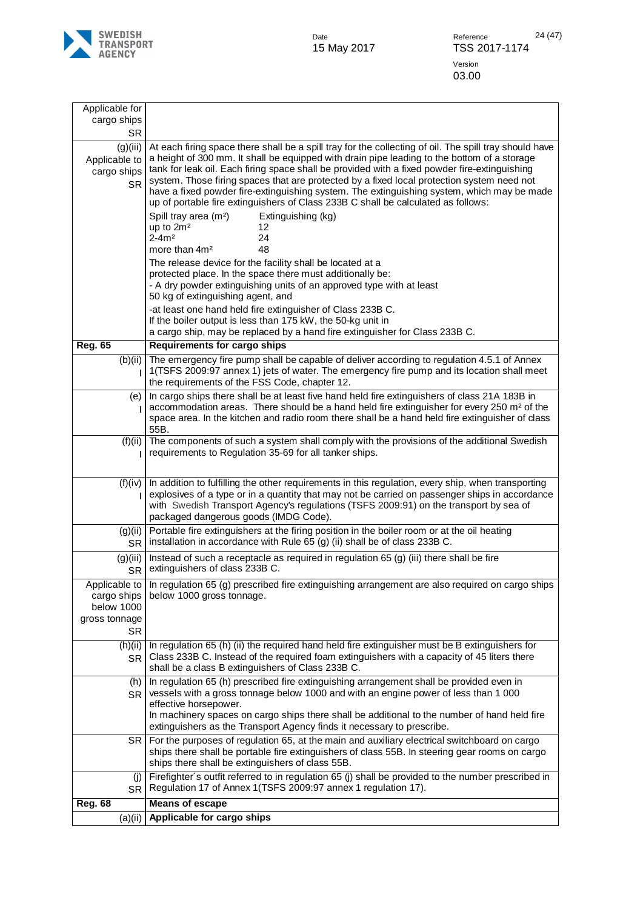

| (a)(ii)                                    | Applicable for cargo ships                                                                                                                                                                                                                                                                                                                                                     |
|--------------------------------------------|--------------------------------------------------------------------------------------------------------------------------------------------------------------------------------------------------------------------------------------------------------------------------------------------------------------------------------------------------------------------------------|
| <b>Reg. 68</b>                             | <b>Means of escape</b>                                                                                                                                                                                                                                                                                                                                                         |
| (i)<br><b>SR</b>                           | Firefighter's outfit referred to in regulation 65 (j) shall be provided to the number prescribed in<br>Regulation 17 of Annex 1(TSFS 2009:97 annex 1 regulation 17).                                                                                                                                                                                                           |
| SR.                                        | For the purposes of regulation 65, at the main and auxiliary electrical switchboard on cargo<br>ships there shall be portable fire extinguishers of class 55B. In steering gear rooms on cargo<br>ships there shall be extinguishers of class 55B.                                                                                                                             |
|                                            | effective horsepower.<br>In machinery spaces on cargo ships there shall be additional to the number of hand held fire<br>extinguishers as the Transport Agency finds it necessary to prescribe.                                                                                                                                                                                |
| (h)<br><b>SR</b>                           | In regulation 65 (h) prescribed fire extinguishing arrangement shall be provided even in<br>vessels with a gross tonnage below 1000 and with an engine power of less than 1 000                                                                                                                                                                                                |
| <b>SR</b><br>(h)(ii)<br><b>SR</b>          | In regulation 65 (h) (ii) the required hand held fire extinguisher must be B extinguishers for<br>Class 233B C. Instead of the required foam extinguishers with a capacity of 45 liters there<br>shall be a class B extinguishers of Class 233B C.                                                                                                                             |
| cargo ships<br>below 1000<br>gross tonnage | Applicable to In regulation 65 (g) prescribed fire extinguishing arrangement are also required on cargo ships<br>below 1000 gross tonnage.                                                                                                                                                                                                                                     |
| (g)(iii)<br><b>SR</b>                      | Instead of such a receptacle as required in regulation $65$ (g) (iii) there shall be fire<br>extinguishers of class 233B C.                                                                                                                                                                                                                                                    |
| (g)(ii)<br>SR <sup></sup>                  | Portable fire extinguishers at the firing position in the boiler room or at the oil heating<br>installation in accordance with Rule 65 (g) (ii) shall be of class 233B C.                                                                                                                                                                                                      |
| (f)(iv)                                    | In addition to fulfilling the other requirements in this regulation, every ship, when transporting<br>explosives of a type or in a quantity that may not be carried on passenger ships in accordance<br>with Swedish Transport Agency's regulations (TSFS 2009:91) on the transport by sea of<br>packaged dangerous goods (IMDG Code).                                         |
| (f)(ii)                                    | The components of such a system shall comply with the provisions of the additional Swedish<br>requirements to Regulation 35-69 for all tanker ships.                                                                                                                                                                                                                           |
| (e)                                        | In cargo ships there shall be at least five hand held fire extinguishers of class 21A 183B in<br>accommodation areas. There should be a hand held fire extinguisher for every 250 m <sup>2</sup> of the<br>space area. In the kitchen and radio room there shall be a hand held fire extinguisher of class<br>55B.                                                             |
| (b)(ii)                                    | The emergency fire pump shall be capable of deliver according to regulation 4.5.1 of Annex<br>1(TSFS 2009:97 annex 1) jets of water. The emergency fire pump and its location shall meet<br>the requirements of the FSS Code, chapter 12.                                                                                                                                      |
| <b>Reg. 65</b>                             | <b>Requirements for cargo ships</b>                                                                                                                                                                                                                                                                                                                                            |
|                                            | -at least one hand held fire extinguisher of Class 233B C.<br>If the boiler output is less than 175 kW, the 50-kg unit in<br>a cargo ship, may be replaced by a hand fire extinguisher for Class 233B C.                                                                                                                                                                       |
|                                            | The release device for the facility shall be located at a<br>protected place. In the space there must additionally be:<br>- A dry powder extinguishing units of an approved type with at least<br>50 kg of extinguishing agent, and                                                                                                                                            |
|                                            | Spill tray area (m <sup>2</sup> )<br>Extinguishing (kg)<br>up to 2m <sup>2</sup><br>12<br>$2 - 4m2$<br>24<br>48<br>more than 4m <sup>2</sup>                                                                                                                                                                                                                                   |
| cargo ships<br><b>SR</b>                   | tank for leak oil. Each firing space shall be provided with a fixed powder fire-extinguishing<br>system. Those firing spaces that are protected by a fixed local protection system need not<br>have a fixed powder fire-extinguishing system. The extinguishing system, which may be made<br>up of portable fire extinguishers of Class 233B C shall be calculated as follows: |
| <b>SR</b><br>(g)(iii)<br>Applicable to     | At each firing space there shall be a spill tray for the collecting of oil. The spill tray should have<br>a height of 300 mm. It shall be equipped with drain pipe leading to the bottom of a storage                                                                                                                                                                          |
| Applicable for<br>cargo ships              |                                                                                                                                                                                                                                                                                                                                                                                |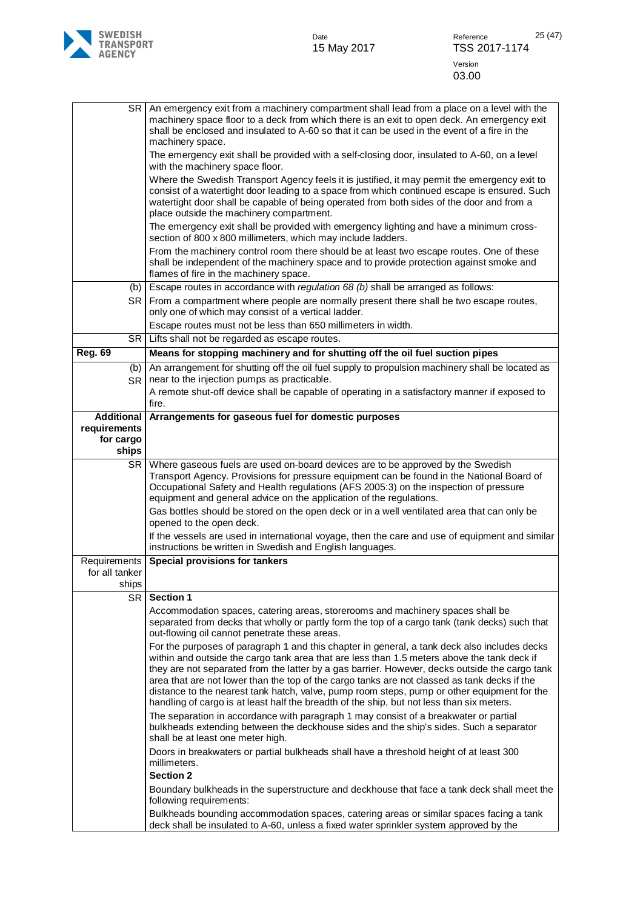

| SR                                                      | An emergency exit from a machinery compartment shall lead from a place on a level with the<br>machinery space floor to a deck from which there is an exit to open deck. An emergency exit<br>shall be enclosed and insulated to A-60 so that it can be used in the event of a fire in the<br>machinery space.                                                                                                                                                                                                                                                                             |
|---------------------------------------------------------|-------------------------------------------------------------------------------------------------------------------------------------------------------------------------------------------------------------------------------------------------------------------------------------------------------------------------------------------------------------------------------------------------------------------------------------------------------------------------------------------------------------------------------------------------------------------------------------------|
|                                                         | The emergency exit shall be provided with a self-closing door, insulated to A-60, on a level<br>with the machinery space floor.                                                                                                                                                                                                                                                                                                                                                                                                                                                           |
|                                                         | Where the Swedish Transport Agency feels it is justified, it may permit the emergency exit to<br>consist of a watertight door leading to a space from which continued escape is ensured. Such<br>watertight door shall be capable of being operated from both sides of the door and from a<br>place outside the machinery compartment.                                                                                                                                                                                                                                                    |
|                                                         | The emergency exit shall be provided with emergency lighting and have a minimum cross-<br>section of 800 x 800 millimeters, which may include ladders.                                                                                                                                                                                                                                                                                                                                                                                                                                    |
|                                                         | From the machinery control room there should be at least two escape routes. One of these<br>shall be independent of the machinery space and to provide protection against smoke and<br>flames of fire in the machinery space.                                                                                                                                                                                                                                                                                                                                                             |
| (b)                                                     | Escape routes in accordance with regulation 68 (b) shall be arranged as follows:                                                                                                                                                                                                                                                                                                                                                                                                                                                                                                          |
| <b>SR</b>                                               | From a compartment where people are normally present there shall be two escape routes,<br>only one of which may consist of a vertical ladder.                                                                                                                                                                                                                                                                                                                                                                                                                                             |
|                                                         | Escape routes must not be less than 650 millimeters in width.                                                                                                                                                                                                                                                                                                                                                                                                                                                                                                                             |
| SR                                                      | Lifts shall not be regarded as escape routes.                                                                                                                                                                                                                                                                                                                                                                                                                                                                                                                                             |
| <b>Reg. 69</b>                                          | Means for stopping machinery and for shutting off the oil fuel suction pipes                                                                                                                                                                                                                                                                                                                                                                                                                                                                                                              |
| (b)<br><b>SR</b>                                        | An arrangement for shutting off the oil fuel supply to propulsion machinery shall be located as<br>near to the injection pumps as practicable.                                                                                                                                                                                                                                                                                                                                                                                                                                            |
|                                                         | A remote shut-off device shall be capable of operating in a satisfactory manner if exposed to<br>fire.                                                                                                                                                                                                                                                                                                                                                                                                                                                                                    |
| <b>Additional</b><br>requirements<br>for cargo<br>ships | Arrangements for gaseous fuel for domestic purposes                                                                                                                                                                                                                                                                                                                                                                                                                                                                                                                                       |
| <b>SR</b>                                               | Where gaseous fuels are used on-board devices are to be approved by the Swedish<br>Transport Agency. Provisions for pressure equipment can be found in the National Board of<br>Occupational Safety and Health regulations (AFS 2005:3) on the inspection of pressure<br>equipment and general advice on the application of the regulations.                                                                                                                                                                                                                                              |
|                                                         | Gas bottles should be stored on the open deck or in a well ventilated area that can only be<br>opened to the open deck.                                                                                                                                                                                                                                                                                                                                                                                                                                                                   |
|                                                         | If the vessels are used in international voyage, then the care and use of equipment and similar<br>instructions be written in Swedish and English languages.                                                                                                                                                                                                                                                                                                                                                                                                                              |
| Requirements<br>for all tanker<br>ships                 | <b>Special provisions for tankers</b>                                                                                                                                                                                                                                                                                                                                                                                                                                                                                                                                                     |
| <b>SR</b>                                               | <b>Section 1</b>                                                                                                                                                                                                                                                                                                                                                                                                                                                                                                                                                                          |
|                                                         | Accommodation spaces, catering areas, storerooms and machinery spaces shall be<br>separated from decks that wholly or partly form the top of a cargo tank (tank decks) such that<br>out-flowing oil cannot penetrate these areas.                                                                                                                                                                                                                                                                                                                                                         |
|                                                         | For the purposes of paragraph 1 and this chapter in general, a tank deck also includes decks<br>within and outside the cargo tank area that are less than 1.5 meters above the tank deck if<br>they are not separated from the latter by a gas barrier. However, decks outside the cargo tank<br>area that are not lower than the top of the cargo tanks are not classed as tank decks if the<br>distance to the nearest tank hatch, valve, pump room steps, pump or other equipment for the<br>handling of cargo is at least half the breadth of the ship, but not less than six meters. |
|                                                         | The separation in accordance with paragraph 1 may consist of a breakwater or partial<br>bulkheads extending between the deckhouse sides and the ship's sides. Such a separator<br>shall be at least one meter high.                                                                                                                                                                                                                                                                                                                                                                       |
|                                                         | Doors in breakwaters or partial bulkheads shall have a threshold height of at least 300<br>millimeters.<br><b>Section 2</b>                                                                                                                                                                                                                                                                                                                                                                                                                                                               |
|                                                         | Boundary bulkheads in the superstructure and deckhouse that face a tank deck shall meet the<br>following requirements:                                                                                                                                                                                                                                                                                                                                                                                                                                                                    |
|                                                         | Bulkheads bounding accommodation spaces, catering areas or similar spaces facing a tank<br>deck shall be insulated to A-60, unless a fixed water sprinkler system approved by the                                                                                                                                                                                                                                                                                                                                                                                                         |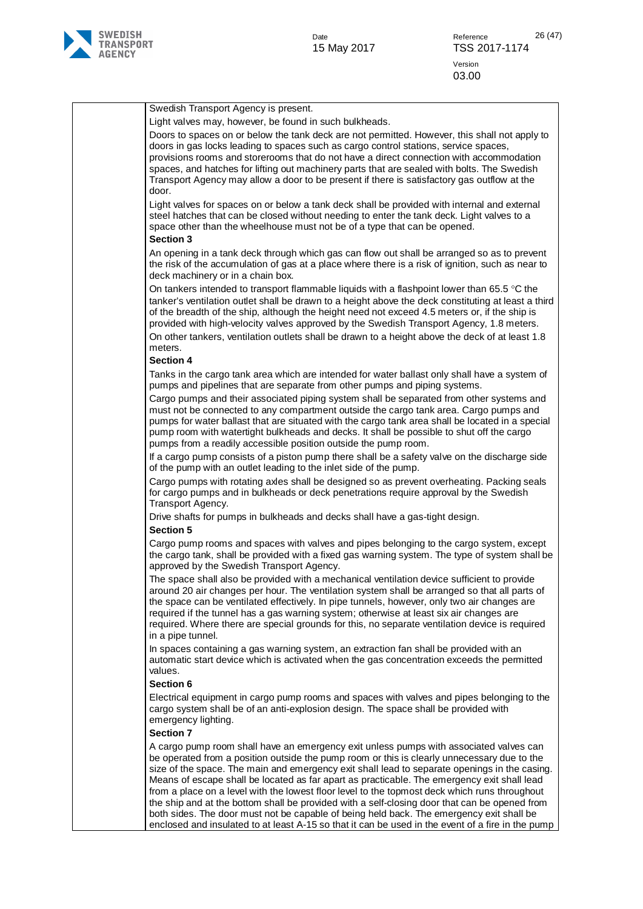

| Swedish Transport Agency is present.                                                                                                                                                                                                                                                                                                                                                                                                                                                                                                                                                                                                                                                |
|-------------------------------------------------------------------------------------------------------------------------------------------------------------------------------------------------------------------------------------------------------------------------------------------------------------------------------------------------------------------------------------------------------------------------------------------------------------------------------------------------------------------------------------------------------------------------------------------------------------------------------------------------------------------------------------|
| Light valves may, however, be found in such bulkheads.                                                                                                                                                                                                                                                                                                                                                                                                                                                                                                                                                                                                                              |
| Doors to spaces on or below the tank deck are not permitted. However, this shall not apply to<br>doors in gas locks leading to spaces such as cargo control stations, service spaces,<br>provisions rooms and storerooms that do not have a direct connection with accommodation<br>spaces, and hatches for lifting out machinery parts that are sealed with bolts. The Swedish<br>Transport Agency may allow a door to be present if there is satisfactory gas outflow at the<br>door.                                                                                                                                                                                             |
| Light valves for spaces on or below a tank deck shall be provided with internal and external<br>steel hatches that can be closed without needing to enter the tank deck. Light valves to a<br>space other than the wheelhouse must not be of a type that can be opened.<br><b>Section 3</b>                                                                                                                                                                                                                                                                                                                                                                                         |
| An opening in a tank deck through which gas can flow out shall be arranged so as to prevent<br>the risk of the accumulation of gas at a place where there is a risk of ignition, such as near to<br>deck machinery or in a chain box.                                                                                                                                                                                                                                                                                                                                                                                                                                               |
| On tankers intended to transport flammable liquids with a flashpoint lower than 65.5 $\degree$ C the<br>tanker's ventilation outlet shall be drawn to a height above the deck constituting at least a third<br>of the breadth of the ship, although the height need not exceed 4.5 meters or, if the ship is<br>provided with high-velocity valves approved by the Swedish Transport Agency, 1.8 meters.<br>On other tankers, ventilation outlets shall be drawn to a height above the deck of at least 1.8<br>meters.<br><b>Section 4</b>                                                                                                                                          |
| Tanks in the cargo tank area which are intended for water ballast only shall have a system of<br>pumps and pipelines that are separate from other pumps and piping systems.                                                                                                                                                                                                                                                                                                                                                                                                                                                                                                         |
| Cargo pumps and their associated piping system shall be separated from other systems and<br>must not be connected to any compartment outside the cargo tank area. Cargo pumps and<br>pumps for water ballast that are situated with the cargo tank area shall be located in a special<br>pump room with watertight bulkheads and decks. It shall be possible to shut off the cargo<br>pumps from a readily accessible position outside the pump room.                                                                                                                                                                                                                               |
| If a cargo pump consists of a piston pump there shall be a safety valve on the discharge side<br>of the pump with an outlet leading to the inlet side of the pump.                                                                                                                                                                                                                                                                                                                                                                                                                                                                                                                  |
| Cargo pumps with rotating axles shall be designed so as prevent overheating. Packing seals<br>for cargo pumps and in bulkheads or deck penetrations require approval by the Swedish<br>Transport Agency.                                                                                                                                                                                                                                                                                                                                                                                                                                                                            |
| Drive shafts for pumps in bulkheads and decks shall have a gas-tight design.                                                                                                                                                                                                                                                                                                                                                                                                                                                                                                                                                                                                        |
| <b>Section 5</b>                                                                                                                                                                                                                                                                                                                                                                                                                                                                                                                                                                                                                                                                    |
| Cargo pump rooms and spaces with valves and pipes belonging to the cargo system, except<br>the cargo tank, shall be provided with a fixed gas warning system. The type of system shall be<br>approved by the Swedish Transport Agency.                                                                                                                                                                                                                                                                                                                                                                                                                                              |
| The space shall also be provided with a mechanical ventilation device sufficient to provide<br>around 20 air changes per hour. The ventilation system shall be arranged so that all parts of<br>the space can be ventilated effectively. In pipe tunnels, however, only two air changes are<br>required if the tunnel has a gas warning system; otherwise at least six air changes are<br>required. Where there are special grounds for this, no separate ventilation device is required<br>in a pipe tunnel.                                                                                                                                                                       |
| In spaces containing a gas warning system, an extraction fan shall be provided with an<br>automatic start device which is activated when the gas concentration exceeds the permitted<br>values.                                                                                                                                                                                                                                                                                                                                                                                                                                                                                     |
| <b>Section 6</b>                                                                                                                                                                                                                                                                                                                                                                                                                                                                                                                                                                                                                                                                    |
| Electrical equipment in cargo pump rooms and spaces with valves and pipes belonging to the<br>cargo system shall be of an anti-explosion design. The space shall be provided with<br>emergency lighting.                                                                                                                                                                                                                                                                                                                                                                                                                                                                            |
| <b>Section 7</b>                                                                                                                                                                                                                                                                                                                                                                                                                                                                                                                                                                                                                                                                    |
| A cargo pump room shall have an emergency exit unless pumps with associated valves can<br>be operated from a position outside the pump room or this is clearly unnecessary due to the<br>size of the space. The main and emergency exit shall lead to separate openings in the casing.<br>Means of escape shall be located as far apart as practicable. The emergency exit shall lead<br>from a place on a level with the lowest floor level to the topmost deck which runs throughout<br>the ship and at the bottom shall be provided with a self-closing door that can be opened from<br>both sides. The door must not be capable of being held back. The emergency exit shall be |
| enclosed and insulated to at least A-15 so that it can be used in the event of a fire in the pump                                                                                                                                                                                                                                                                                                                                                                                                                                                                                                                                                                                   |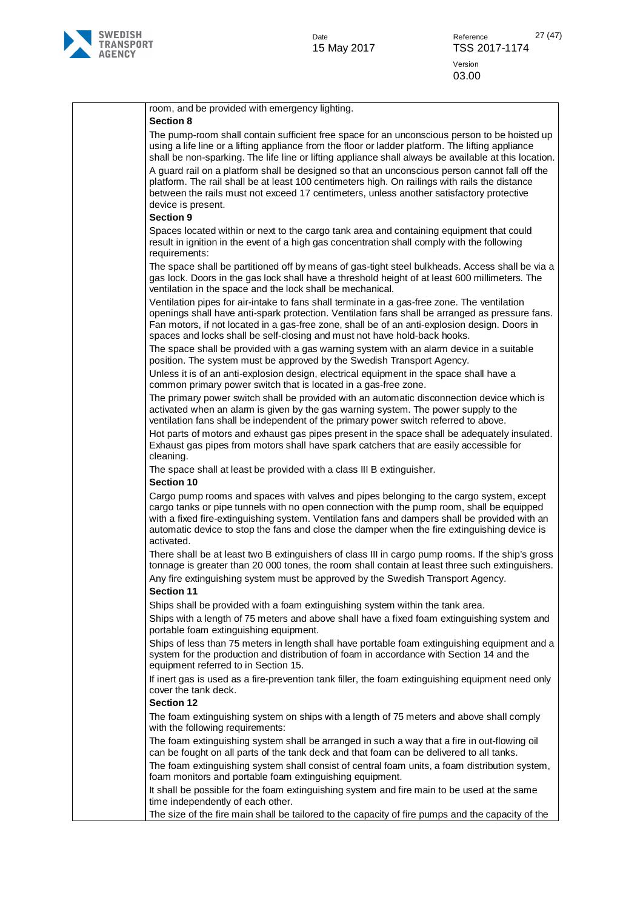

| room, and be provided with emergency lighting.<br><b>Section 8</b>                                                                                                                                                                                                                                                                                                                                                                                                                                                                                                                                                               |
|----------------------------------------------------------------------------------------------------------------------------------------------------------------------------------------------------------------------------------------------------------------------------------------------------------------------------------------------------------------------------------------------------------------------------------------------------------------------------------------------------------------------------------------------------------------------------------------------------------------------------------|
| The pump-room shall contain sufficient free space for an unconscious person to be hoisted up<br>using a life line or a lifting appliance from the floor or ladder platform. The lifting appliance<br>shall be non-sparking. The life line or lifting appliance shall always be available at this location.<br>A guard rail on a platform shall be designed so that an unconscious person cannot fall off the<br>platform. The rail shall be at least 100 centimeters high. On railings with rails the distance<br>between the rails must not exceed 17 centimeters, unless another satisfactory protective<br>device is present. |
| <b>Section 9</b>                                                                                                                                                                                                                                                                                                                                                                                                                                                                                                                                                                                                                 |
| Spaces located within or next to the cargo tank area and containing equipment that could<br>result in ignition in the event of a high gas concentration shall comply with the following<br>requirements:                                                                                                                                                                                                                                                                                                                                                                                                                         |
| The space shall be partitioned off by means of gas-tight steel bulkheads. Access shall be via a<br>gas lock. Doors in the gas lock shall have a threshold height of at least 600 millimeters. The<br>ventilation in the space and the lock shall be mechanical.                                                                                                                                                                                                                                                                                                                                                                  |
| Ventilation pipes for air-intake to fans shall terminate in a gas-free zone. The ventilation<br>openings shall have anti-spark protection. Ventilation fans shall be arranged as pressure fans.<br>Fan motors, if not located in a gas-free zone, shall be of an anti-explosion design. Doors in<br>spaces and locks shall be self-closing and must not have hold-back hooks.                                                                                                                                                                                                                                                    |
| The space shall be provided with a gas warning system with an alarm device in a suitable<br>position. The system must be approved by the Swedish Transport Agency.                                                                                                                                                                                                                                                                                                                                                                                                                                                               |
| Unless it is of an anti-explosion design, electrical equipment in the space shall have a<br>common primary power switch that is located in a gas-free zone.                                                                                                                                                                                                                                                                                                                                                                                                                                                                      |
| The primary power switch shall be provided with an automatic disconnection device which is<br>activated when an alarm is given by the gas warning system. The power supply to the<br>ventilation fans shall be independent of the primary power switch referred to above.                                                                                                                                                                                                                                                                                                                                                        |
| Hot parts of motors and exhaust gas pipes present in the space shall be adequately insulated.<br>Exhaust gas pipes from motors shall have spark catchers that are easily accessible for<br>cleaning.                                                                                                                                                                                                                                                                                                                                                                                                                             |
| The space shall at least be provided with a class III B extinguisher.<br>Section 10                                                                                                                                                                                                                                                                                                                                                                                                                                                                                                                                              |
| Cargo pump rooms and spaces with valves and pipes belonging to the cargo system, except<br>cargo tanks or pipe tunnels with no open connection with the pump room, shall be equipped<br>with a fixed fire-extinguishing system. Ventilation fans and dampers shall be provided with an<br>automatic device to stop the fans and close the damper when the fire extinguishing device is<br>activated.                                                                                                                                                                                                                             |
| There shall be at least two B extinguishers of class III in cargo pump rooms. If the ship's gross<br>tonnage is greater than 20 000 tones, the room shall contain at least three such extinguishers.<br>Any fire extinguishing system must be approved by the Swedish Transport Agency.                                                                                                                                                                                                                                                                                                                                          |
| <b>Section 11</b><br>Ships shall be provided with a foam extinguishing system within the tank area.                                                                                                                                                                                                                                                                                                                                                                                                                                                                                                                              |
| Ships with a length of 75 meters and above shall have a fixed foam extinguishing system and<br>portable foam extinguishing equipment.                                                                                                                                                                                                                                                                                                                                                                                                                                                                                            |
| Ships of less than 75 meters in length shall have portable foam extinguishing equipment and a<br>system for the production and distribution of foam in accordance with Section 14 and the<br>equipment referred to in Section 15.                                                                                                                                                                                                                                                                                                                                                                                                |
| If inert gas is used as a fire-prevention tank filler, the foam extinguishing equipment need only<br>cover the tank deck.                                                                                                                                                                                                                                                                                                                                                                                                                                                                                                        |
| <b>Section 12</b>                                                                                                                                                                                                                                                                                                                                                                                                                                                                                                                                                                                                                |
| The foam extinguishing system on ships with a length of 75 meters and above shall comply<br>with the following requirements:                                                                                                                                                                                                                                                                                                                                                                                                                                                                                                     |
| The foam extinguishing system shall be arranged in such a way that a fire in out-flowing oil<br>can be fought on all parts of the tank deck and that foam can be delivered to all tanks.                                                                                                                                                                                                                                                                                                                                                                                                                                         |
| The foam extinguishing system shall consist of central foam units, a foam distribution system,<br>foam monitors and portable foam extinguishing equipment.                                                                                                                                                                                                                                                                                                                                                                                                                                                                       |
| It shall be possible for the foam extinguishing system and fire main to be used at the same<br>time independently of each other.                                                                                                                                                                                                                                                                                                                                                                                                                                                                                                 |
| The size of the fire main shall be tailored to the capacity of fire pumps and the capacity of the                                                                                                                                                                                                                                                                                                                                                                                                                                                                                                                                |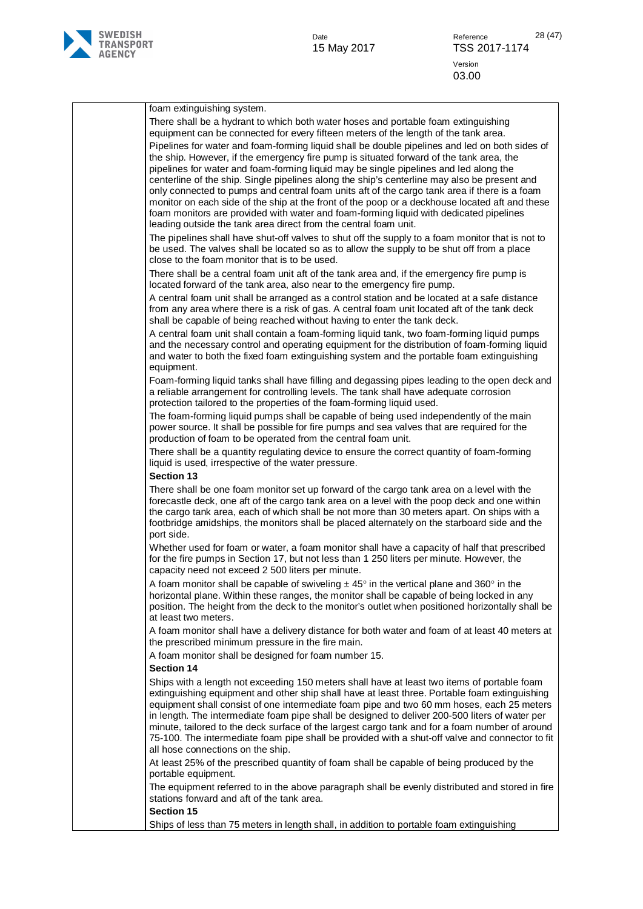

| foam extinguishing system.<br>There shall be a hydrant to which both water hoses and portable foam extinguishing                                                                                                                                                                                                                                                                                                                                                                                                                                                                                                                      |
|---------------------------------------------------------------------------------------------------------------------------------------------------------------------------------------------------------------------------------------------------------------------------------------------------------------------------------------------------------------------------------------------------------------------------------------------------------------------------------------------------------------------------------------------------------------------------------------------------------------------------------------|
| equipment can be connected for every fifteen meters of the length of the tank area.<br>Pipelines for water and foam-forming liquid shall be double pipelines and led on both sides of                                                                                                                                                                                                                                                                                                                                                                                                                                                 |
| the ship. However, if the emergency fire pump is situated forward of the tank area, the<br>pipelines for water and foam-forming liquid may be single pipelines and led along the<br>centerline of the ship. Single pipelines along the ship's centerline may also be present and<br>only connected to pumps and central foam units aft of the cargo tank area if there is a foam<br>monitor on each side of the ship at the front of the poop or a deckhouse located aft and these<br>foam monitors are provided with water and foam-forming liquid with dedicated pipelines                                                          |
| leading outside the tank area direct from the central foam unit.<br>The pipelines shall have shut-off valves to shut off the supply to a foam monitor that is not to<br>be used. The valves shall be located so as to allow the supply to be shut off from a place                                                                                                                                                                                                                                                                                                                                                                    |
| close to the foam monitor that is to be used.<br>There shall be a central foam unit aft of the tank area and, if the emergency fire pump is<br>located forward of the tank area, also near to the emergency fire pump.                                                                                                                                                                                                                                                                                                                                                                                                                |
| A central foam unit shall be arranged as a control station and be located at a safe distance<br>from any area where there is a risk of gas. A central foam unit located aft of the tank deck<br>shall be capable of being reached without having to enter the tank deck.                                                                                                                                                                                                                                                                                                                                                              |
| A central foam unit shall contain a foam-forming liquid tank, two foam-forming liquid pumps<br>and the necessary control and operating equipment for the distribution of foam-forming liquid<br>and water to both the fixed foam extinguishing system and the portable foam extinguishing<br>equipment.                                                                                                                                                                                                                                                                                                                               |
| Foam-forming liquid tanks shall have filling and degassing pipes leading to the open deck and<br>a reliable arrangement for controlling levels. The tank shall have adequate corrosion<br>protection tailored to the properties of the foam-forming liquid used.                                                                                                                                                                                                                                                                                                                                                                      |
| The foam-forming liquid pumps shall be capable of being used independently of the main<br>power source. It shall be possible for fire pumps and sea valves that are required for the<br>production of foam to be operated from the central foam unit.                                                                                                                                                                                                                                                                                                                                                                                 |
| There shall be a quantity regulating device to ensure the correct quantity of foam-forming<br>liquid is used, irrespective of the water pressure.                                                                                                                                                                                                                                                                                                                                                                                                                                                                                     |
| <b>Section 13</b>                                                                                                                                                                                                                                                                                                                                                                                                                                                                                                                                                                                                                     |
| There shall be one foam monitor set up forward of the cargo tank area on a level with the<br>forecastle deck, one aft of the cargo tank area on a level with the poop deck and one within<br>the cargo tank area, each of which shall be not more than 30 meters apart. On ships with a<br>footbridge amidships, the monitors shall be placed alternately on the starboard side and the<br>port side.                                                                                                                                                                                                                                 |
| Whether used for foam or water, a foam monitor shall have a capacity of half that prescribed<br>for the fire pumps in Section 17, but not less than 1 250 liters per minute. However, the<br>capacity need not exceed 2 500 liters per minute.                                                                                                                                                                                                                                                                                                                                                                                        |
| A foam monitor shall be capable of swiveling $\pm 45^{\circ}$ in the vertical plane and 360° in the<br>horizontal plane. Within these ranges, the monitor shall be capable of being locked in any<br>position. The height from the deck to the monitor's outlet when positioned horizontally shall be<br>at least two meters.                                                                                                                                                                                                                                                                                                         |
| A foam monitor shall have a delivery distance for both water and foam of at least 40 meters at<br>the prescribed minimum pressure in the fire main.                                                                                                                                                                                                                                                                                                                                                                                                                                                                                   |
| A foam monitor shall be designed for foam number 15.<br><b>Section 14</b>                                                                                                                                                                                                                                                                                                                                                                                                                                                                                                                                                             |
| Ships with a length not exceeding 150 meters shall have at least two items of portable foam<br>extinguishing equipment and other ship shall have at least three. Portable foam extinguishing<br>equipment shall consist of one intermediate foam pipe and two 60 mm hoses, each 25 meters<br>in length. The intermediate foam pipe shall be designed to deliver 200-500 liters of water per<br>minute, tailored to the deck surface of the largest cargo tank and for a foam number of around<br>75-100. The intermediate foam pipe shall be provided with a shut-off valve and connector to fit<br>all hose connections on the ship. |
| At least 25% of the prescribed quantity of foam shall be capable of being produced by the<br>portable equipment.<br>The equipment referred to in the above paragraph shall be evenly distributed and stored in fire                                                                                                                                                                                                                                                                                                                                                                                                                   |
| stations forward and aft of the tank area.<br><b>Section 15</b>                                                                                                                                                                                                                                                                                                                                                                                                                                                                                                                                                                       |
| Ships of less than 75 meters in length shall, in addition to portable foam extinguishing                                                                                                                                                                                                                                                                                                                                                                                                                                                                                                                                              |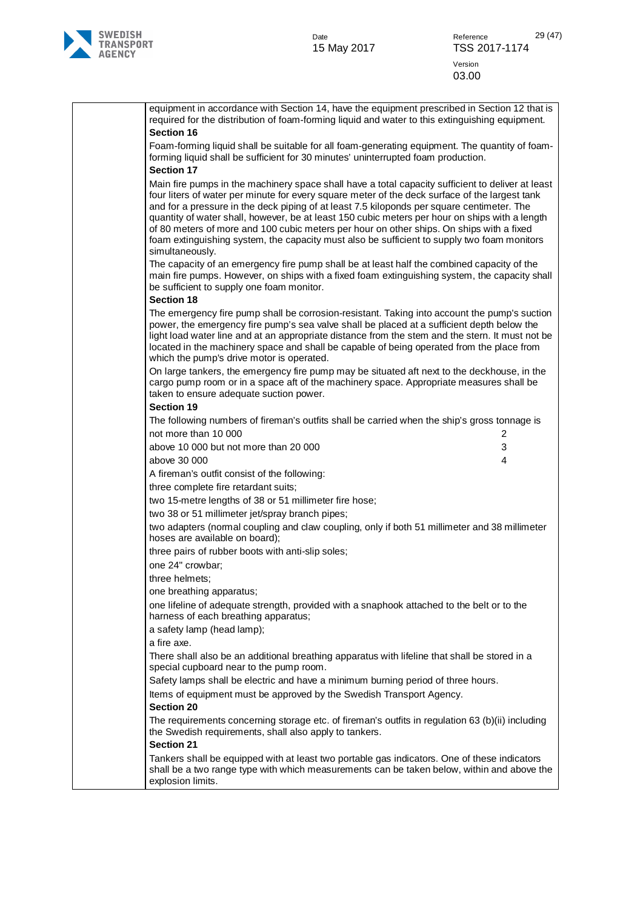

| equipment in accordance with Section 14, have the equipment prescribed in Section 12 that is<br>required for the distribution of foam-forming liquid and water to this extinguishing equipment.                                                                                                                                                                                                                                                                                                                                                                                                                   |
|-------------------------------------------------------------------------------------------------------------------------------------------------------------------------------------------------------------------------------------------------------------------------------------------------------------------------------------------------------------------------------------------------------------------------------------------------------------------------------------------------------------------------------------------------------------------------------------------------------------------|
| <b>Section 16</b>                                                                                                                                                                                                                                                                                                                                                                                                                                                                                                                                                                                                 |
| Foam-forming liquid shall be suitable for all foam-generating equipment. The quantity of foam-<br>forming liquid shall be sufficient for 30 minutes' uninterrupted foam production.<br><b>Section 17</b>                                                                                                                                                                                                                                                                                                                                                                                                          |
| Main fire pumps in the machinery space shall have a total capacity sufficient to deliver at least<br>four liters of water per minute for every square meter of the deck surface of the largest tank<br>and for a pressure in the deck piping of at least 7.5 kiloponds per square centimeter. The<br>quantity of water shall, however, be at least 150 cubic meters per hour on ships with a length<br>of 80 meters of more and 100 cubic meters per hour on other ships. On ships with a fixed<br>foam extinguishing system, the capacity must also be sufficient to supply two foam monitors<br>simultaneously. |
| The capacity of an emergency fire pump shall be at least half the combined capacity of the<br>main fire pumps. However, on ships with a fixed foam extinguishing system, the capacity shall<br>be sufficient to supply one foam monitor.<br><b>Section 18</b>                                                                                                                                                                                                                                                                                                                                                     |
| The emergency fire pump shall be corrosion-resistant. Taking into account the pump's suction<br>power, the emergency fire pump's sea valve shall be placed at a sufficient depth below the<br>light load water line and at an appropriate distance from the stem and the stern. It must not be                                                                                                                                                                                                                                                                                                                    |
| located in the machinery space and shall be capable of being operated from the place from<br>which the pump's drive motor is operated.                                                                                                                                                                                                                                                                                                                                                                                                                                                                            |
| On large tankers, the emergency fire pump may be situated aft next to the deckhouse, in the<br>cargo pump room or in a space aft of the machinery space. Appropriate measures shall be<br>taken to ensure adequate suction power.                                                                                                                                                                                                                                                                                                                                                                                 |
| <b>Section 19</b>                                                                                                                                                                                                                                                                                                                                                                                                                                                                                                                                                                                                 |
| The following numbers of fireman's outfits shall be carried when the ship's gross tonnage is                                                                                                                                                                                                                                                                                                                                                                                                                                                                                                                      |
| not more than 10 000<br>2                                                                                                                                                                                                                                                                                                                                                                                                                                                                                                                                                                                         |
| above 10 000 but not more than 20 000<br>3                                                                                                                                                                                                                                                                                                                                                                                                                                                                                                                                                                        |
| above 30 000<br>4                                                                                                                                                                                                                                                                                                                                                                                                                                                                                                                                                                                                 |
| A fireman's outfit consist of the following:                                                                                                                                                                                                                                                                                                                                                                                                                                                                                                                                                                      |
| three complete fire retardant suits;                                                                                                                                                                                                                                                                                                                                                                                                                                                                                                                                                                              |
| two 15-metre lengths of 38 or 51 millimeter fire hose;                                                                                                                                                                                                                                                                                                                                                                                                                                                                                                                                                            |
| two 38 or 51 millimeter jet/spray branch pipes;                                                                                                                                                                                                                                                                                                                                                                                                                                                                                                                                                                   |
| two adapters (normal coupling and claw coupling, only if both 51 millimeter and 38 millimeter<br>hoses are available on board);                                                                                                                                                                                                                                                                                                                                                                                                                                                                                   |
| three pairs of rubber boots with anti-slip soles;                                                                                                                                                                                                                                                                                                                                                                                                                                                                                                                                                                 |
| one 24" crowbar;                                                                                                                                                                                                                                                                                                                                                                                                                                                                                                                                                                                                  |
| three helmets;                                                                                                                                                                                                                                                                                                                                                                                                                                                                                                                                                                                                    |
| one breathing apparatus;                                                                                                                                                                                                                                                                                                                                                                                                                                                                                                                                                                                          |
| one lifeline of adequate strength, provided with a snaphook attached to the belt or to the<br>harness of each breathing apparatus;                                                                                                                                                                                                                                                                                                                                                                                                                                                                                |
| a safety lamp (head lamp);<br>a fire axe.                                                                                                                                                                                                                                                                                                                                                                                                                                                                                                                                                                         |
| There shall also be an additional breathing apparatus with lifeline that shall be stored in a                                                                                                                                                                                                                                                                                                                                                                                                                                                                                                                     |
| special cupboard near to the pump room.<br>Safety lamps shall be electric and have a minimum burning period of three hours.                                                                                                                                                                                                                                                                                                                                                                                                                                                                                       |
|                                                                                                                                                                                                                                                                                                                                                                                                                                                                                                                                                                                                                   |
| Items of equipment must be approved by the Swedish Transport Agency.<br><b>Section 20</b>                                                                                                                                                                                                                                                                                                                                                                                                                                                                                                                         |
| The requirements concerning storage etc. of fireman's outfits in regulation 63 (b)(ii) including<br>the Swedish requirements, shall also apply to tankers.<br><b>Section 21</b>                                                                                                                                                                                                                                                                                                                                                                                                                                   |
| Tankers shall be equipped with at least two portable gas indicators. One of these indicators<br>shall be a two range type with which measurements can be taken below, within and above the<br>explosion limits.                                                                                                                                                                                                                                                                                                                                                                                                   |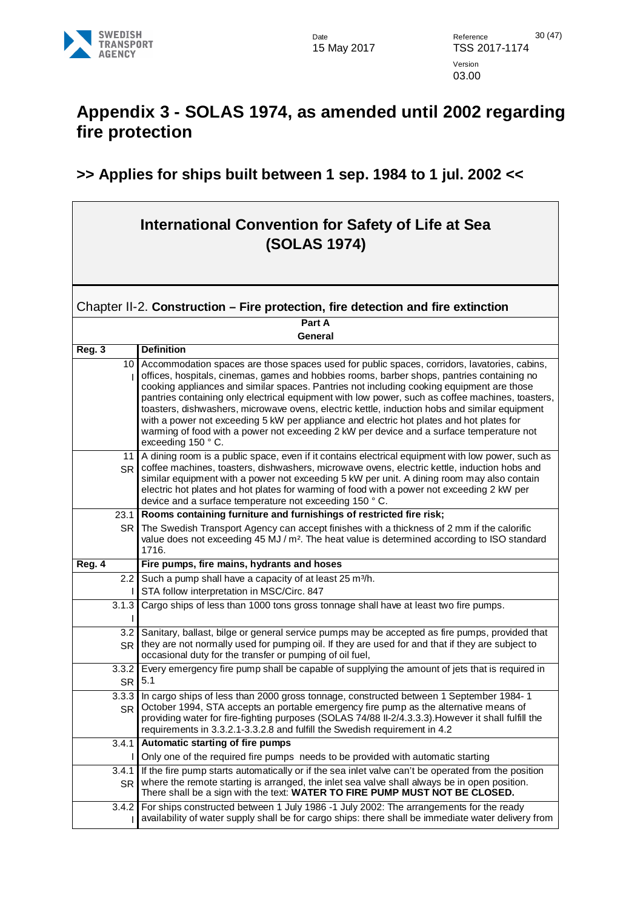

### <span id="page-29-0"></span>**Appendix 3 - SOLAS 1974, as amended until 2002 regarding fire protection**

#### **>> Applies for ships built between 1 sep. 1984 to 1 jul. 2002 <<**

#### **International Convention for Safety of Life at Sea (SOLAS 1974)**

#### <span id="page-29-1"></span>Chapter II-2. **Construction – Fire protection, fire detection and fire extinction**

**Part A General**

| Reg. 3             | <b>Definition</b>                                                                                                                                                                                                                                                                                                                                                                                                                                                                                                                                                                                                                                                                                         |
|--------------------|-----------------------------------------------------------------------------------------------------------------------------------------------------------------------------------------------------------------------------------------------------------------------------------------------------------------------------------------------------------------------------------------------------------------------------------------------------------------------------------------------------------------------------------------------------------------------------------------------------------------------------------------------------------------------------------------------------------|
| 10                 | Accommodation spaces are those spaces used for public spaces, corridors, lavatories, cabins,<br>offices, hospitals, cinemas, games and hobbies rooms, barber shops, pantries containing no<br>cooking appliances and similar spaces. Pantries not including cooking equipment are those<br>pantries containing only electrical equipment with low power, such as coffee machines, toasters,<br>toasters, dishwashers, microwave ovens, electric kettle, induction hobs and similar equipment<br>with a power not exceeding 5 kW per appliance and electric hot plates and hot plates for<br>warming of food with a power not exceeding 2 kW per device and a surface temperature not<br>exceeding 150 °C. |
| 11<br><b>SR</b>    | A dining room is a public space, even if it contains electrical equipment with low power, such as<br>coffee machines, toasters, dishwashers, microwave ovens, electric kettle, induction hobs and<br>similar equipment with a power not exceeding 5 kW per unit. A dining room may also contain<br>electric hot plates and hot plates for warming of food with a power not exceeding 2 kW per<br>device and a surface temperature not exceeding 150 °C.                                                                                                                                                                                                                                                   |
| 23.1               | Rooms containing furniture and furnishings of restricted fire risk;                                                                                                                                                                                                                                                                                                                                                                                                                                                                                                                                                                                                                                       |
| <b>SR</b>          | The Swedish Transport Agency can accept finishes with a thickness of 2 mm if the calorific<br>value does not exceeding 45 MJ / m <sup>2</sup> . The heat value is determined according to ISO standard<br>1716.                                                                                                                                                                                                                                                                                                                                                                                                                                                                                           |
| Reg. 4             | Fire pumps, fire mains, hydrants and hoses                                                                                                                                                                                                                                                                                                                                                                                                                                                                                                                                                                                                                                                                |
| 2.2                | Such a pump shall have a capacity of at least 25 m <sup>3</sup> /h.                                                                                                                                                                                                                                                                                                                                                                                                                                                                                                                                                                                                                                       |
|                    | STA follow interpretation in MSC/Circ. 847                                                                                                                                                                                                                                                                                                                                                                                                                                                                                                                                                                                                                                                                |
| 3.1.3              | Cargo ships of less than 1000 tons gross tonnage shall have at least two fire pumps.                                                                                                                                                                                                                                                                                                                                                                                                                                                                                                                                                                                                                      |
| 3.2<br><b>SR</b>   | Sanitary, ballast, bilge or general service pumps may be accepted as fire pumps, provided that<br>they are not normally used for pumping oil. If they are used for and that if they are subject to<br>occasional duty for the transfer or pumping of oil fuel,                                                                                                                                                                                                                                                                                                                                                                                                                                            |
| 3.3.2<br><b>SR</b> | Every emergency fire pump shall be capable of supplying the amount of jets that is required in<br>5.1                                                                                                                                                                                                                                                                                                                                                                                                                                                                                                                                                                                                     |
| 3.3.3<br><b>SR</b> | In cargo ships of less than 2000 gross tonnage, constructed between 1 September 1984-1<br>October 1994, STA accepts an portable emergency fire pump as the alternative means of<br>providing water for fire-fighting purposes (SOLAS 74/88 II-2/4.3.3.3). However it shall fulfill the<br>requirements in 3.3.2.1-3.3.2.8 and fulfill the Swedish requirement in 4.2                                                                                                                                                                                                                                                                                                                                      |
| 3.4.1              | Automatic starting of fire pumps                                                                                                                                                                                                                                                                                                                                                                                                                                                                                                                                                                                                                                                                          |
|                    | Only one of the required fire pumps needs to be provided with automatic starting                                                                                                                                                                                                                                                                                                                                                                                                                                                                                                                                                                                                                          |
| 3.4.1<br><b>SR</b> | If the fire pump starts automatically or if the sea inlet valve can't be operated from the position<br>where the remote starting is arranged, the inlet sea valve shall always be in open position.<br>There shall be a sign with the text: WATER TO FIRE PUMP MUST NOT BE CLOSED.                                                                                                                                                                                                                                                                                                                                                                                                                        |
| 3.4.2              | For ships constructed between 1 July 1986 -1 July 2002: The arrangements for the ready<br>availability of water supply shall be for cargo ships: there shall be immediate water delivery from                                                                                                                                                                                                                                                                                                                                                                                                                                                                                                             |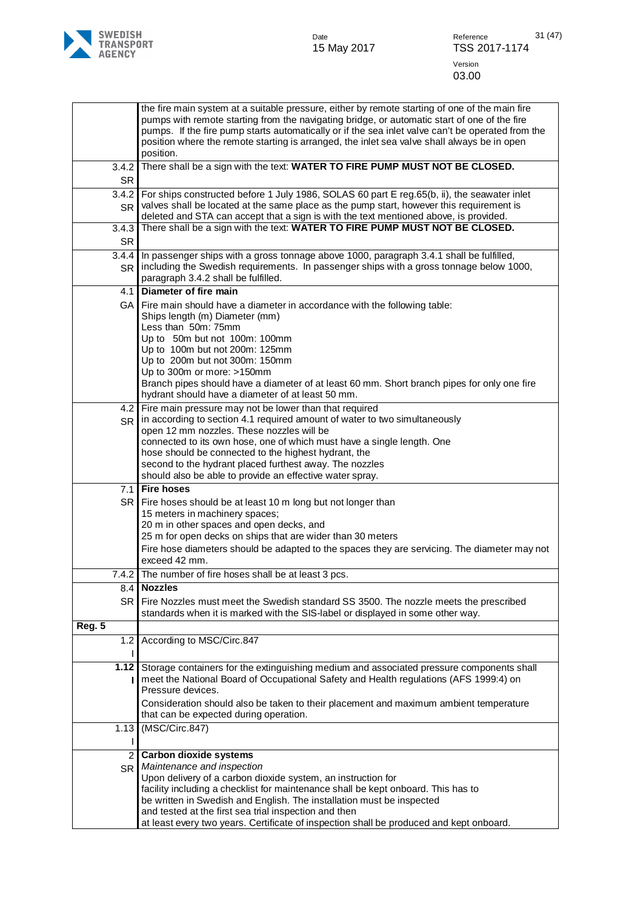

|                      | the fire main system at a suitable pressure, either by remote starting of one of the main fire<br>pumps with remote starting from the navigating bridge, or automatic start of one of the fire<br>pumps. If the fire pump starts automatically or if the sea inlet valve can't be operated from the<br>position where the remote starting is arranged, the inlet sea valve shall always be in open<br>position. |
|----------------------|-----------------------------------------------------------------------------------------------------------------------------------------------------------------------------------------------------------------------------------------------------------------------------------------------------------------------------------------------------------------------------------------------------------------|
| 3.4.2<br><b>SR</b>   | There shall be a sign with the text: WATER TO FIRE PUMP MUST NOT BE CLOSED.                                                                                                                                                                                                                                                                                                                                     |
| 3.4.2                | For ships constructed before 1 July 1986, SOLAS 60 part E reg.65(b, ii), the seawater inlet                                                                                                                                                                                                                                                                                                                     |
| <b>SR</b><br>3.4.3   | valves shall be located at the same place as the pump start, however this requirement is<br>deleted and STA can accept that a sign is with the text mentioned above, is provided.<br>There shall be a sign with the text: WATER TO FIRE PUMP MUST NOT BE CLOSED.                                                                                                                                                |
| <b>SR</b>            |                                                                                                                                                                                                                                                                                                                                                                                                                 |
| 3.4.4                | In passenger ships with a gross tonnage above 1000, paragraph 3.4.1 shall be fulfilled,                                                                                                                                                                                                                                                                                                                         |
| <b>SR</b>            | including the Swedish requirements. In passenger ships with a gross tonnage below 1000,<br>paragraph 3.4.2 shall be fulfilled.                                                                                                                                                                                                                                                                                  |
| 4.1                  | Diameter of fire main                                                                                                                                                                                                                                                                                                                                                                                           |
| GA I                 | Fire main should have a diameter in accordance with the following table:<br>Ships length (m) Diameter (mm)                                                                                                                                                                                                                                                                                                      |
|                      | Less than 50m: 75mm<br>Up to 50m but not 100m: 100mm                                                                                                                                                                                                                                                                                                                                                            |
|                      | Up to 100m but not 200m: 125mm                                                                                                                                                                                                                                                                                                                                                                                  |
|                      | Up to 200m but not 300m: 150mm                                                                                                                                                                                                                                                                                                                                                                                  |
|                      | Up to 300m or more: >150mm<br>Branch pipes should have a diameter of at least 60 mm. Short branch pipes for only one fire                                                                                                                                                                                                                                                                                       |
|                      | hydrant should have a diameter of at least 50 mm.                                                                                                                                                                                                                                                                                                                                                               |
|                      | 4.2 Fire main pressure may not be lower than that required                                                                                                                                                                                                                                                                                                                                                      |
| <b>SR</b>            | in according to section 4.1 required amount of water to two simultaneously<br>open 12 mm nozzles. These nozzles will be                                                                                                                                                                                                                                                                                         |
|                      | connected to its own hose, one of which must have a single length. One                                                                                                                                                                                                                                                                                                                                          |
|                      | hose should be connected to the highest hydrant, the                                                                                                                                                                                                                                                                                                                                                            |
|                      | second to the hydrant placed furthest away. The nozzles<br>should also be able to provide an effective water spray.                                                                                                                                                                                                                                                                                             |
| 7.1                  | <b>Fire hoses</b>                                                                                                                                                                                                                                                                                                                                                                                               |
| SR I                 | Fire hoses should be at least 10 m long but not longer than                                                                                                                                                                                                                                                                                                                                                     |
|                      | 15 meters in machinery spaces;<br>20 m in other spaces and open decks, and                                                                                                                                                                                                                                                                                                                                      |
|                      | 25 m for open decks on ships that are wider than 30 meters                                                                                                                                                                                                                                                                                                                                                      |
|                      | Fire hose diameters should be adapted to the spaces they are servicing. The diameter may not                                                                                                                                                                                                                                                                                                                    |
|                      | exceed 42 mm.                                                                                                                                                                                                                                                                                                                                                                                                   |
| 7.4.2                | The number of fire hoses shall be at least 3 pcs.                                                                                                                                                                                                                                                                                                                                                               |
|                      | 8.4 Nozzles                                                                                                                                                                                                                                                                                                                                                                                                     |
| SR                   | Fire Nozzles must meet the Swedish standard SS 3500. The nozzle meets the prescribed<br>standards when it is marked with the SIS-label or displayed in some other way.                                                                                                                                                                                                                                          |
| Reg. 5               |                                                                                                                                                                                                                                                                                                                                                                                                                 |
| 1.2<br>L             | According to MSC/Circ.847                                                                                                                                                                                                                                                                                                                                                                                       |
|                      | 1.12 Storage containers for the extinguishing medium and associated pressure components shall                                                                                                                                                                                                                                                                                                                   |
|                      | meet the National Board of Occupational Safety and Health regulations (AFS 1999:4) on<br>Pressure devices.                                                                                                                                                                                                                                                                                                      |
|                      | Consideration should also be taken to their placement and maximum ambient temperature<br>that can be expected during operation.                                                                                                                                                                                                                                                                                 |
| 1.13                 | (MSC/Circ.847)                                                                                                                                                                                                                                                                                                                                                                                                  |
| $\mathbf{2}^{\circ}$ | <b>Carbon dioxide systems</b>                                                                                                                                                                                                                                                                                                                                                                                   |
| SR                   | Maintenance and inspection                                                                                                                                                                                                                                                                                                                                                                                      |
|                      | Upon delivery of a carbon dioxide system, an instruction for                                                                                                                                                                                                                                                                                                                                                    |
|                      | facility including a checklist for maintenance shall be kept onboard. This has to<br>be written in Swedish and English. The installation must be inspected                                                                                                                                                                                                                                                      |
|                      | and tested at the first sea trial inspection and then                                                                                                                                                                                                                                                                                                                                                           |
|                      | at least every two years. Certificate of inspection shall be produced and kept onboard.                                                                                                                                                                                                                                                                                                                         |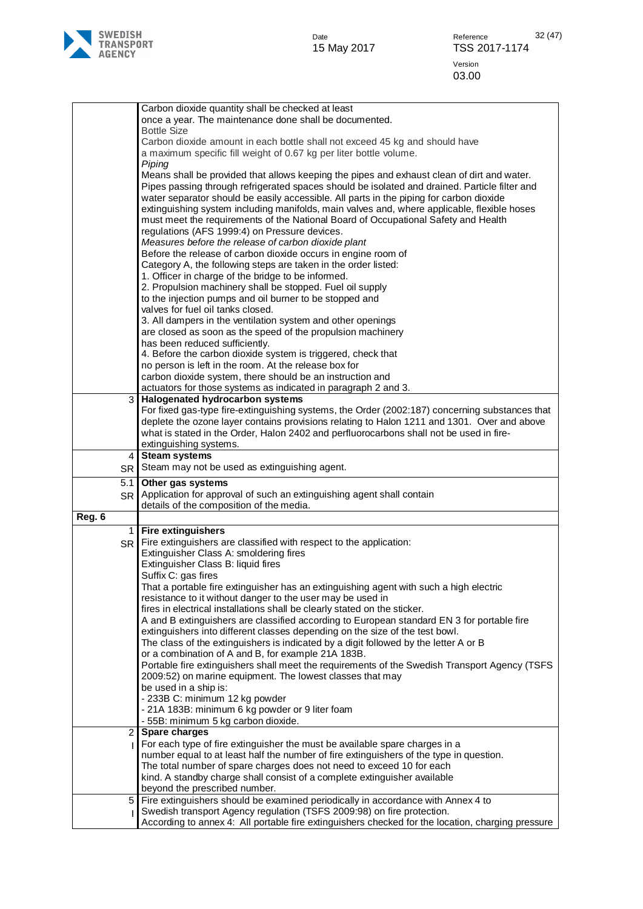

|                  | Carbon dioxide quantity shall be checked at least<br>once a year. The maintenance done shall be documented.<br><b>Bottle Size</b>                                                                                                                                                                                                                                                                                                                                                                                                                                                                                                                                                                                                                                                                                                                                                                                                                                                                                                                             |
|------------------|---------------------------------------------------------------------------------------------------------------------------------------------------------------------------------------------------------------------------------------------------------------------------------------------------------------------------------------------------------------------------------------------------------------------------------------------------------------------------------------------------------------------------------------------------------------------------------------------------------------------------------------------------------------------------------------------------------------------------------------------------------------------------------------------------------------------------------------------------------------------------------------------------------------------------------------------------------------------------------------------------------------------------------------------------------------|
|                  | Carbon dioxide amount in each bottle shall not exceed 45 kg and should have<br>a maximum specific fill weight of 0.67 kg per liter bottle volume.<br>Piping                                                                                                                                                                                                                                                                                                                                                                                                                                                                                                                                                                                                                                                                                                                                                                                                                                                                                                   |
|                  | Means shall be provided that allows keeping the pipes and exhaust clean of dirt and water.<br>Pipes passing through refrigerated spaces should be isolated and drained. Particle filter and<br>water separator should be easily accessible. All parts in the piping for carbon dioxide<br>extinguishing system including manifolds, main valves and, where applicable, flexible hoses<br>must meet the requirements of the National Board of Occupational Safety and Health<br>regulations (AFS 1999:4) on Pressure devices.<br>Measures before the release of carbon dioxide plant<br>Before the release of carbon dioxide occurs in engine room of<br>Category A, the following steps are taken in the order listed:<br>1. Officer in charge of the bridge to be informed.                                                                                                                                                                                                                                                                                  |
|                  | 2. Propulsion machinery shall be stopped. Fuel oil supply<br>to the injection pumps and oil burner to be stopped and<br>valves for fuel oil tanks closed.                                                                                                                                                                                                                                                                                                                                                                                                                                                                                                                                                                                                                                                                                                                                                                                                                                                                                                     |
|                  | 3. All dampers in the ventilation system and other openings<br>are closed as soon as the speed of the propulsion machinery                                                                                                                                                                                                                                                                                                                                                                                                                                                                                                                                                                                                                                                                                                                                                                                                                                                                                                                                    |
|                  | has been reduced sufficiently.<br>4. Before the carbon dioxide system is triggered, check that<br>no person is left in the room. At the release box for<br>carbon dioxide system, there should be an instruction and                                                                                                                                                                                                                                                                                                                                                                                                                                                                                                                                                                                                                                                                                                                                                                                                                                          |
| 3 <sup>1</sup>   | actuators for those systems as indicated in paragraph 2 and 3.<br>Halogenated hydrocarbon systems<br>For fixed gas-type fire-extinguishing systems, the Order (2002:187) concerning substances that<br>deplete the ozone layer contains provisions relating to Halon 1211 and 1301. Over and above<br>what is stated in the Order, Halon 2402 and perfluorocarbons shall not be used in fire-                                                                                                                                                                                                                                                                                                                                                                                                                                                                                                                                                                                                                                                                 |
| 4                | extinguishing systems.<br><b>Steam systems</b>                                                                                                                                                                                                                                                                                                                                                                                                                                                                                                                                                                                                                                                                                                                                                                                                                                                                                                                                                                                                                |
| SR               | Steam may not be used as extinguishing agent.                                                                                                                                                                                                                                                                                                                                                                                                                                                                                                                                                                                                                                                                                                                                                                                                                                                                                                                                                                                                                 |
| 5.1<br><b>SR</b> | Other gas systems<br>Application for approval of such an extinguishing agent shall contain<br>details of the composition of the media.                                                                                                                                                                                                                                                                                                                                                                                                                                                                                                                                                                                                                                                                                                                                                                                                                                                                                                                        |
| Reg. 6           | 1 Fire extinguishers                                                                                                                                                                                                                                                                                                                                                                                                                                                                                                                                                                                                                                                                                                                                                                                                                                                                                                                                                                                                                                          |
| SR               | Fire extinguishers are classified with respect to the application:<br>Extinguisher Class A: smoldering fires<br>Extinguisher Class B: liquid fires<br>Suffix C: gas fires<br>That a portable fire extinguisher has an extinguishing agent with such a high electric<br>resistance to it without danger to the user may be used in<br>fires in electrical installations shall be clearly stated on the sticker.<br>A and B extinguishers are classified according to European standard EN 3 for portable fire<br>extinguishers into different classes depending on the size of the test bowl.<br>The class of the extinguishers is indicated by a digit followed by the letter A or B<br>or a combination of A and B, for example 21A 183B.<br>Portable fire extinguishers shall meet the requirements of the Swedish Transport Agency (TSFS<br>2009:52) on marine equipment. The lowest classes that may<br>be used in a ship is:<br>- 233B C: minimum 12 kg powder<br>- 21A 183B: minimum 6 kg powder or 9 liter foam<br>- 55B: minimum 5 kg carbon dioxide. |
| $\overline{2}$   | <b>Spare charges</b>                                                                                                                                                                                                                                                                                                                                                                                                                                                                                                                                                                                                                                                                                                                                                                                                                                                                                                                                                                                                                                          |
|                  | For each type of fire extinguisher the must be available spare charges in a<br>number equal to at least half the number of fire extinguishers of the type in question.<br>The total number of spare charges does not need to exceed 10 for each<br>kind. A standby charge shall consist of a complete extinguisher available<br>beyond the prescribed number.                                                                                                                                                                                                                                                                                                                                                                                                                                                                                                                                                                                                                                                                                                 |
| 5 <sub>1</sub>   | Fire extinguishers should be examined periodically in accordance with Annex 4 to                                                                                                                                                                                                                                                                                                                                                                                                                                                                                                                                                                                                                                                                                                                                                                                                                                                                                                                                                                              |
|                  | Swedish transport Agency regulation (TSFS 2009:98) on fire protection.<br>According to annex 4: All portable fire extinguishers checked for the location, charging pressure                                                                                                                                                                                                                                                                                                                                                                                                                                                                                                                                                                                                                                                                                                                                                                                                                                                                                   |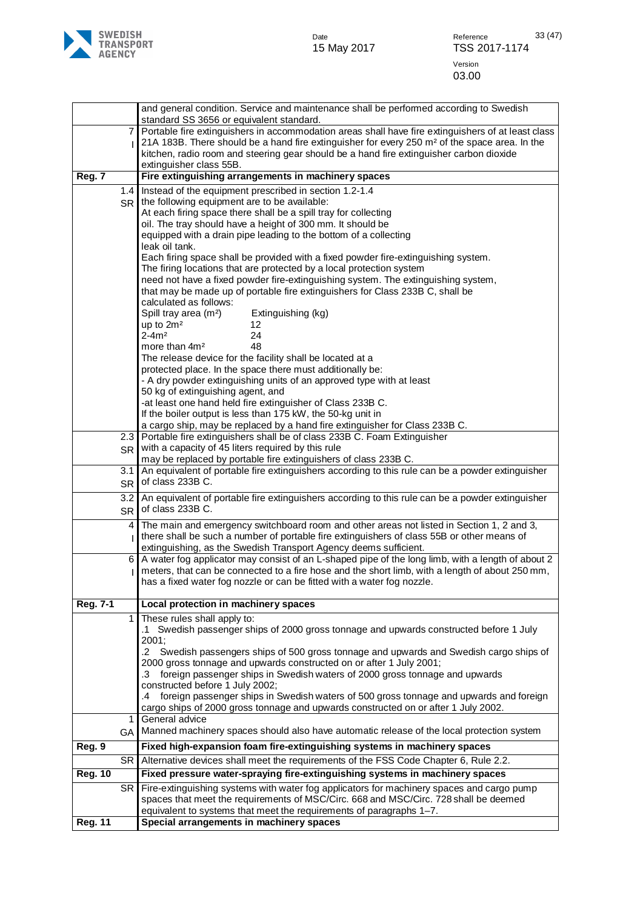

|                |                | and general condition. Service and maintenance shall be performed according to Swedish                                                                                                               |
|----------------|----------------|------------------------------------------------------------------------------------------------------------------------------------------------------------------------------------------------------|
|                | $\overline{7}$ | standard SS 3656 or equivalent standard.<br>Portable fire extinguishers in accommodation areas shall have fire extinguishers of at least class                                                       |
|                |                | 21A 183B. There should be a hand fire extinguisher for every 250 m <sup>2</sup> of the space area. In the                                                                                            |
|                |                | kitchen, radio room and steering gear should be a hand fire extinguisher carbon dioxide<br>extinguisher class 55B.                                                                                   |
| Reg. 7         |                | Fire extinguishing arrangements in machinery spaces                                                                                                                                                  |
|                | 1.4            | Instead of the equipment prescribed in section 1.2-1.4                                                                                                                                               |
|                | <b>SR</b>      | the following equipment are to be available:                                                                                                                                                         |
|                |                | At each firing space there shall be a spill tray for collecting<br>oil. The tray should have a height of 300 mm. It should be                                                                        |
|                |                | equipped with a drain pipe leading to the bottom of a collecting                                                                                                                                     |
|                |                | leak oil tank.                                                                                                                                                                                       |
|                |                | Each firing space shall be provided with a fixed powder fire-extinguishing system.<br>The firing locations that are protected by a local protection system                                           |
|                |                | need not have a fixed powder fire-extinguishing system. The extinguishing system,                                                                                                                    |
|                |                | that may be made up of portable fire extinguishers for Class 233B C, shall be                                                                                                                        |
|                |                | calculated as follows:<br>Spill tray area (m <sup>2</sup> )<br>Extinguishing (kg)                                                                                                                    |
|                |                | up to $2m2$<br>12                                                                                                                                                                                    |
|                |                | $2 - 4m2$<br>24                                                                                                                                                                                      |
|                |                | 48<br>more than 4m <sup>2</sup><br>The release device for the facility shall be located at a                                                                                                         |
|                |                | protected place. In the space there must additionally be:                                                                                                                                            |
|                |                | - A dry powder extinguishing units of an approved type with at least                                                                                                                                 |
|                |                | 50 kg of extinguishing agent, and                                                                                                                                                                    |
|                |                | -at least one hand held fire extinguisher of Class 233B C.<br>If the boiler output is less than 175 kW, the 50-kg unit in                                                                            |
|                |                | a cargo ship, may be replaced by a hand fire extinguisher for Class 233B C.                                                                                                                          |
|                | 2.3            | Portable fire extinguishers shall be of class 233B C. Foam Extinguisher<br>with a capacity of 45 liters required by this rule                                                                        |
|                | <b>SR</b>      | may be replaced by portable fire extinguishers of class 233B C.                                                                                                                                      |
|                | 3.1            | An equivalent of portable fire extinguishers according to this rule can be a powder extinguisher                                                                                                     |
|                | <b>SR</b>      | of class 233B C.                                                                                                                                                                                     |
|                | 3.2            | An equivalent of portable fire extinguishers according to this rule can be a powder extinguisher<br>of class 233B C.                                                                                 |
|                | SR<br>4        | The main and emergency switchboard room and other areas not listed in Section 1, 2 and 3,                                                                                                            |
|                |                | there shall be such a number of portable fire extinguishers of class 55B or other means of                                                                                                           |
|                |                | extinguishing, as the Swedish Transport Agency deems sufficient.                                                                                                                                     |
|                | 6              | A water fog applicator may consist of an L-shaped pipe of the long limb, with a length of about 2<br>meters, that can be connected to a fire hose and the short limb, with a length of about 250 mm, |
|                |                | has a fixed water fog nozzle or can be fitted with a water fog nozzle.                                                                                                                               |
|                |                |                                                                                                                                                                                                      |
| Reg. 7-1       | $\mathbf{1}$   | Local protection in machinery spaces<br>These rules shall apply to:                                                                                                                                  |
|                |                | .1 Swedish passenger ships of 2000 gross tonnage and upwards constructed before 1 July                                                                                                               |
|                |                | 2001;                                                                                                                                                                                                |
|                |                | .2 Swedish passengers ships of 500 gross tonnage and upwards and Swedish cargo ships of                                                                                                              |
|                |                | 2000 gross tonnage and upwards constructed on or after 1 July 2001;<br>.3 foreign passenger ships in Swedish waters of 2000 gross tonnage and upwards                                                |
|                |                | constructed before 1 July 2002;                                                                                                                                                                      |
|                |                | .4 foreign passenger ships in Swedish waters of 500 gross tonnage and upwards and foreign                                                                                                            |
|                | 1              | cargo ships of 2000 gross tonnage and upwards constructed on or after 1 July 2002.<br>General advice                                                                                                 |
|                | <b>GA</b>      | Manned machinery spaces should also have automatic release of the local protection system                                                                                                            |
| Reg. 9         |                | Fixed high-expansion foam fire-extinguishing systems in machinery spaces                                                                                                                             |
|                | SR             | Alternative devices shall meet the requirements of the FSS Code Chapter 6, Rule 2.2.                                                                                                                 |
| <b>Reg. 10</b> |                | Fixed pressure water-spraying fire-extinguishing systems in machinery spaces                                                                                                                         |
|                | <b>SR</b>      | Fire-extinguishing systems with water fog applicators for machinery spaces and cargo pump<br>spaces that meet the requirements of MSC/Circ. 668 and MSC/Circ. 728 shall be deemed                    |
|                |                | equivalent to systems that meet the requirements of paragraphs 1-7.                                                                                                                                  |
| <b>Reg. 11</b> |                | Special arrangements in machinery spaces                                                                                                                                                             |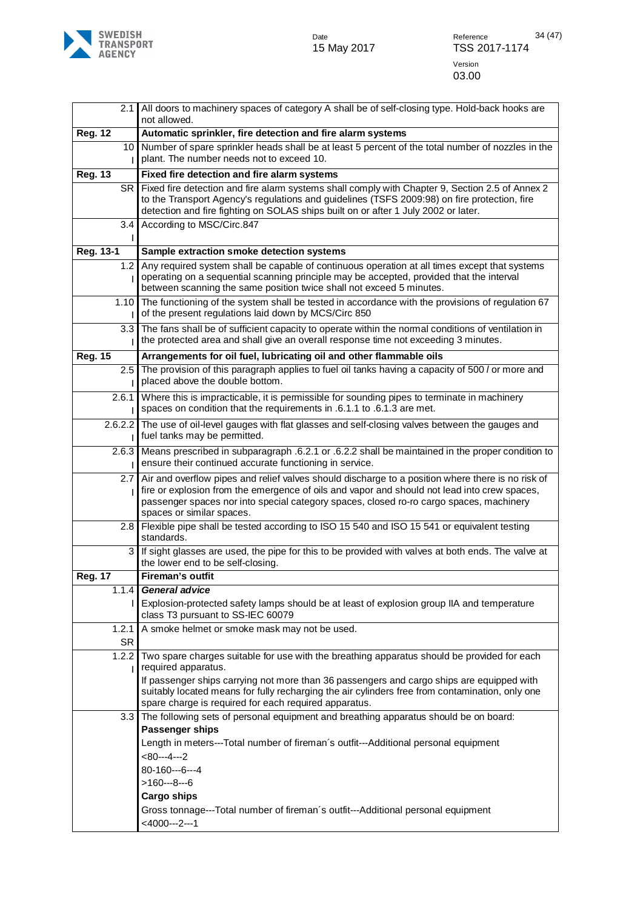

|                    | 2.1 All doors to machinery spaces of category A shall be of self-closing type. Hold-back hooks are<br>not allowed.                                                                                                                                                                                                            |
|--------------------|-------------------------------------------------------------------------------------------------------------------------------------------------------------------------------------------------------------------------------------------------------------------------------------------------------------------------------|
| <b>Reg. 12</b>     | Automatic sprinkler, fire detection and fire alarm systems                                                                                                                                                                                                                                                                    |
|                    | 10 Number of spare sprinkler heads shall be at least 5 percent of the total number of nozzles in the<br>plant. The number needs not to exceed 10.                                                                                                                                                                             |
| <b>Reg. 13</b>     | Fixed fire detection and fire alarm systems                                                                                                                                                                                                                                                                                   |
| SR I               | Fixed fire detection and fire alarm systems shall comply with Chapter 9, Section 2.5 of Annex 2<br>to the Transport Agency's regulations and guidelines (TSFS 2009:98) on fire protection, fire<br>detection and fire fighting on SOLAS ships built on or after 1 July 2002 or later.                                         |
| 3.4                | According to MSC/Circ.847                                                                                                                                                                                                                                                                                                     |
| Reg. 13-1          | Sample extraction smoke detection systems                                                                                                                                                                                                                                                                                     |
| 1.2                | Any required system shall be capable of continuous operation at all times except that systems<br>operating on a sequential scanning principle may be accepted, provided that the interval<br>between scanning the same position twice shall not exceed 5 minutes.                                                             |
| 1.10               | The functioning of the system shall be tested in accordance with the provisions of regulation 67<br>of the present regulations laid down by MCS/Circ 850                                                                                                                                                                      |
| 3.3 <sub>1</sub>   | The fans shall be of sufficient capacity to operate within the normal conditions of ventilation in<br>the protected area and shall give an overall response time not exceeding 3 minutes.                                                                                                                                     |
| <b>Reg. 15</b>     | Arrangements for oil fuel, lubricating oil and other flammable oils                                                                                                                                                                                                                                                           |
| 2.5                | The provision of this paragraph applies to fuel oil tanks having a capacity of 500 / or more and<br>placed above the double bottom.                                                                                                                                                                                           |
| 2.6.1              | Where this is impracticable, it is permissible for sounding pipes to terminate in machinery<br>spaces on condition that the requirements in .6.1.1 to .6.1.3 are met.                                                                                                                                                         |
|                    | 2.6.2.2 The use of oil-level gauges with flat glasses and self-closing valves between the gauges and<br>fuel tanks may be permitted.                                                                                                                                                                                          |
|                    | 2.6.3 Means prescribed in subparagraph .6.2.1 or .6.2.2 shall be maintained in the proper condition to<br>ensure their continued accurate functioning in service.                                                                                                                                                             |
|                    | 2.7 Air and overflow pipes and relief valves should discharge to a position where there is no risk of<br>fire or explosion from the emergence of oils and vapor and should not lead into crew spaces,<br>passenger spaces nor into special category spaces, closed ro-ro cargo spaces, machinery<br>spaces or similar spaces. |
| 2.8                | Flexible pipe shall be tested according to ISO 15 540 and ISO 15 541 or equivalent testing<br>standards.                                                                                                                                                                                                                      |
|                    | If sight glasses are used, the pipe for this to be provided with valves at both ends. The valve at<br>3<br>the lower end to be self-closing.                                                                                                                                                                                  |
| <b>Reg. 17</b>     | Fireman's outfit                                                                                                                                                                                                                                                                                                              |
| 1.1.4              | General advice                                                                                                                                                                                                                                                                                                                |
|                    | Explosion-protected safety lamps should be at least of explosion group IIA and temperature<br>class T3 pursuant to SS-IEC 60079                                                                                                                                                                                               |
| 1.2.1<br><b>SR</b> | A smoke helmet or smoke mask may not be used.                                                                                                                                                                                                                                                                                 |
| 1.2.2              | Two spare charges suitable for use with the breathing apparatus should be provided for each<br>required apparatus.                                                                                                                                                                                                            |
|                    | If passenger ships carrying not more than 36 passengers and cargo ships are equipped with<br>suitably located means for fully recharging the air cylinders free from contamination, only one<br>spare charge is required for each required apparatus.                                                                         |
| 3.3                | The following sets of personal equipment and breathing apparatus should be on board:<br>Passenger ships                                                                                                                                                                                                                       |
|                    | Length in meters---Total number of fireman's outfit---Additional personal equipment                                                                                                                                                                                                                                           |
|                    | $<80--4--2$                                                                                                                                                                                                                                                                                                                   |
|                    | 80-160---6---4                                                                                                                                                                                                                                                                                                                |
|                    | $>160--8--6$                                                                                                                                                                                                                                                                                                                  |
|                    | <b>Cargo ships</b>                                                                                                                                                                                                                                                                                                            |
|                    | Gross tonnage---Total number of fireman's outfit---Additional personal equipment<br>$<$ 4000---2---1                                                                                                                                                                                                                          |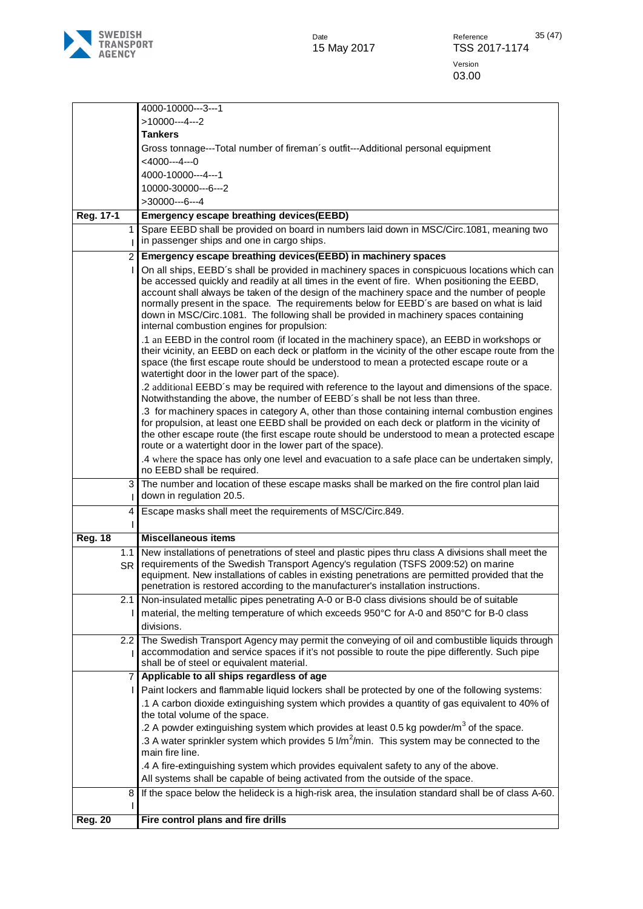

|                | 4000-10000---3---1                                                                                                                                                                             |
|----------------|------------------------------------------------------------------------------------------------------------------------------------------------------------------------------------------------|
|                | $>10000--4--2$                                                                                                                                                                                 |
|                | <b>Tankers</b>                                                                                                                                                                                 |
|                | Gross tonnage---Total number of fireman's outfit---Additional personal equipment                                                                                                               |
|                | $<$ 4000---4---0                                                                                                                                                                               |
|                | 4000-10000---4---1                                                                                                                                                                             |
|                | 10000-30000---6---2                                                                                                                                                                            |
|                | $>30000--6--4$                                                                                                                                                                                 |
| Reg. 17-1      | Emergency escape breathing devices(EEBD)                                                                                                                                                       |
| 1              | Spare EEBD shall be provided on board in numbers laid down in MSC/Circ.1081, meaning two                                                                                                       |
|                | in passenger ships and one in cargo ships.                                                                                                                                                     |
| $\overline{2}$ | Emergency escape breathing devices(EEBD) in machinery spaces                                                                                                                                   |
|                | On all ships, EEBD's shall be provided in machinery spaces in conspicuous locations which can                                                                                                  |
|                | be accessed quickly and readily at all times in the event of fire. When positioning the EEBD,                                                                                                  |
|                | account shall always be taken of the design of the machinery space and the number of people                                                                                                    |
|                | normally present in the space. The requirements below for EEBD's are based on what is laid                                                                                                     |
|                | down in MSC/Circ.1081. The following shall be provided in machinery spaces containing                                                                                                          |
|                | internal combustion engines for propulsion:                                                                                                                                                    |
|                | .1 an EEBD in the control room (if located in the machinery space), an EEBD in workshops or                                                                                                    |
|                | their vicinity, an EEBD on each deck or platform in the vicinity of the other escape route from the                                                                                            |
|                | space (the first escape route should be understood to mean a protected escape route or a<br>watertight door in the lower part of the space).                                                   |
|                | .2 additional EEBD's may be required with reference to the layout and dimensions of the space.                                                                                                 |
|                | Notwithstanding the above, the number of EEBD's shall be not less than three.                                                                                                                  |
|                | .3 for machinery spaces in category A, other than those containing internal combustion engines                                                                                                 |
|                | for propulsion, at least one EEBD shall be provided on each deck or platform in the vicinity of                                                                                                |
|                | the other escape route (the first escape route should be understood to mean a protected escape                                                                                                 |
|                | route or a watertight door in the lower part of the space).                                                                                                                                    |
|                | .4 where the space has only one level and evacuation to a safe place can be undertaken simply,                                                                                                 |
|                | no EEBD shall be required.                                                                                                                                                                     |
| 3              | The number and location of these escape masks shall be marked on the fire control plan laid                                                                                                    |
|                | down in regulation 20.5.                                                                                                                                                                       |
| 4              | Escape masks shall meet the requirements of MSC/Circ.849.                                                                                                                                      |
|                |                                                                                                                                                                                                |
| <b>Reg. 18</b> | <b>Miscellaneous items</b>                                                                                                                                                                     |
| 1.1            | New installations of penetrations of steel and plastic pipes thru class A divisions shall meet the                                                                                             |
| <b>SR</b>      | requirements of the Swedish Transport Agency's regulation (TSFS 2009:52) on marine                                                                                                             |
|                | equipment. New installations of cables in existing penetrations are permitted provided that the                                                                                                |
|                | penetration is restored according to the manufacturer's installation instructions.                                                                                                             |
| 2.1            | Non-insulated metallic pipes penetrating A-0 or B-0 class divisions should be of suitable                                                                                                      |
|                | material, the melting temperature of which exceeds 950°C for A-0 and 850°C for B-0 class                                                                                                       |
|                | divisions.                                                                                                                                                                                     |
| 2.2            | The Swedish Transport Agency may permit the conveying of oil and combustible liquids through<br>accommodation and service spaces if it's not possible to route the pipe differently. Such pipe |
|                | shall be of steel or equivalent material.                                                                                                                                                      |
| 7              | Applicable to all ships regardless of age                                                                                                                                                      |
|                | Paint lockers and flammable liquid lockers shall be protected by one of the following systems:                                                                                                 |
|                | .1 A carbon dioxide extinguishing system which provides a quantity of gas equivalent to 40% of                                                                                                 |
|                | the total volume of the space.                                                                                                                                                                 |
|                | .2 A powder extinguishing system which provides at least 0.5 kg powder/ $m^3$ of the space.                                                                                                    |
|                | .3 A water sprinkler system which provides 5 l/m <sup>2</sup> /min. This system may be connected to the                                                                                        |
|                | main fire line.                                                                                                                                                                                |
|                | .4 A fire-extinguishing system which provides equivalent safety to any of the above.                                                                                                           |
|                | All systems shall be capable of being activated from the outside of the space.                                                                                                                 |
| 8              | If the space below the helideck is a high-risk area, the insulation standard shall be of class A-60.                                                                                           |
|                |                                                                                                                                                                                                |
| <b>Reg. 20</b> | Fire control plans and fire drills                                                                                                                                                             |
|                |                                                                                                                                                                                                |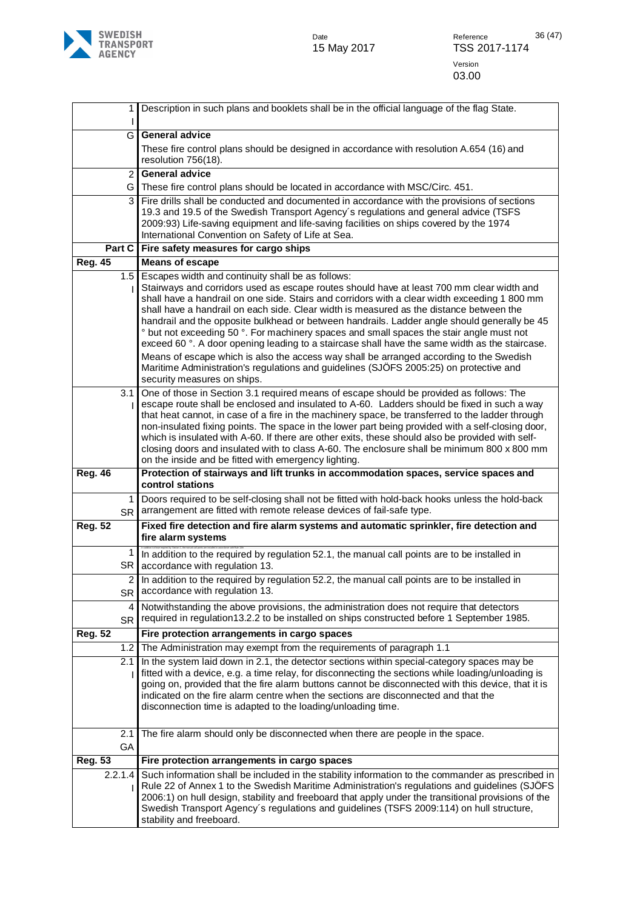**SWEDISH<br>TRANSPORT<br>AGENCY** 

|                | 1               | Description in such plans and booklets shall be in the official language of the flag State.                                                                                                                                                                                                                                                                                                                                                                                                                                                                                                                                                                                                                                                                                                                                   |
|----------------|-----------------|-------------------------------------------------------------------------------------------------------------------------------------------------------------------------------------------------------------------------------------------------------------------------------------------------------------------------------------------------------------------------------------------------------------------------------------------------------------------------------------------------------------------------------------------------------------------------------------------------------------------------------------------------------------------------------------------------------------------------------------------------------------------------------------------------------------------------------|
|                | G               | <b>General advice</b>                                                                                                                                                                                                                                                                                                                                                                                                                                                                                                                                                                                                                                                                                                                                                                                                         |
|                |                 | These fire control plans should be designed in accordance with resolution A.654 (16) and<br>resolution 756(18).                                                                                                                                                                                                                                                                                                                                                                                                                                                                                                                                                                                                                                                                                                               |
|                | $\overline{2}$  | <b>General advice</b>                                                                                                                                                                                                                                                                                                                                                                                                                                                                                                                                                                                                                                                                                                                                                                                                         |
|                | G               | These fire control plans should be located in accordance with MSC/Circ. 451.                                                                                                                                                                                                                                                                                                                                                                                                                                                                                                                                                                                                                                                                                                                                                  |
|                | 3               | Fire drills shall be conducted and documented in accordance with the provisions of sections<br>19.3 and 19.5 of the Swedish Transport Agency's regulations and general advice (TSFS<br>2009:93) Life-saving equipment and life-saving facilities on ships covered by the 1974<br>International Convention on Safety of Life at Sea.                                                                                                                                                                                                                                                                                                                                                                                                                                                                                           |
|                | Part C          | Fire safety measures for cargo ships                                                                                                                                                                                                                                                                                                                                                                                                                                                                                                                                                                                                                                                                                                                                                                                          |
| <b>Reg. 45</b> |                 | <b>Means of escape</b>                                                                                                                                                                                                                                                                                                                                                                                                                                                                                                                                                                                                                                                                                                                                                                                                        |
|                | 1.5             | Escapes width and continuity shall be as follows:<br>Stairways and corridors used as escape routes should have at least 700 mm clear width and<br>shall have a handrail on one side. Stairs and corridors with a clear width exceeding 1 800 mm<br>shall have a handrail on each side. Clear width is measured as the distance between the<br>handrail and the opposite bulkhead or between handrails. Ladder angle should generally be 45<br>° but not exceeding 50 °. For machinery spaces and small spaces the stair angle must not<br>exceed 60 °. A door opening leading to a staircase shall have the same width as the staircase.<br>Means of escape which is also the access way shall be arranged according to the Swedish<br>Maritime Administration's regulations and guidelines (SJÖFS 2005:25) on protective and |
|                | 3.1             | security measures on ships.<br>One of those in Section 3.1 required means of escape should be provided as follows: The<br>escape route shall be enclosed and insulated to A-60. Ladders should be fixed in such a way                                                                                                                                                                                                                                                                                                                                                                                                                                                                                                                                                                                                         |
|                |                 | that heat cannot, in case of a fire in the machinery space, be transferred to the ladder through<br>non-insulated fixing points. The space in the lower part being provided with a self-closing door,<br>which is insulated with A-60. If there are other exits, these should also be provided with self-<br>closing doors and insulated with to class A-60. The enclosure shall be minimum 800 x 800 mm<br>on the inside and be fitted with emergency lighting.                                                                                                                                                                                                                                                                                                                                                              |
| <b>Reg. 46</b> |                 | Protection of stairways and lift trunks in accommodation spaces, service spaces and<br>control stations                                                                                                                                                                                                                                                                                                                                                                                                                                                                                                                                                                                                                                                                                                                       |
|                | 1.<br><b>SR</b> | Doors required to be self-closing shall not be fitted with hold-back hooks unless the hold-back<br>arrangement are fitted with remote release devices of fail-safe type.                                                                                                                                                                                                                                                                                                                                                                                                                                                                                                                                                                                                                                                      |
|                |                 |                                                                                                                                                                                                                                                                                                                                                                                                                                                                                                                                                                                                                                                                                                                                                                                                                               |
| <b>Reg. 52</b> |                 | Fixed fire detection and fire alarm systems and automatic sprinkler, fire detection and<br>fire alarm systems                                                                                                                                                                                                                                                                                                                                                                                                                                                                                                                                                                                                                                                                                                                 |
|                | SR              | In addition to the required by regulation 52.1, the manual call points are to be installed in<br>accordance with regulation 13.                                                                                                                                                                                                                                                                                                                                                                                                                                                                                                                                                                                                                                                                                               |
|                | 2<br>SR         | In addition to the required by regulation 52.2, the manual call points are to be installed in<br>accordance with regulation 13.                                                                                                                                                                                                                                                                                                                                                                                                                                                                                                                                                                                                                                                                                               |
|                | 4<br><b>SR</b>  | Notwithstanding the above provisions, the administration does not require that detectors<br>required in regulation 13.2.2 to be installed on ships constructed before 1 September 1985.                                                                                                                                                                                                                                                                                                                                                                                                                                                                                                                                                                                                                                       |
| <b>Reg. 52</b> |                 | Fire protection arrangements in cargo spaces                                                                                                                                                                                                                                                                                                                                                                                                                                                                                                                                                                                                                                                                                                                                                                                  |
|                | 1.2             | The Administration may exempt from the requirements of paragraph 1.1                                                                                                                                                                                                                                                                                                                                                                                                                                                                                                                                                                                                                                                                                                                                                          |
|                | 2.1             | In the system laid down in 2.1, the detector sections within special-category spaces may be<br>fitted with a device, e.g. a time relay, for disconnecting the sections while loading/unloading is<br>going on, provided that the fire alarm buttons cannot be disconnected with this device, that it is<br>indicated on the fire alarm centre when the sections are disconnected and that the<br>disconnection time is adapted to the loading/unloading time.                                                                                                                                                                                                                                                                                                                                                                 |
|                | 2.1<br>GA       | The fire alarm should only be disconnected when there are people in the space.                                                                                                                                                                                                                                                                                                                                                                                                                                                                                                                                                                                                                                                                                                                                                |
| <b>Reg. 53</b> |                 | Fire protection arrangements in cargo spaces                                                                                                                                                                                                                                                                                                                                                                                                                                                                                                                                                                                                                                                                                                                                                                                  |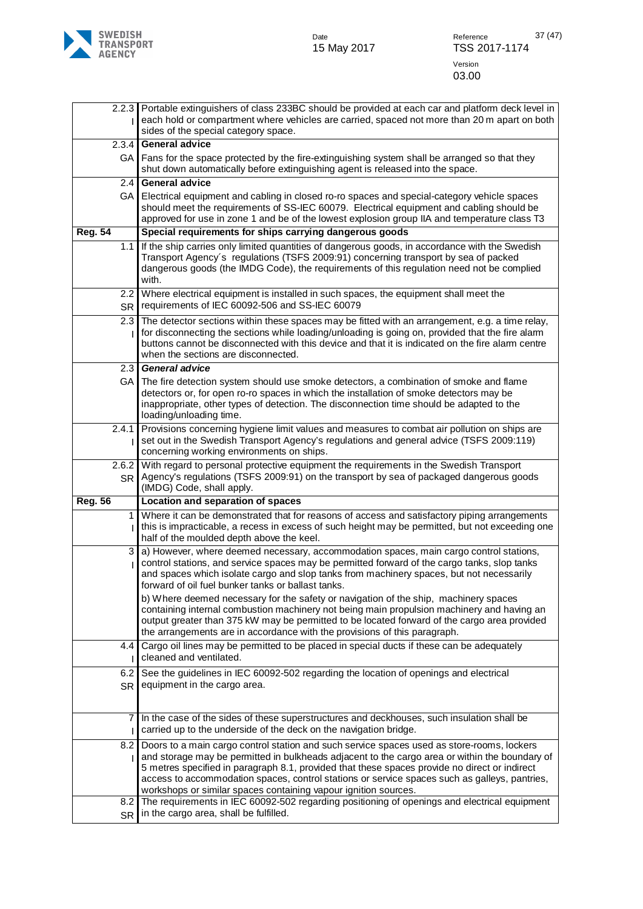

|                               | 2.2.3 Portable extinguishers of class 233BC should be provided at each car and platform deck level in<br>each hold or compartment where vehicles are carried, spaced not more than 20 m apart on both<br>sides of the special category space.                                                                                                                                                                                                                                                                                                                         |
|-------------------------------|-----------------------------------------------------------------------------------------------------------------------------------------------------------------------------------------------------------------------------------------------------------------------------------------------------------------------------------------------------------------------------------------------------------------------------------------------------------------------------------------------------------------------------------------------------------------------|
| 2.3.4                         | <b>General advice</b>                                                                                                                                                                                                                                                                                                                                                                                                                                                                                                                                                 |
| GA                            | Fans for the space protected by the fire-extinguishing system shall be arranged so that they<br>shut down automatically before extinguishing agent is released into the space.                                                                                                                                                                                                                                                                                                                                                                                        |
| 2.4                           | <b>General advice</b>                                                                                                                                                                                                                                                                                                                                                                                                                                                                                                                                                 |
| GA                            | Electrical equipment and cabling in closed ro-ro spaces and special-category vehicle spaces<br>should meet the requirements of SS-IEC 60079. Electrical equipment and cabling should be<br>approved for use in zone 1 and be of the lowest explosion group IIA and temperature class T3                                                                                                                                                                                                                                                                               |
| <b>Reg. 54</b>                | Special requirements for ships carrying dangerous goods                                                                                                                                                                                                                                                                                                                                                                                                                                                                                                               |
| 1.1                           | If the ship carries only limited quantities of dangerous goods, in accordance with the Swedish<br>Transport Agency's regulations (TSFS 2009:91) concerning transport by sea of packed<br>dangerous goods (the IMDG Code), the requirements of this regulation need not be complied<br>with.                                                                                                                                                                                                                                                                           |
| $2.2\phantom{0}$<br><b>SR</b> | Where electrical equipment is installed in such spaces, the equipment shall meet the<br>requirements of IEC 60092-506 and SS-IEC 60079                                                                                                                                                                                                                                                                                                                                                                                                                                |
| 2.3                           | The detector sections within these spaces may be fitted with an arrangement, e.g. a time relay,<br>for disconnecting the sections while loading/unloading is going on, provided that the fire alarm<br>buttons cannot be disconnected with this device and that it is indicated on the fire alarm centre<br>when the sections are disconnected.                                                                                                                                                                                                                       |
| 2.3                           | <b>General advice</b>                                                                                                                                                                                                                                                                                                                                                                                                                                                                                                                                                 |
| GA                            | The fire detection system should use smoke detectors, a combination of smoke and flame<br>detectors or, for open ro-ro spaces in which the installation of smoke detectors may be<br>inappropriate, other types of detection. The disconnection time should be adapted to the<br>loading/unloading time.                                                                                                                                                                                                                                                              |
| 2.4.1                         | Provisions concerning hygiene limit values and measures to combat air pollution on ships are<br>set out in the Swedish Transport Agency's regulations and general advice (TSFS 2009:119)<br>concerning working environments on ships.                                                                                                                                                                                                                                                                                                                                 |
| 2.6.2<br><b>SR</b>            | With regard to personal protective equipment the requirements in the Swedish Transport<br>Agency's regulations (TSFS 2009:91) on the transport by sea of packaged dangerous goods<br>(IMDG) Code, shall apply.                                                                                                                                                                                                                                                                                                                                                        |
| <b>Reg. 56</b>                | Location and separation of spaces                                                                                                                                                                                                                                                                                                                                                                                                                                                                                                                                     |
| $\mathbf{1}$                  | Where it can be demonstrated that for reasons of access and satisfactory piping arrangements<br>this is impracticable, a recess in excess of such height may be permitted, but not exceeding one<br>half of the moulded depth above the keel.                                                                                                                                                                                                                                                                                                                         |
| 3                             | a) However, where deemed necessary, accommodation spaces, main cargo control stations,<br>control stations, and service spaces may be permitted forward of the cargo tanks, slop tanks<br>and spaces which isolate cargo and slop tanks from machinery spaces, but not necessarily<br>forward of oil fuel bunker tanks or ballast tanks.<br>b) Where deemed necessary for the safety or navigation of the ship, machinery spaces<br>containing internal combustion machinery not being main propulsion machinery and having an                                        |
|                               | output greater than 375 kW may be permitted to be located forward of the cargo area provided<br>the arrangements are in accordance with the provisions of this paragraph.                                                                                                                                                                                                                                                                                                                                                                                             |
| 4.4                           | Cargo oil lines may be permitted to be placed in special ducts if these can be adequately<br>cleaned and ventilated.                                                                                                                                                                                                                                                                                                                                                                                                                                                  |
| 6.2<br><b>SR</b>              | See the guidelines in IEC 60092-502 regarding the location of openings and electrical<br>equipment in the cargo area.                                                                                                                                                                                                                                                                                                                                                                                                                                                 |
| 7                             | In the case of the sides of these superstructures and deckhouses, such insulation shall be<br>carried up to the underside of the deck on the navigation bridge.                                                                                                                                                                                                                                                                                                                                                                                                       |
|                               | 8.2 Doors to a main cargo control station and such service spaces used as store-rooms, lockers<br>and storage may be permitted in bulkheads adjacent to the cargo area or within the boundary of<br>5 metres specified in paragraph 8.1, provided that these spaces provide no direct or indirect<br>access to accommodation spaces, control stations or service spaces such as galleys, pantries,<br>workshops or similar spaces containing vapour ignition sources.<br>The requirements in IEC 60092-502 regarding positioning of openings and electrical equipment |
| 8.2<br><b>SR</b>              | in the cargo area, shall be fulfilled.                                                                                                                                                                                                                                                                                                                                                                                                                                                                                                                                |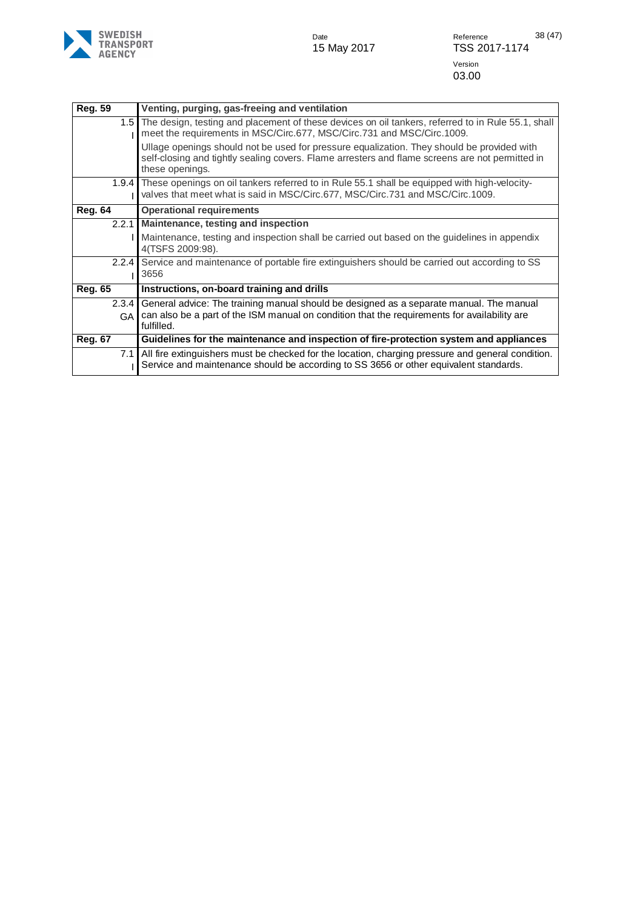

| <b>Reg. 59</b> | Venting, purging, gas-freeing and ventilation                                                                                                                                                                    |
|----------------|------------------------------------------------------------------------------------------------------------------------------------------------------------------------------------------------------------------|
|                | 1.5 The design, testing and placement of these devices on oil tankers, referred to in Rule 55.1, shall<br>meet the requirements in MSC/Circ.677, MSC/Circ.731 and MSC/Circ.1009.                                 |
|                | Ullage openings should not be used for pressure equalization. They should be provided with<br>self-closing and tightly sealing covers. Flame arresters and flame screens are not permitted in<br>these openings. |
| 1.9.4          | These openings on oil tankers referred to in Rule 55.1 shall be equipped with high-velocity-<br>valves that meet what is said in MSC/Circ.677, MSC/Circ.731 and MSC/Circ.1009.                                   |
| <b>Reg. 64</b> | <b>Operational requirements</b>                                                                                                                                                                                  |
| 2.2.1          | Maintenance, testing and inspection                                                                                                                                                                              |
|                | Maintenance, testing and inspection shall be carried out based on the guidelines in appendix<br>4(TSFS 2009:98).                                                                                                 |
| 2.2.4          | Service and maintenance of portable fire extinguishers should be carried out according to SS<br>3656                                                                                                             |
| <b>Reg. 65</b> | Instructions, on-board training and drills                                                                                                                                                                       |
| 2.3.4          | General advice: The training manual should be designed as a separate manual. The manual                                                                                                                          |
| GA             | can also be a part of the ISM manual on condition that the requirements for availability are<br>fulfilled.                                                                                                       |
| <b>Reg. 67</b> | Guidelines for the maintenance and inspection of fire-protection system and appliances                                                                                                                           |
| 7.1            | All fire extinguishers must be checked for the location, charging pressure and general condition.<br>Service and maintenance should be according to SS 3656 or other equivalent standards.                       |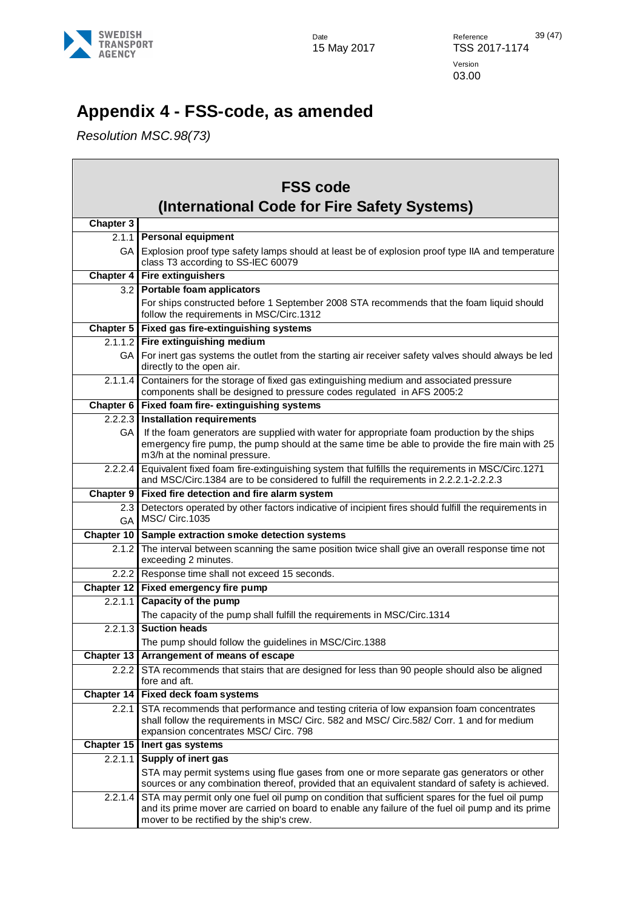

 $\Box$ 

# <span id="page-38-0"></span>**Appendix 4 - FSS-code, as amended**

*Resolution MSC.98(73)*

| <b>FSS code</b><br>(International Code for Fire Safety Systems) |                                                                                                                                                                                                                                                   |
|-----------------------------------------------------------------|---------------------------------------------------------------------------------------------------------------------------------------------------------------------------------------------------------------------------------------------------|
| <b>Chapter 3</b>                                                |                                                                                                                                                                                                                                                   |
|                                                                 | 2.1.1 Personal equipment                                                                                                                                                                                                                          |
| GA I                                                            | Explosion proof type safety lamps should at least be of explosion proof type IIA and temperature<br>class T3 according to SS-IEC 60079                                                                                                            |
|                                                                 | <b>Chapter 4 Fire extinguishers</b>                                                                                                                                                                                                               |
| 3.2 <sub>1</sub>                                                | Portable foam applicators                                                                                                                                                                                                                         |
|                                                                 | For ships constructed before 1 September 2008 STA recommends that the foam liquid should<br>follow the requirements in MSC/Circ.1312                                                                                                              |
|                                                                 | Chapter 5   Fixed gas fire-extinguishing systems                                                                                                                                                                                                  |
|                                                                 | 2.1.1.2 Fire extinguishing medium                                                                                                                                                                                                                 |
| GA                                                              | For inert gas systems the outlet from the starting air receiver safety valves should always be led<br>directly to the open air.                                                                                                                   |
| 2.1.1.4                                                         | Containers for the storage of fixed gas extinguishing medium and associated pressure<br>components shall be designed to pressure codes regulated in AFS 2005:2                                                                                    |
|                                                                 | Chapter 6   Fixed foam fire-extinguishing systems                                                                                                                                                                                                 |
|                                                                 | 2.2.2.3 Installation requirements                                                                                                                                                                                                                 |
| GA.                                                             | If the foam generators are supplied with water for appropriate foam production by the ships<br>emergency fire pump, the pump should at the same time be able to provide the fire main with 25<br>m3/h at the nominal pressure.                    |
| 2.2.2.4                                                         | Equivalent fixed foam fire-extinguishing system that fulfills the requirements in MSC/Circ.1271<br>and MSC/Circ.1384 are to be considered to fulfill the requirements in 2.2.2.1-2.2.2.3                                                          |
| <b>Chapter 9</b>                                                | Fixed fire detection and fire alarm system                                                                                                                                                                                                        |
| 2.3<br><b>GA</b>                                                | Detectors operated by other factors indicative of incipient fires should fulfill the requirements in<br><b>MSC/ Circ.1035</b>                                                                                                                     |
| Chapter 10                                                      | Sample extraction smoke detection systems                                                                                                                                                                                                         |
| 2.1.2                                                           | The interval between scanning the same position twice shall give an overall response time not<br>exceeding 2 minutes.                                                                                                                             |
| 2.2.2                                                           | Response time shall not exceed 15 seconds.                                                                                                                                                                                                        |
|                                                                 | Chapter 12   Fixed emergency fire pump                                                                                                                                                                                                            |
| 2.2.1.1                                                         | Capacity of the pump<br>The capacity of the pump shall fulfill the requirements in MSC/Circ.1314                                                                                                                                                  |
| $2.\overline{2.1.3}$                                            | <b>Suction heads</b><br>The pump should follow the guidelines in MSC/Circ.1388                                                                                                                                                                    |
|                                                                 | Chapter 13   Arrangement of means of escape                                                                                                                                                                                                       |
| 2.2.2                                                           | STA recommends that stairs that are designed for less than 90 people should also be aligned<br>fore and aft.                                                                                                                                      |
| Chapter 14                                                      | <b>Fixed deck foam systems</b>                                                                                                                                                                                                                    |
| 2.2.1                                                           | STA recommends that performance and testing criteria of low expansion foam concentrates<br>shall follow the requirements in MSC/ Circ. 582 and MSC/ Circ.582/ Corr. 1 and for medium<br>expansion concentrates MSC/ Circ. 798                     |
| Chapter 15                                                      | Inert gas systems                                                                                                                                                                                                                                 |
| 2.2.1.1                                                         | Supply of inert gas                                                                                                                                                                                                                               |
|                                                                 | STA may permit systems using flue gases from one or more separate gas generators or other<br>sources or any combination thereof, provided that an equivalent standard of safety is achieved.                                                      |
| 2.2.1.4                                                         | STA may permit only one fuel oil pump on condition that sufficient spares for the fuel oil pump<br>and its prime mover are carried on board to enable any failure of the fuel oil pump and its prime<br>mover to be rectified by the ship's crew. |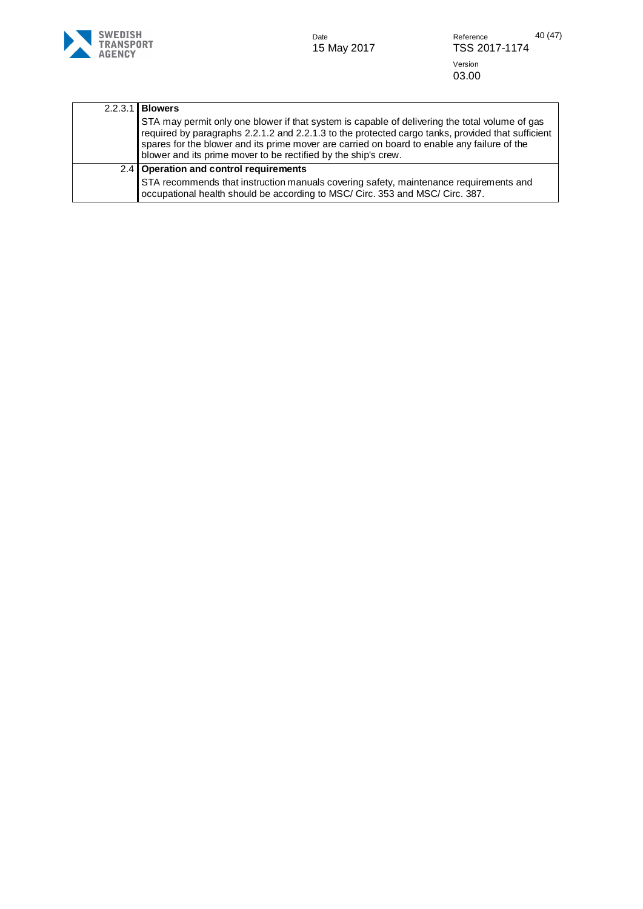

Date Part Reference 40 (47)<br>15 May 2017 **TSS 2017-1174** Version 03.00

| 2.2.3.1 | <b>Blowers</b>                                                                                                                                                                                                                                                                                                                                                       |
|---------|----------------------------------------------------------------------------------------------------------------------------------------------------------------------------------------------------------------------------------------------------------------------------------------------------------------------------------------------------------------------|
|         | STA may permit only one blower if that system is capable of delivering the total volume of gas<br>required by paragraphs 2.2.1.2 and 2.2.1.3 to the protected cargo tanks, provided that sufficient<br>spares for the blower and its prime mover are carried on board to enable any failure of the<br>blower and its prime mover to be rectified by the ship's crew. |
|         | 2.4 Operation and control requirements                                                                                                                                                                                                                                                                                                                               |
|         | STA recommends that instruction manuals covering safety, maintenance requirements and<br>occupational health should be according to MSC/ Circ. 353 and MSC/ Circ. 387.                                                                                                                                                                                               |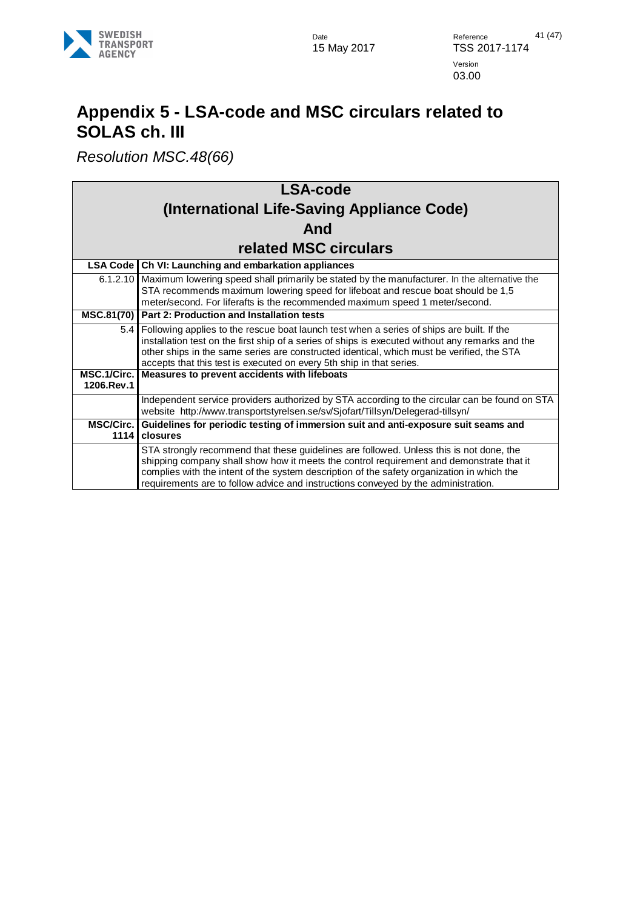

## <span id="page-40-0"></span>**Appendix 5 - LSA-code and MSC circulars related to SOLAS ch. III**

*Resolution MSC.48(66)*

| <b>LSA-code</b>           |                                                                                                                                                                                                                                                                                                                                                                         |  |
|---------------------------|-------------------------------------------------------------------------------------------------------------------------------------------------------------------------------------------------------------------------------------------------------------------------------------------------------------------------------------------------------------------------|--|
|                           | (International Life-Saving Appliance Code)                                                                                                                                                                                                                                                                                                                              |  |
|                           | And                                                                                                                                                                                                                                                                                                                                                                     |  |
|                           | <b>related MSC circulars</b>                                                                                                                                                                                                                                                                                                                                            |  |
|                           | LSA Code   Ch VI: Launching and embarkation appliances                                                                                                                                                                                                                                                                                                                  |  |
|                           | 6.1.2.10 Maximum lowering speed shall primarily be stated by the manufacturer. In the alternative the<br>STA recommends maximum lowering speed for lifeboat and rescue boat should be 1,5<br>meter/second. For liferafts is the recommended maximum speed 1 meter/second.                                                                                               |  |
|                           | MSC.81(70) Part 2: Production and Installation tests                                                                                                                                                                                                                                                                                                                    |  |
| 5.4                       | Following applies to the rescue boat launch test when a series of ships are built. If the<br>installation test on the first ship of a series of ships is executed without any remarks and the<br>other ships in the same series are constructed identical, which must be verified, the STA<br>accepts that this test is executed on every 5th ship in that series.      |  |
| MSC.1/Circ.<br>1206.Rev.1 | Measures to prevent accidents with lifeboats                                                                                                                                                                                                                                                                                                                            |  |
|                           | Independent service providers authorized by STA according to the circular can be found on STA<br>website http://www.transportstyrelsen.se/sv/Sjofart/Tillsyn/Delegerad-tillsyn/                                                                                                                                                                                         |  |
| <b>MSC/Circ.</b><br>1114  | Guidelines for periodic testing of immersion suit and anti-exposure suit seams and<br>closures                                                                                                                                                                                                                                                                          |  |
|                           | STA strongly recommend that these guidelines are followed. Unless this is not done, the<br>shipping company shall show how it meets the control requirement and demonstrate that it<br>complies with the intent of the system description of the safety organization in which the<br>requirements are to follow advice and instructions conveyed by the administration. |  |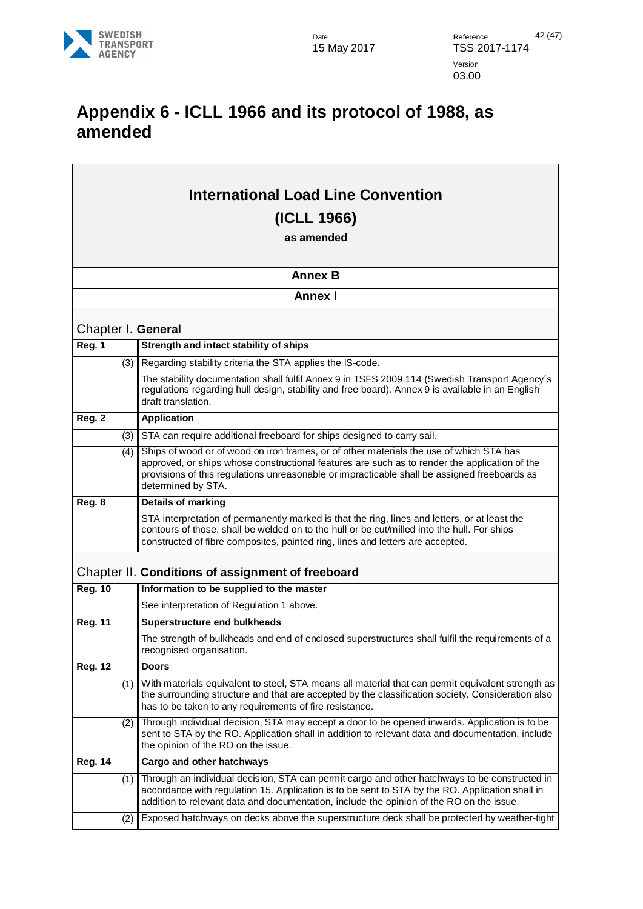

### <span id="page-41-0"></span>**Appendix 6 - ICLL 1966 and its protocol of 1988, as amended**

<span id="page-41-2"></span><span id="page-41-1"></span>

|                | <b>International Load Line Convention</b> |                                                                                                                                                                                                                                                                                                                |
|----------------|-------------------------------------------|----------------------------------------------------------------------------------------------------------------------------------------------------------------------------------------------------------------------------------------------------------------------------------------------------------------|
|                | (ICLL 1966)                               |                                                                                                                                                                                                                                                                                                                |
|                |                                           | as amended                                                                                                                                                                                                                                                                                                     |
|                |                                           |                                                                                                                                                                                                                                                                                                                |
|                |                                           | <b>Annex B</b>                                                                                                                                                                                                                                                                                                 |
|                |                                           | <b>Annex I</b>                                                                                                                                                                                                                                                                                                 |
|                |                                           | Chapter I. General                                                                                                                                                                                                                                                                                             |
| Reg. 1         |                                           | Strength and intact stability of ships                                                                                                                                                                                                                                                                         |
|                | (3)                                       | Regarding stability criteria the STA applies the IS-code.                                                                                                                                                                                                                                                      |
|                |                                           | The stability documentation shall fulfil Annex 9 in TSFS 2009:114 (Swedish Transport Agency's<br>regulations regarding hull design, stability and free board). Annex 9 is available in an English<br>draft translation.                                                                                        |
| Reg. 2         |                                           | <b>Application</b>                                                                                                                                                                                                                                                                                             |
|                | (3)                                       | STA can require additional freeboard for ships designed to carry sail.                                                                                                                                                                                                                                         |
|                | (4)                                       | Ships of wood or of wood on iron frames, or of other materials the use of which STA has<br>approved, or ships whose constructional features are such as to render the application of the<br>provisions of this regulations unreasonable or impracticable shall be assigned freeboards as<br>determined by STA. |
| Reg. 8         |                                           | Details of marking                                                                                                                                                                                                                                                                                             |
|                |                                           | STA interpretation of permanently marked is that the ring, lines and letters, or at least the<br>contours of those, shall be welded on to the hull or be cut/milled into the hull. For ships<br>constructed of fibre composites, painted ring, lines and letters are accepted.                                 |
|                |                                           | Chapter II. Conditions of assignment of freeboard                                                                                                                                                                                                                                                              |
| <b>Reg. 10</b> |                                           | Information to be supplied to the master                                                                                                                                                                                                                                                                       |
|                |                                           | See interpretation of Regulation 1 above.                                                                                                                                                                                                                                                                      |
| <b>Reg. 11</b> |                                           | <b>Superstructure end bulkheads</b>                                                                                                                                                                                                                                                                            |
|                |                                           | The strength of bulkheads and end of enclosed superstructures shall fulfil the requirements of a<br>recognised organisation.                                                                                                                                                                                   |
| <b>Reg. 12</b> |                                           | <b>Doors</b>                                                                                                                                                                                                                                                                                                   |
|                | (1)                                       | With materials equivalent to steel, STA means all material that can permit equivalent strength as<br>the surrounding structure and that are accepted by the classification society. Consideration also<br>has to be taken to any requirements of fire resistance.                                              |
|                | (2)                                       | Through individual decision, STA may accept a door to be opened inwards. Application is to be<br>sent to STA by the RO. Application shall in addition to relevant data and documentation, include<br>the opinion of the RO on the issue.                                                                       |
| <b>Reg. 14</b> |                                           | Cargo and other hatchways                                                                                                                                                                                                                                                                                      |
|                | (1)                                       | Through an individual decision, STA can permit cargo and other hatchways to be constructed in<br>accordance with regulation 15. Application is to be sent to STA by the RO. Application shall in<br>addition to relevant data and documentation, include the opinion of the RO on the issue.                   |
|                | (2)                                       | Exposed hatchways on decks above the superstructure deck shall be protected by weather-tight                                                                                                                                                                                                                   |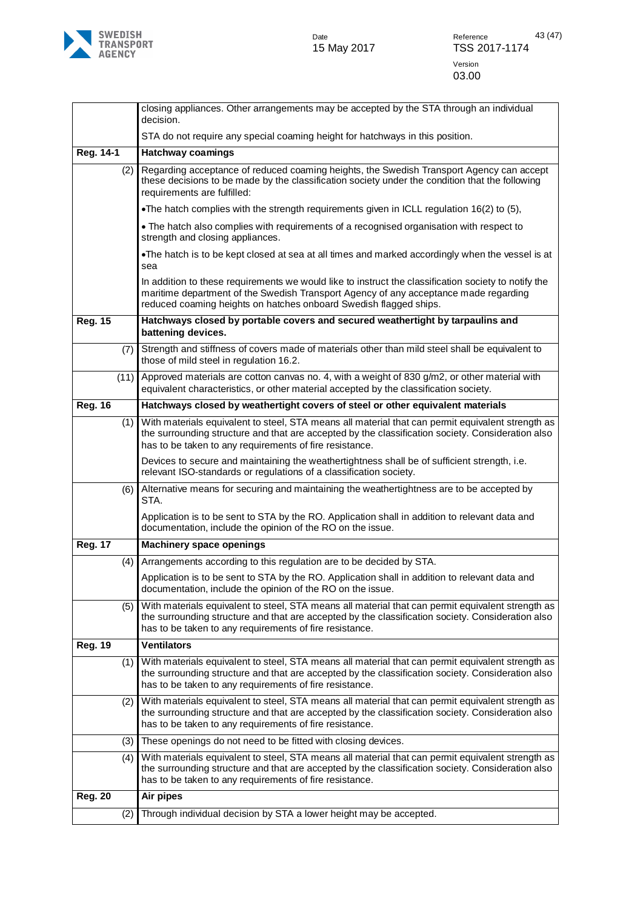

|                |      | closing appliances. Other arrangements may be accepted by the STA through an individual<br>decision.                                                                                                                                                              |
|----------------|------|-------------------------------------------------------------------------------------------------------------------------------------------------------------------------------------------------------------------------------------------------------------------|
|                |      | STA do not require any special coaming height for hatchways in this position.                                                                                                                                                                                     |
| Reg. 14-1      |      | <b>Hatchway coamings</b>                                                                                                                                                                                                                                          |
|                | (2)  | Regarding acceptance of reduced coaming heights, the Swedish Transport Agency can accept<br>these decisions to be made by the classification society under the condition that the following<br>requirements are fulfilled:                                        |
|                |      | •The hatch complies with the strength requirements given in ICLL regulation 16(2) to (5),                                                                                                                                                                         |
|                |      | • The hatch also complies with requirements of a recognised organisation with respect to<br>strength and closing appliances.                                                                                                                                      |
|                |      | •The hatch is to be kept closed at sea at all times and marked accordingly when the vessel is at<br>sea                                                                                                                                                           |
|                |      | In addition to these requirements we would like to instruct the classification society to notify the<br>maritime department of the Swedish Transport Agency of any acceptance made regarding<br>reduced coaming heights on hatches onboard Swedish flagged ships. |
| <b>Reg. 15</b> |      | Hatchways closed by portable covers and secured weathertight by tarpaulins and<br>battening devices.                                                                                                                                                              |
|                | (7)  | Strength and stiffness of covers made of materials other than mild steel shall be equivalent to<br>those of mild steel in regulation 16.2.                                                                                                                        |
|                | (11) | Approved materials are cotton canvas no. 4, with a weight of 830 g/m2, or other material with<br>equivalent characteristics, or other material accepted by the classification society.                                                                            |
| <b>Reg. 16</b> |      | Hatchways closed by weathertight covers of steel or other equivalent materials                                                                                                                                                                                    |
|                | (1)  | With materials equivalent to steel, STA means all material that can permit equivalent strength as<br>the surrounding structure and that are accepted by the classification society. Consideration also<br>has to be taken to any requirements of fire resistance. |
|                |      | Devices to secure and maintaining the weathertightness shall be of sufficient strength, i.e.<br>relevant ISO-standards or regulations of a classification society.                                                                                                |
|                | (6)  | Alternative means for securing and maintaining the weathertightness are to be accepted by<br>STA.                                                                                                                                                                 |
|                |      | Application is to be sent to STA by the RO. Application shall in addition to relevant data and<br>documentation, include the opinion of the RO on the issue.                                                                                                      |
| <b>Reg. 17</b> |      | <b>Machinery space openings</b>                                                                                                                                                                                                                                   |
|                | (4)  | Arrangements according to this regulation are to be decided by STA.                                                                                                                                                                                               |
|                |      | Application is to be sent to STA by the RO. Application shall in addition to relevant data and<br>documentation, include the opinion of the RO on the issue.                                                                                                      |
|                | (5)  | With materials equivalent to steel, STA means all material that can permit equivalent strength as<br>the surrounding structure and that are accepted by the classification society. Consideration also<br>has to be taken to any requirements of fire resistance. |
| <b>Reg. 19</b> |      | <b>Ventilators</b>                                                                                                                                                                                                                                                |
|                | (1)  | With materials equivalent to steel, STA means all material that can permit equivalent strength as<br>the surrounding structure and that are accepted by the classification society. Consideration also<br>has to be taken to any requirements of fire resistance. |
|                | (2)  | With materials equivalent to steel, STA means all material that can permit equivalent strength as<br>the surrounding structure and that are accepted by the classification society. Consideration also<br>has to be taken to any requirements of fire resistance. |
|                | (3)  | These openings do not need to be fitted with closing devices.                                                                                                                                                                                                     |
|                | (4)  | With materials equivalent to steel, STA means all material that can permit equivalent strength as<br>the surrounding structure and that are accepted by the classification society. Consideration also<br>has to be taken to any requirements of fire resistance. |
| <b>Reg. 20</b> |      | Air pipes                                                                                                                                                                                                                                                         |
|                | (2)  | Through individual decision by STA a lower height may be accepted.                                                                                                                                                                                                |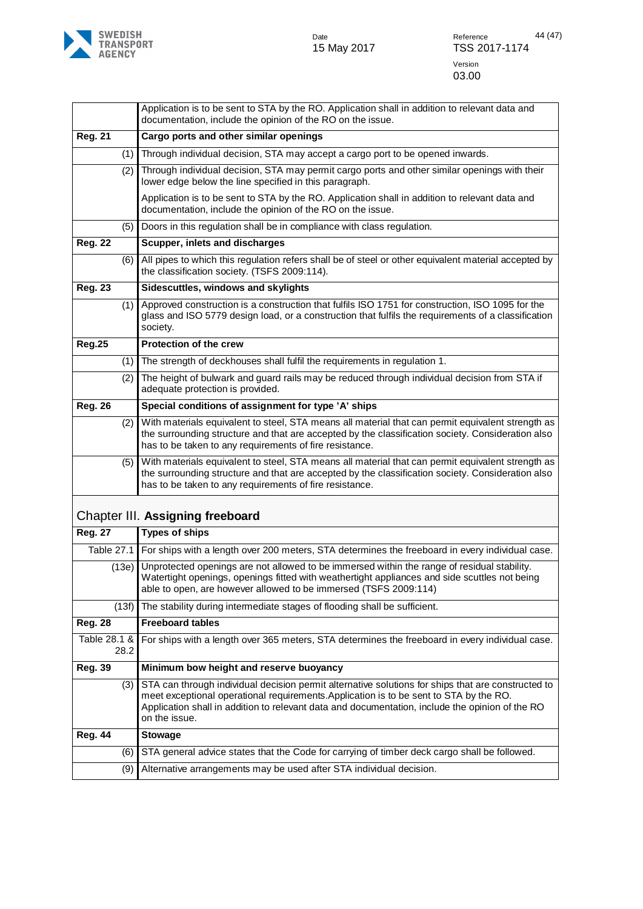

<span id="page-43-0"></span>

|                      | Application is to be sent to STA by the RO. Application shall in addition to relevant data and                                                                                                                                                                                                                   |
|----------------------|------------------------------------------------------------------------------------------------------------------------------------------------------------------------------------------------------------------------------------------------------------------------------------------------------------------|
|                      | documentation, include the opinion of the RO on the issue.                                                                                                                                                                                                                                                       |
| <b>Reg. 21</b>       | Cargo ports and other similar openings                                                                                                                                                                                                                                                                           |
| (1)                  | Through individual decision, STA may accept a cargo port to be opened inwards.                                                                                                                                                                                                                                   |
| (2)                  | Through individual decision, STA may permit cargo ports and other similar openings with their<br>lower edge below the line specified in this paragraph.                                                                                                                                                          |
|                      | Application is to be sent to STA by the RO. Application shall in addition to relevant data and<br>documentation, include the opinion of the RO on the issue.                                                                                                                                                     |
| (5)                  | Doors in this regulation shall be in compliance with class regulation.                                                                                                                                                                                                                                           |
| <b>Reg. 22</b>       | Scupper, inlets and discharges                                                                                                                                                                                                                                                                                   |
| (6)                  | All pipes to which this regulation refers shall be of steel or other equivalent material accepted by<br>the classification society. (TSFS 2009:114).                                                                                                                                                             |
| <b>Reg. 23</b>       | Sidescuttles, windows and skylights                                                                                                                                                                                                                                                                              |
| (1)                  | Approved construction is a construction that fulfils ISO 1751 for construction, ISO 1095 for the<br>glass and ISO 5779 design load, or a construction that fulfils the requirements of a classification<br>society.                                                                                              |
| <b>Reg.25</b>        | <b>Protection of the crew</b>                                                                                                                                                                                                                                                                                    |
| (1)                  | The strength of deckhouses shall fulfil the requirements in regulation 1.                                                                                                                                                                                                                                        |
| (2)                  | The height of bulwark and guard rails may be reduced through individual decision from STA if<br>adequate protection is provided.                                                                                                                                                                                 |
| <b>Reg. 26</b>       | Special conditions of assignment for type 'A' ships                                                                                                                                                                                                                                                              |
| (2)                  | With materials equivalent to steel, STA means all material that can permit equivalent strength as<br>the surrounding structure and that are accepted by the classification society. Consideration also<br>has to be taken to any requirements of fire resistance.                                                |
| (5)                  | With materials equivalent to steel, STA means all material that can permit equivalent strength as<br>the surrounding structure and that are accepted by the classification society. Consideration also<br>has to be taken to any requirements of fire resistance.                                                |
|                      | Chapter III. Assigning freeboard                                                                                                                                                                                                                                                                                 |
| <b>Reg. 27</b>       | <b>Types of ships</b>                                                                                                                                                                                                                                                                                            |
| Table 27.1           | For ships with a length over 200 meters, STA determines the freeboard in every individual case.                                                                                                                                                                                                                  |
| (13e)                | Unprotected openings are not allowed to be immersed within the range of residual stability.<br>Watertight openings, openings fitted with weathertight appliances and side scuttles not being<br>able to open, are however allowed to be immersed (TSFS 2009:114)                                                 |
| (13f)                | The stability during intermediate stages of flooding shall be sufficient.                                                                                                                                                                                                                                        |
| <b>Reg. 28</b>       | <b>Freeboard tables</b>                                                                                                                                                                                                                                                                                          |
| Table 28.1 &<br>28.2 | For ships with a length over 365 meters, STA determines the freeboard in every individual case.                                                                                                                                                                                                                  |
| <b>Reg. 39</b>       | Minimum bow height and reserve buoyancy                                                                                                                                                                                                                                                                          |
| (3)                  | STA can through individual decision permit alternative solutions for ships that are constructed to<br>meet exceptional operational requirements. Application is to be sent to STA by the RO.<br>Application shall in addition to relevant data and documentation, include the opinion of the RO<br>on the issue. |
| <b>Reg. 44</b>       | <b>Stowage</b>                                                                                                                                                                                                                                                                                                   |
| (6)                  | STA general advice states that the Code for carrying of timber deck cargo shall be followed.                                                                                                                                                                                                                     |
| (9)                  | Alternative arrangements may be used after STA individual decision.                                                                                                                                                                                                                                              |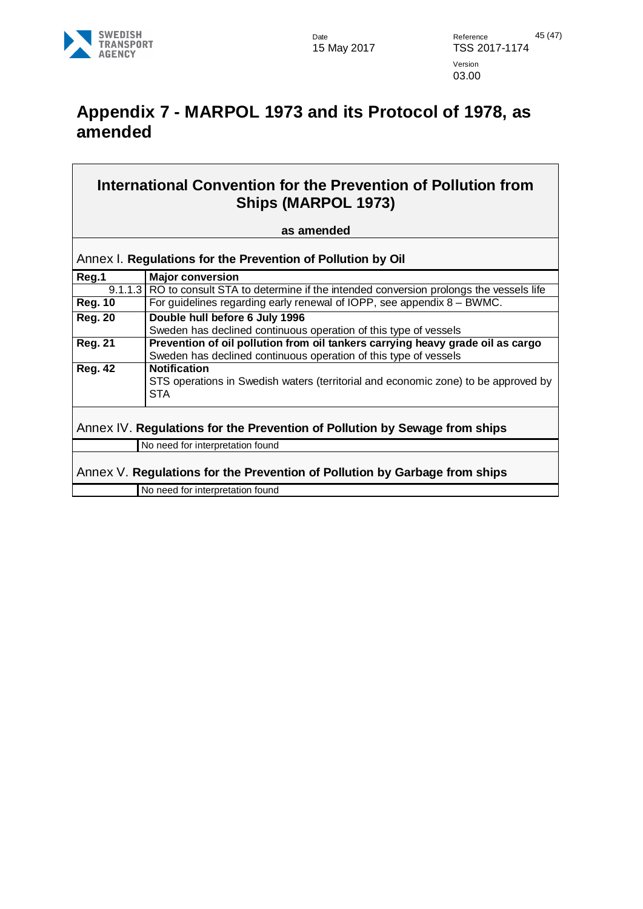

## <span id="page-44-0"></span>**Appendix 7 - MARPOL 1973 and its Protocol of 1978, as amended**

| International Convention for the Prevention of Pollution from |
|---------------------------------------------------------------|
| <b>Ships (MARPOL 1973)</b>                                    |

#### **as amended**

<span id="page-44-1"></span>

|         | Annex I. Regulations for the Prevention of Pollution by Oil |
|---------|-------------------------------------------------------------|
| Proof 4 | <b>IMaior conversion</b>                                    |

<span id="page-44-3"></span><span id="page-44-2"></span>

| Reg.1                                                                      | <b>Major conversion</b>                                                                                                                            |
|----------------------------------------------------------------------------|----------------------------------------------------------------------------------------------------------------------------------------------------|
|                                                                            | 9.1.1.3 RO to consult STA to determine if the intended conversion prolongs the vessels life                                                        |
| <b>Reg. 10</b>                                                             | For guidelines regarding early renewal of IOPP, see appendix $8 - BWMC$ .                                                                          |
| <b>Reg. 20</b>                                                             | Double hull before 6 July 1996                                                                                                                     |
|                                                                            | Sweden has declined continuous operation of this type of vessels                                                                                   |
| <b>Reg. 21</b>                                                             | Prevention of oil pollution from oil tankers carrying heavy grade oil as cargo<br>Sweden has declined continuous operation of this type of vessels |
| <b>Reg. 42</b>                                                             | <b>Notification</b>                                                                                                                                |
|                                                                            | STS operations in Swedish waters (territorial and economic zone) to be approved by<br><b>STA</b>                                                   |
| Annex IV. Regulations for the Prevention of Pollution by Sewage from ships |                                                                                                                                                    |
|                                                                            | No need for interpretation found                                                                                                                   |
| Annex V. Regulations for the Prevention of Pollution by Garbage from ships |                                                                                                                                                    |
|                                                                            | No need for interpretation found                                                                                                                   |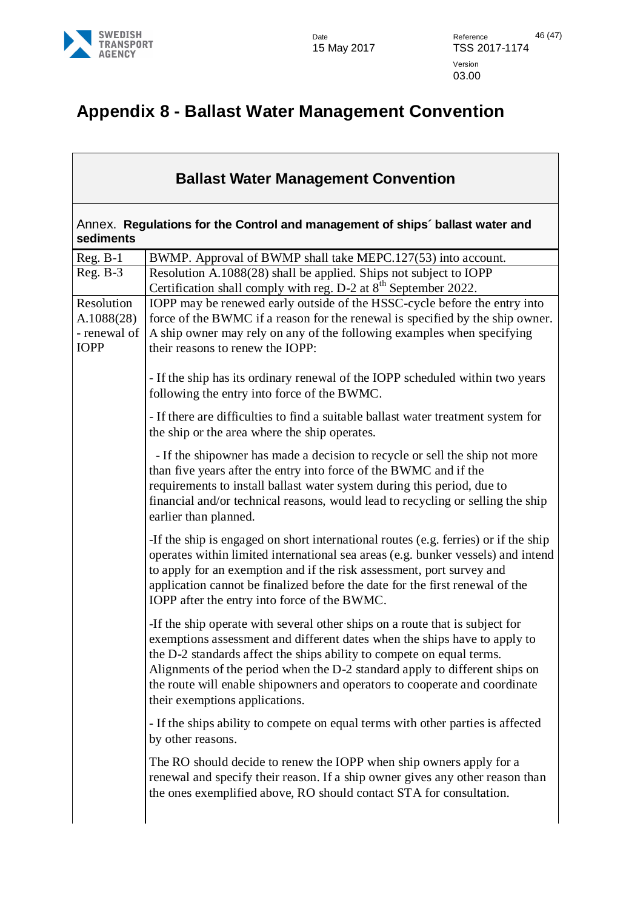

## <span id="page-45-0"></span>**Appendix 8 - Ballast Water Management Convention**

#### **Ballast Water Management Convention**

<span id="page-45-1"></span>Annex. **Regulations for the Control and management of ships´ ballast water and sediments** 

| $Reg. B-1$   | BWMP. Approval of BWMP shall take MEPC.127(53) into account.                                                                                         |
|--------------|------------------------------------------------------------------------------------------------------------------------------------------------------|
| $Reg. B-3$   | Resolution A.1088(28) shall be applied. Ships not subject to IOPP                                                                                    |
|              | Certification shall comply with reg. D-2 at 8 <sup>th</sup> September 2022.                                                                          |
| Resolution   | IOPP may be renewed early outside of the HSSC-cycle before the entry into                                                                            |
| A.1088(28)   | force of the BWMC if a reason for the renewal is specified by the ship owner.                                                                        |
| - renewal of | A ship owner may rely on any of the following examples when specifying                                                                               |
| <b>IOPP</b>  | their reasons to renew the IOPP:                                                                                                                     |
|              |                                                                                                                                                      |
|              | - If the ship has its ordinary renewal of the IOPP scheduled within two years                                                                        |
|              | following the entry into force of the BWMC.                                                                                                          |
|              | - If there are difficulties to find a suitable ballast water treatment system for                                                                    |
|              | the ship or the area where the ship operates.                                                                                                        |
|              | - If the shipowner has made a decision to recycle or sell the ship not more                                                                          |
|              | than five years after the entry into force of the BWMC and if the                                                                                    |
|              | requirements to install ballast water system during this period, due to                                                                              |
|              | financial and/or technical reasons, would lead to recycling or selling the ship                                                                      |
|              | earlier than planned.                                                                                                                                |
|              | -If the ship is engaged on short international routes (e.g. ferries) or if the ship                                                                  |
|              | operates within limited international sea areas (e.g. bunker vessels) and intend                                                                     |
|              | to apply for an exemption and if the risk assessment, port survey and                                                                                |
|              | application cannot be finalized before the date for the first renewal of the                                                                         |
|              | IOPP after the entry into force of the BWMC.                                                                                                         |
|              | -If the ship operate with several other ships on a route that is subject for                                                                         |
|              | exemptions assessment and different dates when the ships have to apply to                                                                            |
|              | the D-2 standards affect the ships ability to compete on equal terms.                                                                                |
|              | Alignments of the period when the D-2 standard apply to different ships on                                                                           |
|              | the route will enable shipowners and operators to cooperate and coordinate                                                                           |
|              | their exemptions applications.                                                                                                                       |
|              | - If the ships ability to compete on equal terms with other parties is affected                                                                      |
|              | by other reasons.                                                                                                                                    |
|              |                                                                                                                                                      |
|              | The RO should decide to renew the IOPP when ship owners apply for a                                                                                  |
|              | renewal and specify their reason. If a ship owner gives any other reason than<br>the ones exemplified above, RO should contact STA for consultation. |
|              |                                                                                                                                                      |
|              |                                                                                                                                                      |